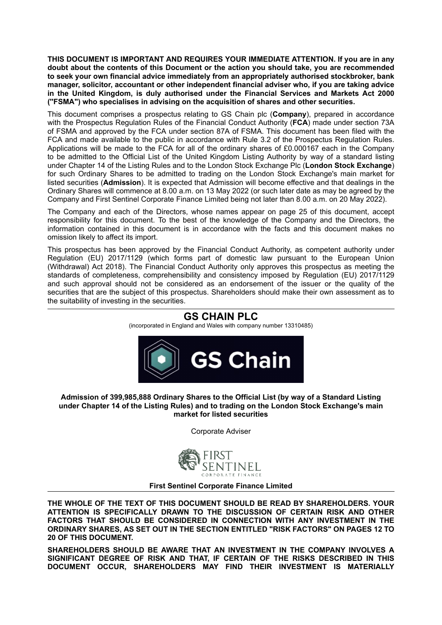**THIS DOCUMENT IS IMPORTANT AND REQUIRES YOUR IMMEDIATE ATTENTION. If you are in any doubt about the contents of this Document or the action you should take, you are recommended to seek your own financial advice immediately from an appropriately authorised stockbroker, bank manager, solicitor, accountant or other independent financial adviser who, if you are taking advice in the United Kingdom, is duly authorised under the Financial Services and Markets Act 2000 (''FSMA") who specialises in advising on the acquisition of shares and other securities.**

This document comprises a prospectus relating to GS Chain plc (**Company**), prepared in accordance with the Prospectus Regulation Rules of the Financial Conduct Authority (**FCA**) made under section 73A of FSMA and approved by the FCA under section 87A of FSMA. This document has been filed with the FCA and made available to the public in accordance with Rule 3.2 of the Prospectus Regulation Rules. Applications will be made to the FCA for all of the ordinary shares of £0.000167 each in the Company to be admitted to the Official List of the United Kingdom Listing Authority by way of a standard listing under Chapter 14 of the Listing Rules and to the London Stock Exchange Plc (**London Stock Exchange**) for such Ordinary Shares to be admitted to trading on the London Stock Exchange's main market for listed securities (**Admission**). It is expected that Admission will become effective and that dealings in the Ordinary Shares will commence at 8.00 a.m. on 13 May 2022 (or such later date as may be agreed by the Company and First Sentinel Corporate Finance Limited being not later than 8.00 a.m. on 20 May 2022).

The Company and each of the Directors, whose names appear on page 25 of this document, accept responsibility for this document. To the best of the knowledge of the Company and the Directors, the information contained in this document is in accordance with the facts and this document makes no omission likely to affect its import.

This prospectus has been approved by the Financial Conduct Authority, as competent authority under Regulation (EU) 2017/1129 (which forms part of domestic law pursuant to the European Union (Withdrawal) Act 2018). The Financial Conduct Authority only approves this prospectus as meeting the standards of completeness, comprehensibility and consistency imposed by Regulation (EU) 2017/1129 and such approval should not be considered as an endorsement of the issuer or the quality of the securities that are the subject of this prospectus. Shareholders should make their own assessment as to the suitability of investing in the securities.

## **GS CHAIN PLC**

(incorporated in England and Wales with company number 13310485)



#### **Admission of 399,985,888 Ordinary Shares to the Official List (by way of a Standard Listing under Chapter 14 of the Listing Rules) and to trading on the London Stock Exchange's main market for listed securities**

Corporate Adviser



#### **First Sentinel Corporate Finance Limited**

**THE WHOLE OF THE TEXT OF THIS DOCUMENT SHOULD BE READ BY SHAREHOLDERS. YOUR ATTENTION IS SPECIFICALLY DRAWN TO THE DISCUSSION OF CERTAIN RISK AND OTHER FACTORS THAT SHOULD BE CONSIDERED IN CONNECTION WITH ANY INVESTMENT IN THE ORDINARY SHARES, AS SET OUT IN THE SECTION ENTITLED "RISK FACTORS" ON PAGES 12 TO 20 OF THIS DOCUMENT.**

**SHAREHOLDERS SHOULD BE AWARE THAT AN INVESTMENT IN THE COMPANY INVOLVES A SIGNIFICANT DEGREE OF RISK AND THAT, IF CERTAIN OF THE RISKS DESCRIBED IN THIS DOCUMENT OCCUR, SHAREHOLDERS MAY FIND THEIR INVESTMENT IS MATERIALLY**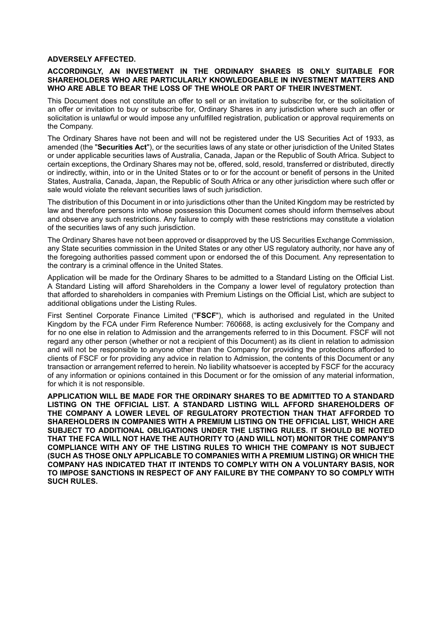#### **ADVERSELY AFFECTED.**

#### **ACCORDINGLY, AN INVESTMENT IN THE ORDINARY SHARES IS ONLY SUITABLE FOR SHAREHOLDERS WHO ARE PARTICULARLY KNOWLEDGEABLE IN INVESTMENT MATTERS AND WHO ARE ABLE TO BEAR THE LOSS OF THE WHOLE OR PART OF THEIR INVESTMENT.**

This Document does not constitute an offer to sell or an invitation to subscribe for, or the solicitation of an offer or invitation to buy or subscribe for, Ordinary Shares in any jurisdiction where such an offer or solicitation is unlawful or would impose any unfulfilled registration, publication or approval requirements on the Company.

The Ordinary Shares have not been and will not be registered under the US Securities Act of 1933, as amended (the "**Securities Act**"), or the securities laws of any state or other jurisdiction of the United States or under applicable securities laws of Australia, Canada, Japan or the Republic of South Africa. Subject to certain exceptions, the Ordinary Shares may not be, offered, sold, resold, transferred or distributed, directly or indirectly, within, into or in the United States or to or for the account or benefit of persons in the United States, Australia, Canada, Japan, the Republic of South Africa or any other jurisdiction where such offer or sale would violate the relevant securities laws of such jurisdiction.

The distribution of this Document in or into jurisdictions other than the United Kingdom may be restricted by law and therefore persons into whose possession this Document comes should inform themselves about and observe any such restrictions. Any failure to comply with these restrictions may constitute a violation of the securities laws of any such jurisdiction.

The Ordinary Shares have not been approved or disapproved by the US Securities Exchange Commission, any State securities commission in the United States or any other US regulatory authority, nor have any of the foregoing authorities passed comment upon or endorsed the of this Document. Any representation to the contrary is a criminal offence in the United States.

Application will be made for the Ordinary Shares to be admitted to a Standard Listing on the Official List. A Standard Listing will afford Shareholders in the Company a lower level of regulatory protection than that afforded to shareholders in companies with Premium Listings on the Official List, which are subject to additional obligations under the Listing Rules.

First Sentinel Corporate Finance Limited ("**FSCF**"), which is authorised and regulated in the United Kingdom by the FCA under Firm Reference Number: 760668, is acting exclusively for the Company and for no one else in relation to Admission and the arrangements referred to in this Document. FSCF will not regard any other person (whether or not a recipient of this Document) as its client in relation to admission and will not be responsible to anyone other than the Company for providing the protections afforded to clients of FSCF or for providing any advice in relation to Admission, the contents of this Document or any transaction or arrangement referred to herein. No liability whatsoever is accepted by FSCF for the accuracy of any information or opinions contained in this Document or for the omission of any material information, for which it is not responsible.

**APPLICATION WILL BE MADE FOR THE ORDINARY SHARES TO BE ADMITTED TO A STANDARD LISTING ON THE OFFICIAL LIST. A STANDARD LISTING WILL AFFORD SHAREHOLDERS OF THE COMPANY A LOWER LEVEL OF REGULATORY PROTECTION THAN THAT AFFORDED TO SHAREHOLDERS IN COMPANIES WITH A PREMIUM LISTING ON THE OFFICIAL LIST, WHICH ARE SUBJECT TO ADDITIONAL OBLIGATIONS UNDER THE LISTING RULES. IT SHOULD BE NOTED THAT THE FCA WILL NOT HAVE THE AUTHORITY TO (AND WILL NOT) MONITOR THE COMPANY'S COMPLIANCE WITH ANY OF THE LISTING RULES TO WHICH THE COMPANY IS NOT SUBJECT (SUCH AS THOSE ONLY APPLICABLE TO COMPANIES WITH A PREMIUM LISTING) OR WHICH THE COMPANY HAS INDICATED THAT IT INTENDS TO COMPLY WITH ON A VOLUNTARY BASIS, NOR TO IMPOSE SANCTIONS IN RESPECT OF ANY FAILURE BY THE COMPANY TO SO COMPLY WITH SUCH RULES.**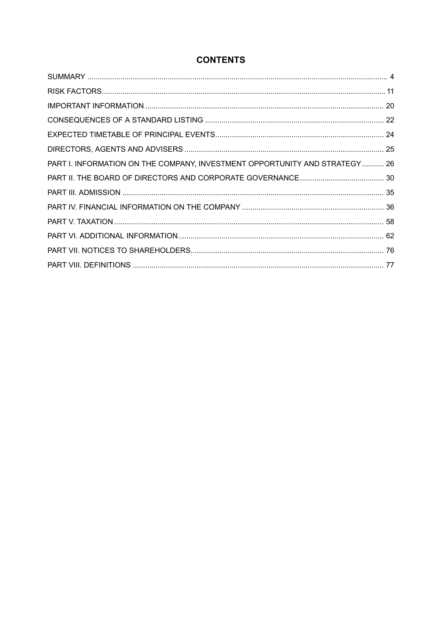## **CONTENTS**

| PART I. INFORMATION ON THE COMPANY, INVESTMENT OPPORTUNITY AND STRATEGY  26 |  |
|-----------------------------------------------------------------------------|--|
|                                                                             |  |
|                                                                             |  |
|                                                                             |  |
|                                                                             |  |
|                                                                             |  |
|                                                                             |  |
|                                                                             |  |
|                                                                             |  |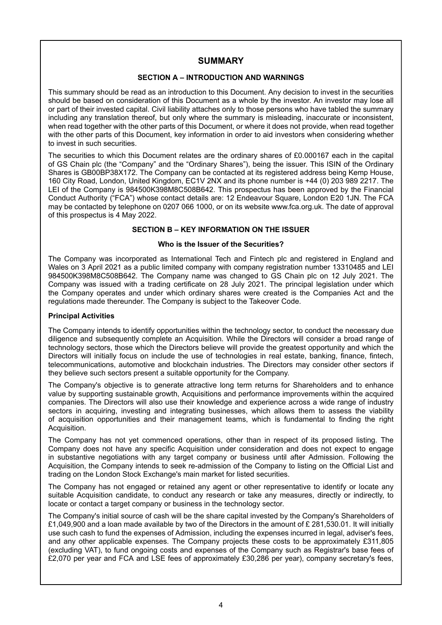## **SUMMARY**

## **SECTION A – INTRODUCTION AND WARNINGS**

<span id="page-3-0"></span>This summary should be read as an introduction to this Document. Any decision to invest in the securities should be based on consideration of this Document as a whole by the investor. An investor may lose all or part of their invested capital. Civil liability attaches only to those persons who have tabled the summary including any translation thereof, but only where the summary is misleading, inaccurate or inconsistent, when read together with the other parts of this Document, or where it does not provide, when read together with the other parts of this Document, key information in order to aid investors when considering whether to invest in such securities.

The securities to which this Document relates are the ordinary shares of £0.000167 each in the capital of GS Chain plc (the "Company" and the "Ordinary Shares"), being the issuer. This ISIN of the Ordinary Shares is GB00BP38X172. The Company can be contacted at its registered address being Kemp House, 160 City Road, London, United Kingdom, EC1V 2NX and its phone number is +44 (0) 203 989 2217. The LEI of the Company is 984500K398M8C508B642. This prospectus has been approved by the Financial Conduct Authority ("FCA") whose contact details are: 12 Endeavour Square, London E20 1JN. The FCA may be contacted by telephone on 0207 066 1000, or on its website www.fca.org.uk. The date of approval of this prospectus is 4 May 2022.

### **SECTION B – KEY INFORMATION ON THE ISSUER**

#### **Who is the Issuer of the Securities?**

The Company was incorporated as International Tech and Fintech plc and registered in England and Wales on 3 April 2021 as a public limited company with company registration number 13310485 and LEI 984500K398M8C508B642. The Company name was changed to GS Chain plc on 12 July 2021. The Company was issued with a trading certificate on 28 July 2021. The principal legislation under which the Company operates and under which ordinary shares were created is the Companies Act and the regulations made thereunder. The Company is subject to the Takeover Code.

#### **Principal Activities**

The Company intends to identify opportunities within the technology sector, to conduct the necessary due diligence and subsequently complete an Acquisition. While the Directors will consider a broad range of technology sectors, those which the Directors believe will provide the greatest opportunity and which the Directors will initially focus on include the use of technologies in real estate, banking, finance, fintech, telecommunications, automotive and blockchain industries. The Directors may consider other sectors if they believe such sectors present a suitable opportunity for the Company.

The Company's objective is to generate attractive long term returns for Shareholders and to enhance value by supporting sustainable growth, Acquisitions and performance improvements within the acquired companies. The Directors will also use their knowledge and experience across a wide range of industry sectors in acquiring, investing and integrating businesses, which allows them to assess the viability of acquisition opportunities and their management teams, which is fundamental to finding the right Acquisition.

The Company has not yet commenced operations, other than in respect of its proposed listing. The Company does not have any specific Acquisition under consideration and does not expect to engage in substantive negotiations with any target company or business until after Admission. Following the Acquisition, the Company intends to seek re-admission of the Company to listing on the Official List and trading on the London Stock Exchange's main market for listed securities.

The Company has not engaged or retained any agent or other representative to identify or locate any suitable Acquisition candidate, to conduct any research or take any measures, directly or indirectly, to locate or contact a target company or business in the technology sector.

The Company's initial source of cash will be the share capital invested by the Company's Shareholders of £1,049,900 and a loan made available by two of the Directors in the amount of £ 281,530.01. It will initially use such cash to fund the expenses of Admission, including the expenses incurred in legal, adviser's fees, and any other applicable expenses. The Company projects these costs to be approximately £311,805 (excluding VAT), to fund ongoing costs and expenses of the Company such as Registrar's base fees of £2,070 per year and FCA and LSE fees of approximately £30,286 per year), company secretary's fees,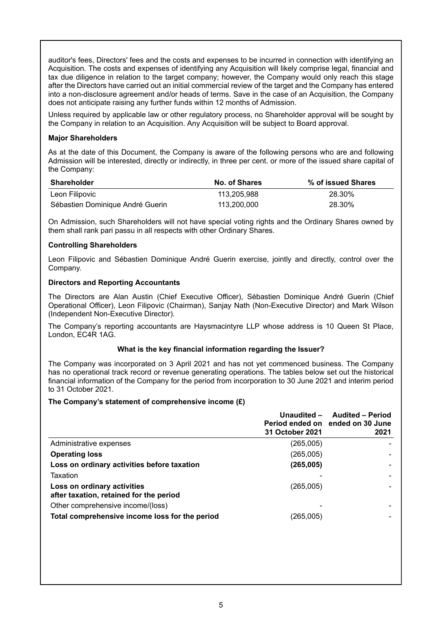auditor's fees, Directors' fees and the costs and expenses to be incurred in connection with identifying an Acquisition. The costs and expenses of identifying any Acquisition will likely comprise legal, financial and tax due diligence in relation to the target company; however, the Company would only reach this stage after the Directors have carried out an initial commercial review of the target and the Company has entered into a non-disclosure agreement and/or heads of terms. Save in the case of an Acquisition, the Company does not anticipate raising any further funds within 12 months of Admission.

Unless required by applicable law or other regulatory process, no Shareholder approval will be sought by the Company in relation to an Acquisition. Any Acquisition will be subject to Board approval.

#### **Major Shareholders**

As at the date of this Document, the Company is aware of the following persons who are and following Admission will be interested, directly or indirectly, in three per cent. or more of the issued share capital of the Company:

| <b>Shareholder</b>               | No. of Shares | % of issued Shares |
|----------------------------------|---------------|--------------------|
| Leon Filipovic                   | 113.205.988   | 28.30%             |
| Sébastien Dominique André Guerin | 113.200.000   | 28.30%             |

On Admission, such Shareholders will not have special voting rights and the Ordinary Shares owned by them shall rank pari passu in all respects with other Ordinary Shares.

#### **Controlling Shareholders**

Leon Filipovic and Sébastien Dominique André Guerin exercise, jointly and directly, control over the Company.

## **Directors and Reporting Accountants**

The Directors are Alan Austin (Chief Executive Officer), Sébastien Dominique André Guerin (Chief Operational Officer), Leon Filipovic (Chairman), Sanjay Nath (Non-Executive Director) and Mark Wilson (Independent Non-Executive Director).

The Company's reporting accountants are Haysmacintyre LLP whose address is 10 Queen St Place, London, EC4R 1AG.

#### **What is the key financial information regarding the Issuer?**

The Company was incorporated on 3 April 2021 and has not yet commenced business. The Company has no operational track record or revenue generating operations. The tables below set out the historical financial information of the Company for the period from incorporation to 30 June 2021 and interim period to 31 October 2021.

#### **The Company's statement of comprehensive income (£)**

|                                                                        | Unaudited -<br>31 October 2021 | <b>Audited - Period</b><br>Period ended on ended on 30 June<br>2021 |
|------------------------------------------------------------------------|--------------------------------|---------------------------------------------------------------------|
| Administrative expenses                                                | (265,005)                      |                                                                     |
| <b>Operating loss</b>                                                  | (265,005)                      |                                                                     |
| Loss on ordinary activities before taxation                            | (265, 005)                     |                                                                     |
| Taxation                                                               |                                |                                                                     |
| Loss on ordinary activities<br>after taxation, retained for the period | (265,005)                      |                                                                     |
| Other comprehensive income/(loss)                                      |                                |                                                                     |
| Total comprehensive income loss for the period                         | (265,005)                      |                                                                     |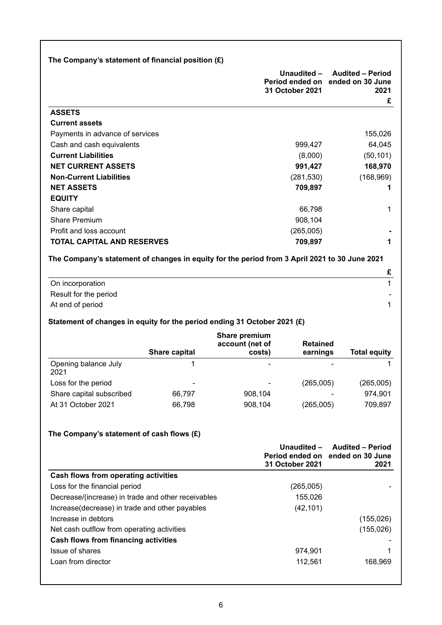|                                                                                               | The Company's statement of financial position $(E)$ |                                            |                                |                                                                          |
|-----------------------------------------------------------------------------------------------|-----------------------------------------------------|--------------------------------------------|--------------------------------|--------------------------------------------------------------------------|
|                                                                                               |                                                     |                                            | Unaudited -<br>31 October 2021 | <b>Audited - Period</b><br>Period ended on ended on 30 June<br>2021<br>£ |
| <b>ASSETS</b>                                                                                 |                                                     |                                            |                                |                                                                          |
| <b>Current assets</b>                                                                         |                                                     |                                            |                                |                                                                          |
| Payments in advance of services                                                               |                                                     |                                            |                                | 155,026                                                                  |
| Cash and cash equivalents                                                                     |                                                     |                                            | 999,427                        | 64,045                                                                   |
| <b>Current Liabilities</b>                                                                    |                                                     |                                            | (8,000)                        | (50, 101)                                                                |
| <b>NET CURRENT ASSETS</b>                                                                     |                                                     |                                            | 991,427                        | 168,970                                                                  |
| <b>Non-Current Liabilities</b>                                                                |                                                     |                                            | (281, 530)                     | (168, 969)                                                               |
| <b>NET ASSETS</b>                                                                             |                                                     |                                            | 709,897                        | 1                                                                        |
| <b>EQUITY</b>                                                                                 |                                                     |                                            |                                |                                                                          |
| Share capital                                                                                 |                                                     |                                            | 66,798                         | 1                                                                        |
| <b>Share Premium</b>                                                                          |                                                     |                                            | 908,104                        |                                                                          |
| Profit and loss account                                                                       |                                                     |                                            | (265,005)                      |                                                                          |
| <b>TOTAL CAPITAL AND RESERVES</b>                                                             |                                                     |                                            | 709,897                        | 1                                                                        |
| The Company's statement of changes in equity for the period from 3 April 2021 to 30 June 2021 |                                                     |                                            |                                |                                                                          |
|                                                                                               |                                                     |                                            |                                | £                                                                        |
| On incorporation                                                                              |                                                     |                                            |                                | $\mathbf{1}$                                                             |
| Result for the period                                                                         |                                                     |                                            |                                |                                                                          |
| At end of period                                                                              |                                                     |                                            |                                | 1                                                                        |
| Statement of changes in equity for the period ending 31 October 2021 (£)                      |                                                     |                                            |                                |                                                                          |
|                                                                                               | <b>Share capital</b>                                | Share premium<br>account (net of<br>costs) | <b>Retained</b><br>earnings    | <b>Total equity</b>                                                      |
| Opening balance July                                                                          | 1                                                   |                                            |                                |                                                                          |
| 2021                                                                                          |                                                     |                                            |                                | 1                                                                        |
|                                                                                               |                                                     |                                            |                                |                                                                          |
| Loss for the period                                                                           |                                                     |                                            | (265,005)                      |                                                                          |
| Share capital subscribed                                                                      | 66,797                                              | 908,104                                    |                                | (265,005)<br>974,901                                                     |
| At 31 October 2021                                                                            | 66,798                                              | 908,104                                    | (265,005)                      | 709,897                                                                  |
|                                                                                               |                                                     |                                            |                                |                                                                          |
| The Company's statement of cash flows $(E)$                                                   |                                                     |                                            |                                |                                                                          |
|                                                                                               |                                                     |                                            | Unaudited -<br>Period ended on | <b>Audited - Period</b><br>ended on 30 June                              |
|                                                                                               |                                                     |                                            | 31 October 2021                | 2021                                                                     |
| <b>Cash flows from operating activities</b>                                                   |                                                     |                                            |                                |                                                                          |
| Loss for the financial period                                                                 |                                                     |                                            | (265,005)                      |                                                                          |
| Decrease/(increase) in trade and other receivables                                            |                                                     |                                            | 155,026                        |                                                                          |
| Increase(decrease) in trade and other payables                                                |                                                     |                                            | (42, 101)                      |                                                                          |
| Increase in debtors                                                                           |                                                     |                                            |                                | (155, 026)                                                               |
| Net cash outflow from operating activities                                                    |                                                     |                                            |                                | (155, 026)                                                               |
| <b>Cash flows from financing activities</b>                                                   |                                                     |                                            |                                |                                                                          |
| Issue of shares<br>Loan from director                                                         |                                                     |                                            | 974,901<br>112,561             | 1<br>168,969                                                             |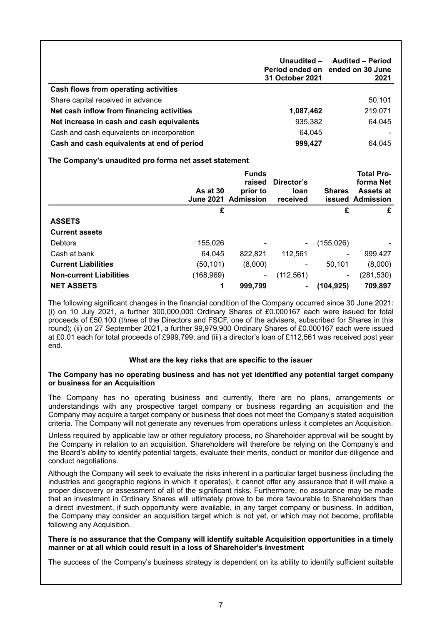|                                            | Unaudited -<br>31 October 2021 | <b>Audited - Period</b><br>Period ended on ended on 30 June<br>2021 |
|--------------------------------------------|--------------------------------|---------------------------------------------------------------------|
| Cash flows from operating activities       |                                |                                                                     |
| Share capital received in advance          |                                | 50,101                                                              |
| Net cash inflow from financing activities  | 1,087,462                      | 219,071                                                             |
| Net increase in cash and cash equivalents  | 935,382                        | 64,045                                                              |
| Cash and cash equivalents on incorporation | 64.045                         |                                                                     |
| Cash and cash equivalents at end of period | 999,427                        | 64.045                                                              |

## **The Company's unaudited pro forma net asset statement**

|                                | As at 30<br><b>June 2021</b> | <b>Funds</b><br>raised<br>prior to<br>Admission | Director's<br><b>loan</b><br>received | <b>Shares</b>            | <b>Total Pro-</b><br>forma Net<br><b>Assets at</b><br><b>issued Admission</b> |
|--------------------------------|------------------------------|-------------------------------------------------|---------------------------------------|--------------------------|-------------------------------------------------------------------------------|
|                                | £                            |                                                 |                                       | £                        | £                                                                             |
| <b>ASSETS</b>                  |                              |                                                 |                                       |                          |                                                                               |
| <b>Current assets</b>          |                              |                                                 |                                       |                          |                                                                               |
| <b>Debtors</b>                 | 155,026                      |                                                 |                                       | (155, 026)               |                                                                               |
| Cash at bank                   | 64,045                       | 822,821                                         | 112,561                               |                          | 999,427                                                                       |
| <b>Current Liabilities</b>     | (50, 101)                    | (8,000)                                         |                                       | 50,101                   | (8,000)                                                                       |
| <b>Non-current Liabilities</b> | (168,969)                    | -                                               | (112, 561)                            | $\overline{\phantom{a}}$ | (281,530)                                                                     |
| <b>NET ASSETS</b>              | 1                            | 999,799                                         |                                       | (104, 925)               | 709,897                                                                       |

The following significant changes in the financial condition of the Company occurred since 30 June 2021: (i) on 10 July 2021, a further 300,000,000 Ordinary Shares of £0.000167 each were issued for total proceeds of £50,100 (three of the Directors and FSCF, one of the advisers, subscribed for Shares in this round); (ii) on 27 September 2021, a further 99,979,900 Ordinary Shares of £0.000167 each were issued at £0.01 each for total proceeds of £999,799; and (iii) a director's loan of £112,561 was received post year end.

## **What are the key risks that are specific to the issuer**

#### **The Company has no operating business and has not yet identified any potential target company or business for an Acquisition**

The Company has no operating business and currently, there are no plans, arrangements or understandings with any prospective target company or business regarding an acquisition and the Company may acquire a target company or business that does not meet the Company's stated acquisition criteria. The Company will not generate any revenues from operations unless it completes an Acquisition.

Unless required by applicable law or other regulatory process, no Shareholder approval will be sought by the Company in relation to an acquisition. Shareholders will therefore be relying on the Company's and the Board's ability to identify potential targets, evaluate their merits, conduct or monitor due diligence and conduct negotiations.

Although the Company will seek to evaluate the risks inherent in a particular target business (including the industries and geographic regions in which it operates), it cannot offer any assurance that it will make a proper discovery or assessment of all of the significant risks. Furthermore, no assurance may be made that an investment in Ordinary Shares will ultimately prove to be more favourable to Shareholders than a direct investment, if such opportunity were available, in any target company or business. In addition, the Company may consider an acquisition target which is not yet, or which may not become, profitable following any Acquisition.

#### **There is no assurance that the Company will identify suitable Acquisition opportunities in a timely manner or at all which could result in a loss of Shareholder's investment**

The success of the Company's business strategy is dependent on its ability to identify sufficient suitable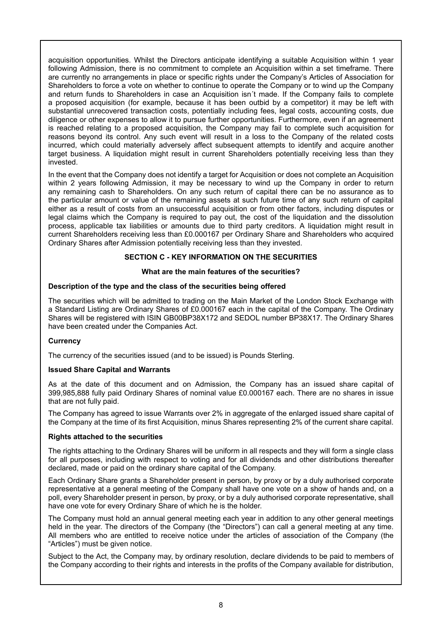acquisition opportunities. Whilst the Directors anticipate identifying a suitable Acquisition within 1 year following Admission, there is no commitment to complete an Acquisition within a set timeframe. There are currently no arrangements in place or specific rights under the Company's Articles of Association for Shareholders to force a vote on whether to continue to operate the Company or to wind up the Company and return funds to Shareholders in case an Acquisition isn´t made. If the Company fails to complete a proposed acquisition (for example, because it has been outbid by a competitor) it may be left with substantial unrecovered transaction costs, potentially including fees, legal costs, accounting costs, due diligence or other expenses to allow it to pursue further opportunities. Furthermore, even if an agreement is reached relating to a proposed acquisition, the Company may fail to complete such acquisition for reasons beyond its control. Any such event will result in a loss to the Company of the related costs incurred, which could materially adversely affect subsequent attempts to identify and acquire another target business. A liquidation might result in current Shareholders potentially receiving less than they invested.

In the event that the Company does not identify a target for Acquisition or does not complete an Acquisition within 2 years following Admission, it may be necessary to wind up the Company in order to return any remaining cash to Shareholders. On any such return of capital there can be no assurance as to the particular amount or value of the remaining assets at such future time of any such return of capital either as a result of costs from an unsuccessful acquisition or from other factors, including disputes or legal claims which the Company is required to pay out, the cost of the liquidation and the dissolution process, applicable tax liabilities or amounts due to third party creditors. A liquidation might result in current Shareholders receiving less than £0.000167 per Ordinary Share and Shareholders who acquired Ordinary Shares after Admission potentially receiving less than they invested.

#### **SECTION C - KEY INFORMATION ON THE SECURITIES**

#### **What are the main features of the securities?**

#### **Description of the type and the class of the securities being offered**

The securities which will be admitted to trading on the Main Market of the London Stock Exchange with a Standard Listing are Ordinary Shares of £0.000167 each in the capital of the Company. The Ordinary Shares will be registered with ISIN GB00BP38X172 and SEDOL number BP38X17. The Ordinary Shares have been created under the Companies Act.

## **Currency**

The currency of the securities issued (and to be issued) is Pounds Sterling.

## **Issued Share Capital and Warrants**

As at the date of this document and on Admission, the Company has an issued share capital of 399,985,888 fully paid Ordinary Shares of nominal value £0.000167 each. There are no shares in issue that are not fully paid.

The Company has agreed to issue Warrants over 2% in aggregate of the enlarged issued share capital of the Company at the time of its first Acquisition, minus Shares representing 2% of the current share capital.

#### **Rights attached to the securities**

The rights attaching to the Ordinary Shares will be uniform in all respects and they will form a single class for all purposes, including with respect to voting and for all dividends and other distributions thereafter declared, made or paid on the ordinary share capital of the Company.

Each Ordinary Share grants a Shareholder present in person, by proxy or by a duly authorised corporate representative at a general meeting of the Company shall have one vote on a show of hands and, on a poll, every Shareholder present in person, by proxy, or by a duly authorised corporate representative, shall have one vote for every Ordinary Share of which he is the holder.

The Company must hold an annual general meeting each year in addition to any other general meetings held in the year. The directors of the Company (the "Directors") can call a general meeting at any time. All members who are entitled to receive notice under the articles of association of the Company (the "Articles") must be given notice.

Subject to the Act, the Company may, by ordinary resolution, declare dividends to be paid to members of the Company according to their rights and interests in the profits of the Company available for distribution,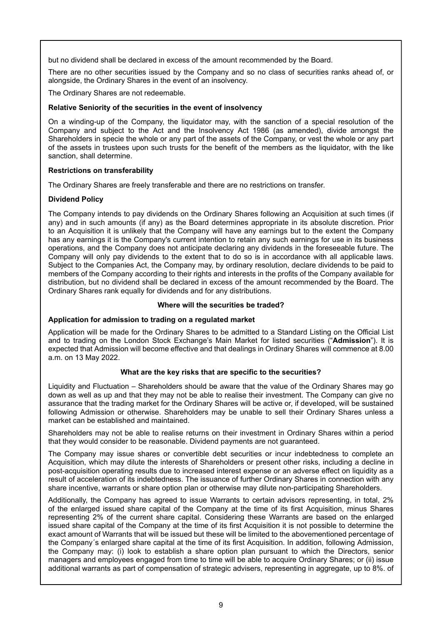but no dividend shall be declared in excess of the amount recommended by the Board.

There are no other securities issued by the Company and so no class of securities ranks ahead of, or alongside, the Ordinary Shares in the event of an insolvency.

The Ordinary Shares are not redeemable.

## **Relative Seniority of the securities in the event of insolvency**

On a winding-up of the Company, the liquidator may, with the sanction of a special resolution of the Company and subject to the Act and the Insolvency Act 1986 (as amended), divide amongst the Shareholders in specie the whole or any part of the assets of the Company, or vest the whole or any part of the assets in trustees upon such trusts for the benefit of the members as the liquidator, with the like sanction, shall determine.

## **Restrictions on transferability**

The Ordinary Shares are freely transferable and there are no restrictions on transfer.

## **Dividend Policy**

The Company intends to pay dividends on the Ordinary Shares following an Acquisition at such times (if any) and in such amounts (if any) as the Board determines appropriate in its absolute discretion. Prior to an Acquisition it is unlikely that the Company will have any earnings but to the extent the Company has any earnings it is the Company's current intention to retain any such earnings for use in its business operations, and the Company does not anticipate declaring any dividends in the foreseeable future. The Company will only pay dividends to the extent that to do so is in accordance with all applicable laws. Subject to the Companies Act, the Company may, by ordinary resolution, declare dividends to be paid to members of the Company according to their rights and interests in the profits of the Company available for distribution, but no dividend shall be declared in excess of the amount recommended by the Board. The Ordinary Shares rank equally for dividends and for any distributions.

#### **Where will the securities be traded?**

## **Application for admission to trading on a regulated market**

Application will be made for the Ordinary Shares to be admitted to a Standard Listing on the Official List and to trading on the London Stock Exchange's Main Market for listed securities ("**Admission**"). It is expected that Admission will become effective and that dealings in Ordinary Shares will commence at 8.00 a.m. on 13 May 2022.

## **What are the key risks that are specific to the securities?**

Liquidity and Fluctuation – Shareholders should be aware that the value of the Ordinary Shares may go down as well as up and that they may not be able to realise their investment. The Company can give no assurance that the trading market for the Ordinary Shares will be active or, if developed, will be sustained following Admission or otherwise. Shareholders may be unable to sell their Ordinary Shares unless a market can be established and maintained.

Shareholders may not be able to realise returns on their investment in Ordinary Shares within a period that they would consider to be reasonable. Dividend payments are not guaranteed.

The Company may issue shares or convertible debt securities or incur indebtedness to complete an Acquisition, which may dilute the interests of Shareholders or present other risks, including a decline in post-acquisition operating results due to increased interest expense or an adverse effect on liquidity as a result of acceleration of its indebtedness. The issuance of further Ordinary Shares in connection with any share incentive, warrants or share option plan or otherwise may dilute non-participating Shareholders.

Additionally, the Company has agreed to issue Warrants to certain advisors representing, in total, 2% of the enlarged issued share capital of the Company at the time of its first Acquisition, minus Shares representing 2% of the current share capital. Considering these Warrants are based on the enlarged issued share capital of the Company at the time of its first Acquisition it is not possible to determine the exact amount of Warrants that will be issued but these will be limited to the abovementioned percentage of the Company´s enlarged share capital at the time of its first Acquisition. In addition, following Admission, the Company may: (i) look to establish a share option plan pursuant to which the Directors, senior managers and employees engaged from time to time will be able to acquire Ordinary Shares; or (ii) issue additional warrants as part of compensation of strategic advisers, representing in aggregate, up to 8%. of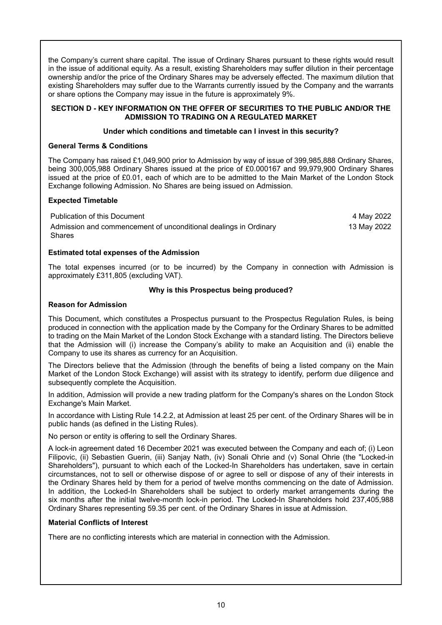the Company's current share capital. The issue of Ordinary Shares pursuant to these rights would result in the issue of additional equity. As a result, existing Shareholders may suffer dilution in their percentage ownership and/or the price of the Ordinary Shares may be adversely effected. The maximum dilution that existing Shareholders may suffer due to the Warrants currently issued by the Company and the warrants or share options the Company may issue in the future is approximately 9%.

### **SECTION D - KEY INFORMATION ON THE OFFER OF SECURITIES TO THE PUBLIC AND/OR THE ADMISSION TO TRADING ON A REGULATED MARKET**

## **Under which conditions and timetable can I invest in this security?**

## **General Terms & Conditions**

The Company has raised £1,049,900 prior to Admission by way of issue of 399,985,888 Ordinary Shares, being 300,005,988 Ordinary Shares issued at the price of £0.000167 and 99,979,900 Ordinary Shares issued at the price of £0.01, each of which are to be admitted to the Main Market of the London Stock Exchange following Admission. No Shares are being issued on Admission.

## **Expected Timetable**

Publication of this Document **4 May 2022** Admission and commencement of unconditional dealings in Ordinary Shares 13 May 2022

## **Estimated total expenses of the Admission**

The total expenses incurred (or to be incurred) by the Company in connection with Admission is approximately £311,805 (excluding VAT).

## **Why is this Prospectus being produced?**

## **Reason for Admission**

This Document, which constitutes a Prospectus pursuant to the Prospectus Regulation Rules, is being produced in connection with the application made by the Company for the Ordinary Shares to be admitted to trading on the Main Market of the London Stock Exchange with a standard listing. The Directors believe that the Admission will (i) increase the Company's ability to make an Acquisition and (ii) enable the Company to use its shares as currency for an Acquisition.

The Directors believe that the Admission (through the benefits of being a listed company on the Main Market of the London Stock Exchange) will assist with its strategy to identify, perform due diligence and subsequently complete the Acquisition.

In addition, Admission will provide a new trading platform for the Company's shares on the London Stock Exchange's Main Market.

In accordance with Listing Rule 14.2.2, at Admission at least 25 per cent. of the Ordinary Shares will be in public hands (as defined in the Listing Rules).

No person or entity is offering to sell the Ordinary Shares.

A lock-in agreement dated 16 December 2021 was executed between the Company and each of; (i) Leon Filipovic, (ii) Sebastien Guerin, (iii) Sanjay Nath, (iv) Sonali Ohrie and (v) Sonal Ohrie (the "Locked-in Shareholders"), pursuant to which each of the Locked-In Shareholders has undertaken, save in certain circumstances, not to sell or otherwise dispose of or agree to sell or dispose of any of their interests in the Ordinary Shares held by them for a period of twelve months commencing on the date of Admission. In addition, the Locked-In Shareholders shall be subject to orderly market arrangements during the six months after the initial twelve-month lock-in period. The Locked-In Shareholders hold 237,405,988 Ordinary Shares representing 59.35 per cent. of the Ordinary Shares in issue at Admission.

## **Material Conflicts of Interest**

There are no conflicting interests which are material in connection with the Admission.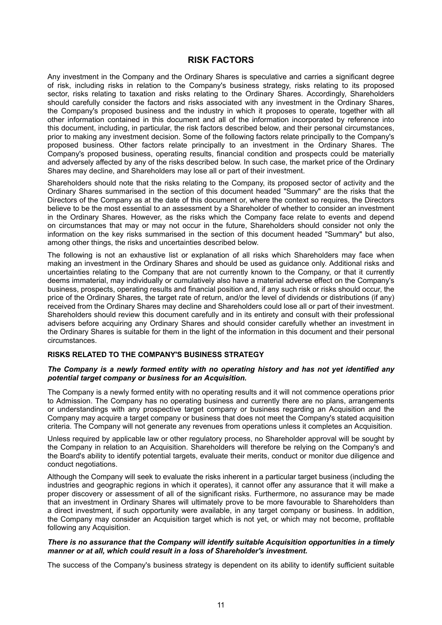## **RISK FACTORS**

<span id="page-10-0"></span>Any investment in the Company and the Ordinary Shares is speculative and carries a significant degree of risk, including risks in relation to the Company's business strategy, risks relating to its proposed sector, risks relating to taxation and risks relating to the Ordinary Shares. Accordingly, Shareholders should carefully consider the factors and risks associated with any investment in the Ordinary Shares, the Company's proposed business and the industry in which it proposes to operate, together with all other information contained in this document and all of the information incorporated by reference into this document, including, in particular, the risk factors described below, and their personal circumstances, prior to making any investment decision. Some of the following factors relate principally to the Company's proposed business. Other factors relate principally to an investment in the Ordinary Shares. The Company's proposed business, operating results, financial condition and prospects could be materially and adversely affected by any of the risks described below. In such case, the market price of the Ordinary Shares may decline, and Shareholders may lose all or part of their investment.

Shareholders should note that the risks relating to the Company, its proposed sector of activity and the Ordinary Shares summarised in the section of this document headed "Summary" are the risks that the Directors of the Company as at the date of this document or, where the context so requires, the Directors believe to be the most essential to an assessment by a Shareholder of whether to consider an investment in the Ordinary Shares. However, as the risks which the Company face relate to events and depend on circumstances that may or may not occur in the future, Shareholders should consider not only the information on the key risks summarised in the section of this document headed "Summary" but also, among other things, the risks and uncertainties described below.

The following is not an exhaustive list or explanation of all risks which Shareholders may face when making an investment in the Ordinary Shares and should be used as guidance only. Additional risks and uncertainties relating to the Company that are not currently known to the Company, or that it currently deems immaterial, may individually or cumulatively also have a material adverse effect on the Company's business, prospects, operating results and financial position and, if any such risk or risks should occur, the price of the Ordinary Shares, the target rate of return, and/or the level of dividends or distributions (if any) received from the Ordinary Shares may decline and Shareholders could lose all or part of their investment. Shareholders should review this document carefully and in its entirety and consult with their professional advisers before acquiring any Ordinary Shares and should consider carefully whether an investment in the Ordinary Shares is suitable for them in the light of the information in this document and their personal circumstances.

#### **RISKS RELATED TO THE COMPANY'S BUSINESS STRATEGY**

#### *The Company is a newly formed entity with no operating history and has not yet identified any potential target company or business for an Acquisition.*

The Company is a newly formed entity with no operating results and it will not commence operations prior to Admission. The Company has no operating business and currently there are no plans, arrangements or understandings with any prospective target company or business regarding an Acquisition and the Company may acquire a target company or business that does not meet the Company's stated acquisition criteria. The Company will not generate any revenues from operations unless it completes an Acquisition.

Unless required by applicable law or other regulatory process, no Shareholder approval will be sought by the Company in relation to an Acquisition. Shareholders will therefore be relying on the Company's and the Board's ability to identify potential targets, evaluate their merits, conduct or monitor due diligence and conduct negotiations.

Although the Company will seek to evaluate the risks inherent in a particular target business (including the industries and geographic regions in which it operates), it cannot offer any assurance that it will make a proper discovery or assessment of all of the significant risks. Furthermore, no assurance may be made that an investment in Ordinary Shares will ultimately prove to be more favourable to Shareholders than a direct investment, if such opportunity were available, in any target company or business. In addition, the Company may consider an Acquisition target which is not yet, or which may not become, profitable following any Acquisition.

## *There is no assurance that the Company will identify suitable Acquisition opportunities in a timely manner or at all, which could result in a loss of Shareholder's investment.*

The success of the Company's business strategy is dependent on its ability to identify sufficient suitable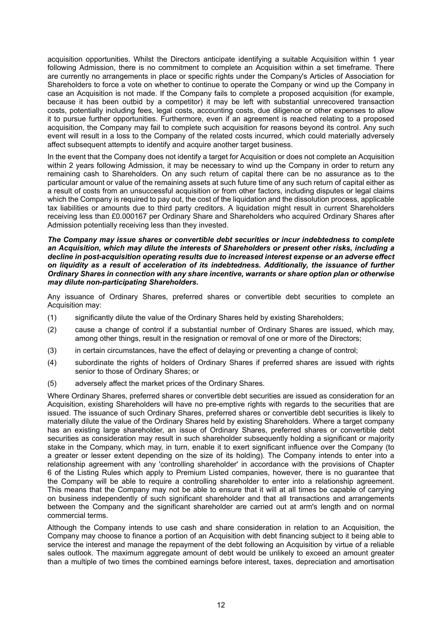acquisition opportunities. Whilst the Directors anticipate identifying a suitable Acquisition within 1 year following Admission, there is no commitment to complete an Acquisition within a set timeframe. There are currently no arrangements in place or specific rights under the Company's Articles of Association for Shareholders to force a vote on whether to continue to operate the Company or wind up the Company in case an Acquisition is not made. If the Company fails to complete a proposed acquisition (for example, because it has been outbid by a competitor) it may be left with substantial unrecovered transaction costs, potentially including fees, legal costs, accounting costs, due diligence or other expenses to allow it to pursue further opportunities. Furthermore, even if an agreement is reached relating to a proposed acquisition, the Company may fail to complete such acquisition for reasons beyond its control. Any such event will result in a loss to the Company of the related costs incurred, which could materially adversely affect subsequent attempts to identify and acquire another target business.

In the event that the Company does not identify a target for Acquisition or does not complete an Acquisition within 2 years following Admission, it may be necessary to wind up the Company in order to return any remaining cash to Shareholders. On any such return of capital there can be no assurance as to the particular amount or value of the remaining assets at such future time of any such return of capital either as a result of costs from an unsuccessful acquisition or from other factors, including disputes or legal claims which the Company is required to pay out, the cost of the liquidation and the dissolution process, applicable tax liabilities or amounts due to third party creditors. A liquidation might result in current Shareholders receiving less than £0.000167 per Ordinary Share and Shareholders who acquired Ordinary Shares after Admission potentially receiving less than they invested.

*The Company may issue shares or convertible debt securities or incur indebtedness to complete an Acquisition, which may dilute the interests of Shareholders or present other risks, including a decline in post-acquisition operating results due to increased interest expense or an adverse effect on liquidity as a result of acceleration of its indebtedness. Additionally, the issuance of further Ordinary Shares in connection with any share incentive, warrants or share option plan or otherwise may dilute non-participating Shareholders.*

Any issuance of Ordinary Shares, preferred shares or convertible debt securities to complete an Acquisition may:

- (1) significantly dilute the value of the Ordinary Shares held by existing Shareholders;
- (2) cause a change of control if a substantial number of Ordinary Shares are issued, which may, among other things, result in the resignation or removal of one or more of the Directors;
- (3) in certain circumstances, have the effect of delaying or preventing a change of control;
- (4) subordinate the rights of holders of Ordinary Shares if preferred shares are issued with rights senior to those of Ordinary Shares; or
- (5) adversely affect the market prices of the Ordinary Shares.

Where Ordinary Shares, preferred shares or convertible debt securities are issued as consideration for an Acquisition, existing Shareholders will have no pre-emptive rights with regards to the securities that are issued. The issuance of such Ordinary Shares, preferred shares or convertible debt securities is likely to materially dilute the value of the Ordinary Shares held by existing Shareholders. Where a target company has an existing large shareholder, an issue of Ordinary Shares, preferred shares or convertible debt securities as consideration may result in such shareholder subsequently holding a significant or majority stake in the Company, which may, in turn, enable it to exert significant influence over the Company (to a greater or lesser extent depending on the size of its holding). The Company intends to enter into a relationship agreement with any 'controlling shareholder' in accordance with the provisions of Chapter 6 of the Listing Rules which apply to Premium Listed companies, however, there is no guarantee that the Company will be able to require a controlling shareholder to enter into a relationship agreement. This means that the Company may not be able to ensure that it will at all times be capable of carrying on business independently of such significant shareholder and that all transactions and arrangements between the Company and the significant shareholder are carried out at arm's length and on normal commercial terms.

Although the Company intends to use cash and share consideration in relation to an Acquisition, the Company may choose to finance a portion of an Acquisition with debt financing subject to it being able to service the interest and manage the repayment of the debt following an Acquisition by virtue of a reliable sales outlook. The maximum aggregate amount of debt would be unlikely to exceed an amount greater than a multiple of two times the combined earnings before interest, taxes, depreciation and amortisation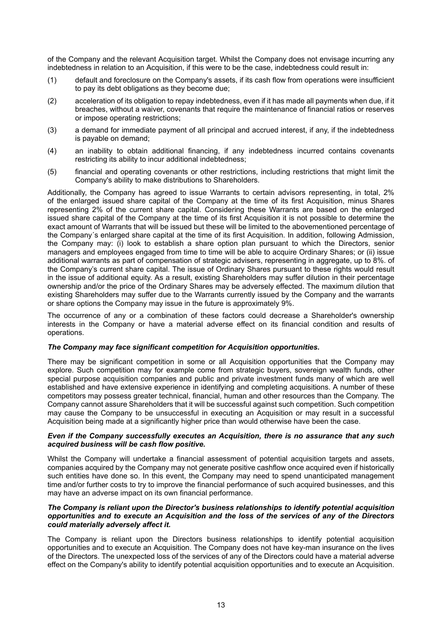of the Company and the relevant Acquisition target. Whilst the Company does not envisage incurring any indebtedness in relation to an Acquisition, if this were to be the case, indebtedness could result in:

- (1) default and foreclosure on the Company's assets, if its cash flow from operations were insufficient to pay its debt obligations as they become due;
- (2) acceleration of its obligation to repay indebtedness, even if it has made all payments when due, if it breaches, without a waiver, covenants that require the maintenance of financial ratios or reserves or impose operating restrictions;
- (3) a demand for immediate payment of all principal and accrued interest, if any, if the indebtedness is payable on demand;
- (4) an inability to obtain additional financing, if any indebtedness incurred contains covenants restricting its ability to incur additional indebtedness;
- (5) financial and operating covenants or other restrictions, including restrictions that might limit the Company's ability to make distributions to Shareholders.

Additionally, the Company has agreed to issue Warrants to certain advisors representing, in total, 2% of the enlarged issued share capital of the Company at the time of its first Acquisition, minus Shares representing 2% of the current share capital. Considering these Warrants are based on the enlarged issued share capital of the Company at the time of its first Acquisition it is not possible to determine the exact amount of Warrants that will be issued but these will be limited to the abovementioned percentage of the Company´s enlarged share capital at the time of its first Acquisition. In addition, following Admission, the Company may: (i) look to establish a share option plan pursuant to which the Directors, senior managers and employees engaged from time to time will be able to acquire Ordinary Shares; or (ii) issue additional warrants as part of compensation of strategic advisers, representing in aggregate, up to 8%. of the Company's current share capital. The issue of Ordinary Shares pursuant to these rights would result in the issue of additional equity. As a result, existing Shareholders may suffer dilution in their percentage ownership and/or the price of the Ordinary Shares may be adversely effected. The maximum dilution that existing Shareholders may suffer due to the Warrants currently issued by the Company and the warrants or share options the Company may issue in the future is approximately 9%.

The occurrence of any or a combination of these factors could decrease a Shareholder's ownership interests in the Company or have a material adverse effect on its financial condition and results of operations.

## *The Company may face significant competition for Acquisition opportunities.*

There may be significant competition in some or all Acquisition opportunities that the Company may explore. Such competition may for example come from strategic buyers, sovereign wealth funds, other special purpose acquisition companies and public and private investment funds many of which are well established and have extensive experience in identifying and completing acquisitions. A number of these competitors may possess greater technical, financial, human and other resources than the Company. The Company cannot assure Shareholders that it will be successful against such competition. Such competition may cause the Company to be unsuccessful in executing an Acquisition or may result in a successful Acquisition being made at a significantly higher price than would otherwise have been the case.

#### *Even if the Company successfully executes an Acquisition, there is no assurance that any such acquired business will be cash flow positive.*

Whilst the Company will undertake a financial assessment of potential acquisition targets and assets, companies acquired by the Company may not generate positive cashflow once acquired even if historically such entities have done so. In this event, the Company may need to spend unanticipated management time and/or further costs to try to improve the financial performance of such acquired businesses, and this may have an adverse impact on its own financial performance.

#### *The Company is reliant upon the Director's business relationships to identify potential acquisition opportunities and to execute an Acquisition and the loss of the services of any of the Directors could materially adversely affect it.*

The Company is reliant upon the Directors business relationships to identify potential acquisition opportunities and to execute an Acquisition. The Company does not have key-man insurance on the lives of the Directors. The unexpected loss of the services of any of the Directors could have a material adverse effect on the Company's ability to identify potential acquisition opportunities and to execute an Acquisition.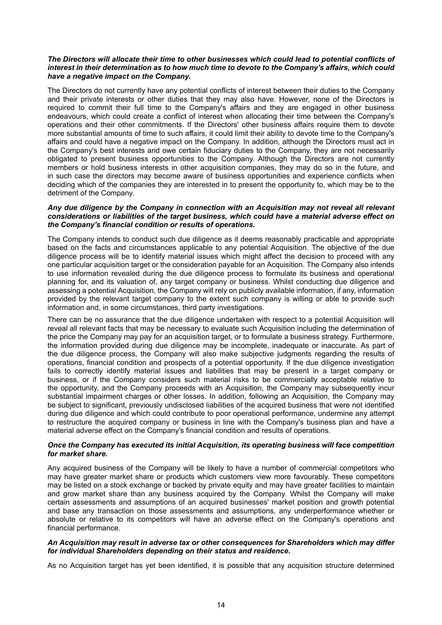#### *The Directors will allocate their time to other businesses which could lead to potential conflicts of interest in their determination as to how much time to devote to the Company's affairs, which could have a negative impact on the Company.*

The Directors do not currently have any potential conflicts of interest between their duties to the Company and their private interests or other duties that they may also have. However, none of the Directors is required to commit their full time to the Company's affairs and they are engaged in other business endeavours, which could create a conflict of interest when allocating their time between the Company's operations and their other commitments. If the Directors' other business affairs require them to devote more substantial amounts of time to such affairs, it could limit their ability to devote time to the Company's affairs and could have a negative impact on the Company. In addition, although the Directors must act in the Company's best interests and owe certain fiduciary duties to the Company, they are not necessarily obligated to present business opportunities to the Company. Although the Directors are not currently members or hold business interests in other acquisition companies, they may do so in the future, and in such case the directors may become aware of business opportunities and experience conflicts when deciding which of the companies they are interested in to present the opportunity to, which may be to the detriment of the Company.

#### *Any due diligence by the Company in connection with an Acquisition may not reveal all relevant considerations or liabilities of the target business, which could have a material adverse effect on the Company's financial condition or results of operations.*

The Company intends to conduct such due diligence as it deems reasonably practicable and appropriate based on the facts and circumstances applicable to any potential Acquisition. The objective of the due diligence process will be to identify material issues which might affect the decision to proceed with any one particular acquisition target or the consideration payable for an Acquisition. The Company also intends to use information revealed during the due diligence process to formulate its business and operational planning for, and its valuation of, any target company or business. Whilst conducting due diligence and assessing a potential Acquisition, the Company will rely on publicly available information, if any, information provided by the relevant target company to the extent such company is willing or able to provide such information and, in some circumstances, third party investigations.

There can be no assurance that the due diligence undertaken with respect to a potential Acquisition will reveal all relevant facts that may be necessary to evaluate such Acquisition including the determination of the price the Company may pay for an acquisition target, or to formulate a business strategy. Furthermore, the information provided during due diligence may be incomplete, inadequate or inaccurate. As part of the due diligence process, the Company will also make subjective judgments regarding the results of operations, financial condition and prospects of a potential opportunity. If the due diligence investigation fails to correctly identify material issues and liabilities that may be present in a target company or business, or if the Company considers such material risks to be commercially acceptable relative to the opportunity, and the Company proceeds with an Acquisition, the Company may subsequently incur substantial impairment charges or other losses. In addition, following an Acquisition, the Company may be subject to significant, previously undisclosed liabilities of the acquired business that were not identified during due diligence and which could contribute to poor operational performance, undermine any attempt to restructure the acquired company or business in line with the Company's business plan and have a material adverse effect on the Company's financial condition and results of operations.

#### *Once the Company has executed its initial Acquisition, its operating business will face competition for market share.*

Any acquired business of the Company will be likely to have a number of commercial competitors who may have greater market share or products which customers view more favourably. These competitors may be listed on a stock exchange or backed by private equity and may have greater facilities to maintain and grow market share than any business acquired by the Company. Whilst the Company will make certain assessments and assumptions of an acquired businesses' market position and growth potential and base any transaction on those assessments and assumptions, any underperformance whether or absolute or relative to its competitors will have an adverse effect on the Company's operations and financial performance.

#### *An Acquisition may result in adverse tax or other consequences for Shareholders which may differ for individual Shareholders depending on their status and residence.*

As no Acquisition target has yet been identified, it is possible that any acquisition structure determined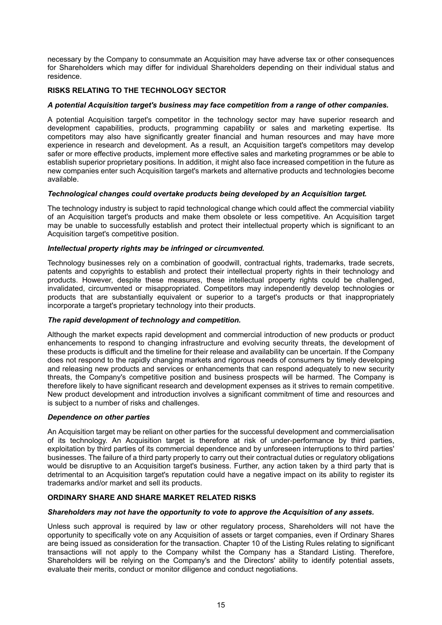necessary by the Company to consummate an Acquisition may have adverse tax or other consequences for Shareholders which may differ for individual Shareholders depending on their individual status and residence.

## **RISKS RELATING TO THE TECHNOLOGY SECTOR**

## *A potential Acquisition target's business may face competition from a range of other companies.*

A potential Acquisition target's competitor in the technology sector may have superior research and development capabilities, products, programming capability or sales and marketing expertise. Its competitors may also have significantly greater financial and human resources and may have more experience in research and development. As a result, an Acquisition target's competitors may develop safer or more effective products, implement more effective sales and marketing programmes or be able to establish superior proprietary positions. In addition, it might also face increased competition in the future as new companies enter such Acquisition target's markets and alternative products and technologies become available.

#### *Technological changes could overtake products being developed by an Acquisition target.*

The technology industry is subject to rapid technological change which could affect the commercial viability of an Acquisition target's products and make them obsolete or less competitive. An Acquisition target may be unable to successfully establish and protect their intellectual property which is significant to an Acquisition target's competitive position.

### *Intellectual property rights may be infringed or circumvented.*

Technology businesses rely on a combination of goodwill, contractual rights, trademarks, trade secrets, patents and copyrights to establish and protect their intellectual property rights in their technology and products. However, despite these measures, these intellectual property rights could be challenged, invalidated, circumvented or misappropriated. Competitors may independently develop technologies or products that are substantially equivalent or superior to a target's products or that inappropriately incorporate a target's proprietary technology into their products.

## *The rapid development of technology and competition.*

Although the market expects rapid development and commercial introduction of new products or product enhancements to respond to changing infrastructure and evolving security threats, the development of these products is difficult and the timeline for their release and availability can be uncertain. If the Company does not respond to the rapidly changing markets and rigorous needs of consumers by timely developing and releasing new products and services or enhancements that can respond adequately to new security threats, the Company's competitive position and business prospects will be harmed. The Company is therefore likely to have significant research and development expenses as it strives to remain competitive. New product development and introduction involves a significant commitment of time and resources and is subject to a number of risks and challenges.

#### *Dependence on other parties*

An Acquisition target may be reliant on other parties for the successful development and commercialisation of its technology. An Acquisition target is therefore at risk of under-performance by third parties, exploitation by third parties of its commercial dependence and by unforeseen interruptions to third parties' businesses. The failure of a third party properly to carry out their contractual duties or regulatory obligations would be disruptive to an Acquisition target's business. Further, any action taken by a third party that is detrimental to an Acquisition target's reputation could have a negative impact on its ability to register its trademarks and/or market and sell its products.

## **ORDINARY SHARE AND SHARE MARKET RELATED RISKS**

#### *Shareholders may not have the opportunity to vote to approve the Acquisition of any assets.*

Unless such approval is required by law or other regulatory process, Shareholders will not have the opportunity to specifically vote on any Acquisition of assets or target companies, even if Ordinary Shares are being issued as consideration for the transaction. Chapter 10 of the Listing Rules relating to significant transactions will not apply to the Company whilst the Company has a Standard Listing. Therefore, Shareholders will be relying on the Company's and the Directors' ability to identify potential assets, evaluate their merits, conduct or monitor diligence and conduct negotiations.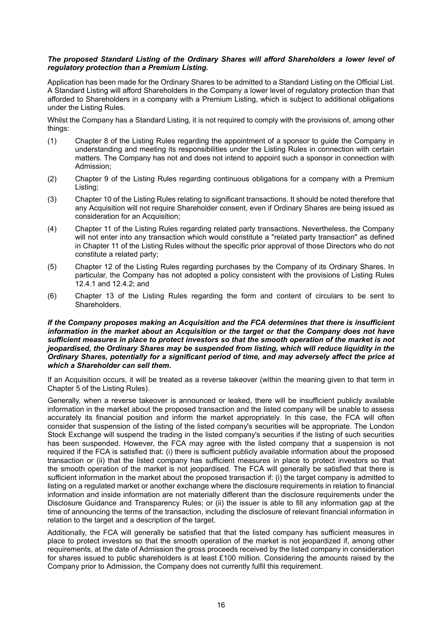#### *The proposed Standard Listing of the Ordinary Shares will afford Shareholders a lower level of regulatory protection than a Premium Listing.*

Application has been made for the Ordinary Shares to be admitted to a Standard Listing on the Official List. A Standard Listing will afford Shareholders in the Company a lower level of regulatory protection than that afforded to Shareholders in a company with a Premium Listing, which is subject to additional obligations under the Listing Rules.

Whilst the Company has a Standard Listing, it is not required to comply with the provisions of, among other things:

- (1) Chapter 8 of the Listing Rules regarding the appointment of a sponsor to guide the Company in understanding and meeting its responsibilities under the Listing Rules in connection with certain matters. The Company has not and does not intend to appoint such a sponsor in connection with Admission;
- (2) Chapter 9 of the Listing Rules regarding continuous obligations for a company with a Premium Listing;
- (3) Chapter 10 of the Listing Rules relating to significant transactions. It should be noted therefore that any Acquisition will not require Shareholder consent, even if Ordinary Shares are being issued as consideration for an Acquisition;
- (4) Chapter 11 of the Listing Rules regarding related party transactions. Nevertheless, the Company will not enter into any transaction which would constitute a "related party transaction" as defined in Chapter 11 of the Listing Rules without the specific prior approval of those Directors who do not constitute a related party;
- (5) Chapter 12 of the Listing Rules regarding purchases by the Company of its Ordinary Shares. In particular, the Company has not adopted a policy consistent with the provisions of Listing Rules 12.4.1 and 12.4.2; and
- (6) Chapter 13 of the Listing Rules regarding the form and content of circulars to be sent to Shareholders.

#### *If the Company proposes making an Acquisition and the FCA determines that there is insufficient information in the market about an Acquisition or the target or that the Company does not have sufficient measures in place to protect investors so that the smooth operation of the market is not jeopardised, the Ordinary Shares may be suspended from listing, which will reduce liquidity in the Ordinary Shares, potentially for a significant period of time, and may adversely affect the price at which a Shareholder can sell them.*

If an Acquisition occurs, it will be treated as a reverse takeover (within the meaning given to that term in Chapter 5 of the Listing Rules).

Generally, when a reverse takeover is announced or leaked, there will be insufficient publicly available information in the market about the proposed transaction and the listed company will be unable to assess accurately its financial position and inform the market appropriately. In this case, the FCA will often consider that suspension of the listing of the listed company's securities will be appropriate. The London Stock Exchange will suspend the trading in the listed company's securities if the listing of such securities has been suspended. However, the FCA may agree with the listed company that a suspension is not required if the FCA is satisfied that: (i) there is sufficient publicly available information about the proposed transaction or (ii) that the listed company has sufficient measures in place to protect investors so that the smooth operation of the market is not jeopardised. The FCA will generally be satisfied that there is sufficient information in the market about the proposed transaction if: (i) the target company is admitted to listing on a regulated market or another exchange where the disclosure requirements in relation to financial information and inside information are not materially different than the disclosure requirements under the Disclosure Guidance and Transparency Rules; or (ii) the issuer is able to fill any information gap at the time of announcing the terms of the transaction, including the disclosure of relevant financial information in relation to the target and a description of the target.

Additionally, the FCA will generally be satisfied that that the listed company has sufficient measures in place to protect investors so that the smooth operation of the market is not jeopardized if, among other requirements, at the date of Admission the gross proceeds received by the listed company in consideration for shares issued to public shareholders is at least £100 million. Considering the amounts raised by the Company prior to Admission, the Company does not currently fulfil this requirement.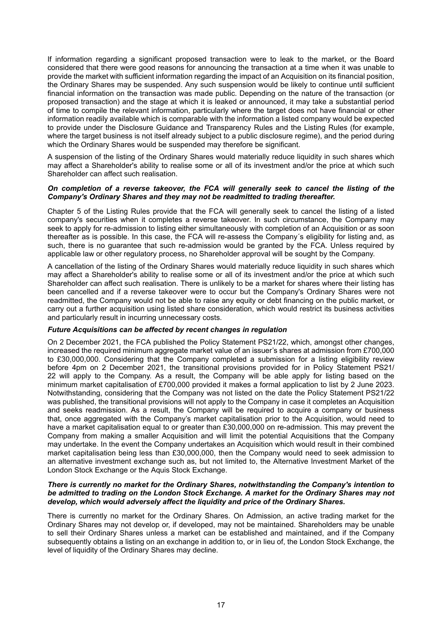If information regarding a significant proposed transaction were to leak to the market, or the Board considered that there were good reasons for announcing the transaction at a time when it was unable to provide the market with sufficient information regarding the impact of an Acquisition on its financial position, the Ordinary Shares may be suspended. Any such suspension would be likely to continue until sufficient financial information on the transaction was made public. Depending on the nature of the transaction (or proposed transaction) and the stage at which it is leaked or announced, it may take a substantial period of time to compile the relevant information, particularly where the target does not have financial or other information readily available which is comparable with the information a listed company would be expected to provide under the Disclosure Guidance and Transparency Rules and the Listing Rules (for example, where the target business is not itself already subject to a public disclosure regime), and the period during which the Ordinary Shares would be suspended may therefore be significant.

A suspension of the listing of the Ordinary Shares would materially reduce liquidity in such shares which may affect a Shareholder's ability to realise some or all of its investment and/or the price at which such Shareholder can affect such realisation.

#### *On completion of a reverse takeover, the FCA will generally seek to cancel the listing of the Company's Ordinary Shares and they may not be readmitted to trading thereafter.*

Chapter 5 of the Listing Rules provide that the FCA will generally seek to cancel the listing of a listed company's securities when it completes a reverse takeover. In such circumstance, the Company may seek to apply for re-admission to listing either simultaneously with completion of an Acquisition or as soon thereafter as is possible. In this case, the FCA will re-assess the Company´s eligibility for listing and, as such, there is no guarantee that such re-admission would be granted by the FCA. Unless required by applicable law or other regulatory process, no Shareholder approval will be sought by the Company.

A cancellation of the listing of the Ordinary Shares would materially reduce liquidity in such shares which may affect a Shareholder's ability to realise some or all of its investment and/or the price at which such Shareholder can affect such realisation. There is unlikely to be a market for shares where their listing has been cancelled and if a reverse takeover were to occur but the Company's Ordinary Shares were not readmitted, the Company would not be able to raise any equity or debt financing on the public market, or carry out a further acquisition using listed share consideration, which would restrict its business activities and particularly result in incurring unnecessary costs.

## *Future Acquisitions can be affected by recent changes in regulation*

On 2 December 2021, the FCA published the Policy Statement PS21/22, which, amongst other changes, increased the required minimum aggregate market value of an issuer's shares at admission from £700,000 to £30,000,000. Considering that the Company completed a submission for a listing eligibility review before 4pm on 2 December 2021, the transitional provisions provided for in Policy Statement PS21/ 22 will apply to the Company. As a result, the Company will be able apply for listing based on the minimum market capitalisation of £700,000 provided it makes a formal application to list by 2 June 2023. Notwithstanding, considering that the Company was not listed on the date the Policy Statement PS21/22 was published, the transitional provisions will not apply to the Company in case it completes an Acquisition and seeks readmission. As a result, the Company will be required to acquire a company or business that, once aggregated with the Company's market capitalisation prior to the Acquisition, would need to have a market capitalisation equal to or greater than £30,000,000 on re-admission. This may prevent the Company from making a smaller Acquisition and will limit the potential Acquisitions that the Company may undertake. In the event the Company undertakes an Acquisition which would result in their combined market capitalisation being less than £30,000,000, then the Company would need to seek admission to an alternative investment exchange such as, but not limited to, the Alternative Investment Market of the London Stock Exchange or the Aquis Stock Exchange.

#### *There is currently no market for the Ordinary Shares, notwithstanding the Company's intention to be admitted to trading on the London Stock Exchange. A market for the Ordinary Shares may not develop, which would adversely affect the liquidity and price of the Ordinary Shares.*

There is currently no market for the Ordinary Shares. On Admission, an active trading market for the Ordinary Shares may not develop or, if developed, may not be maintained. Shareholders may be unable to sell their Ordinary Shares unless a market can be established and maintained, and if the Company subsequently obtains a listing on an exchange in addition to, or in lieu of, the London Stock Exchange, the level of liquidity of the Ordinary Shares may decline.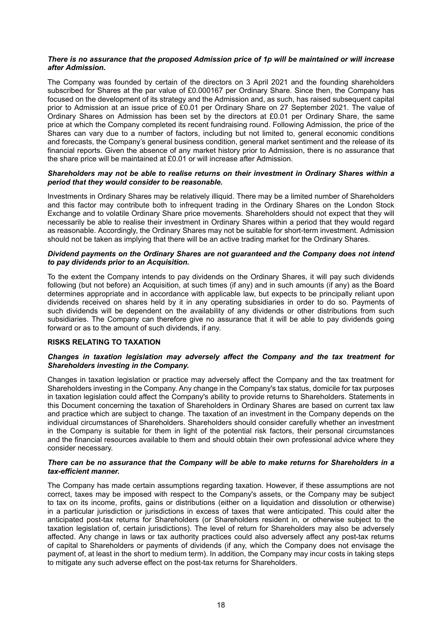#### *There is no assurance that the proposed Admission price of 1p will be maintained or will increase after Admission.*

The Company was founded by certain of the directors on 3 April 2021 and the founding shareholders subscribed for Shares at the par value of £0.000167 per Ordinary Share. Since then, the Company has focused on the development of its strategy and the Admission and, as such, has raised subsequent capital prior to Admission at an issue price of £0.01 per Ordinary Share on 27 September 2021. The value of Ordinary Shares on Admission has been set by the directors at £0.01 per Ordinary Share, the same price at which the Company completed its recent fundraising round. Following Admission, the price of the Shares can vary due to a number of factors, including but not limited to, general economic conditions and forecasts, the Company's general business condition, general market sentiment and the release of its financial reports. Given the absence of any market history prior to Admission, there is no assurance that the share price will be maintained at £0.01 or will increase after Admission.

#### *Shareholders may not be able to realise returns on their investment in Ordinary Shares within a period that they would consider to be reasonable.*

Investments in Ordinary Shares may be relatively illiquid. There may be a limited number of Shareholders and this factor may contribute both to infrequent trading in the Ordinary Shares on the London Stock Exchange and to volatile Ordinary Share price movements. Shareholders should not expect that they will necessarily be able to realise their investment in Ordinary Shares within a period that they would regard as reasonable. Accordingly, the Ordinary Shares may not be suitable for short-term investment. Admission should not be taken as implying that there will be an active trading market for the Ordinary Shares.

#### *Dividend payments on the Ordinary Shares are not guaranteed and the Company does not intend to pay dividends prior to an Acquisition.*

To the extent the Company intends to pay dividends on the Ordinary Shares, it will pay such dividends following (but not before) an Acquisition, at such times (if any) and in such amounts (if any) as the Board determines appropriate and in accordance with applicable law, but expects to be principally reliant upon dividends received on shares held by it in any operating subsidiaries in order to do so. Payments of such dividends will be dependent on the availability of any dividends or other distributions from such subsidiaries. The Company can therefore give no assurance that it will be able to pay dividends going forward or as to the amount of such dividends, if any.

## **RISKS RELATING TO TAXATION**

#### *Changes in taxation legislation may adversely affect the Company and the tax treatment for Shareholders investing in the Company.*

Changes in taxation legislation or practice may adversely affect the Company and the tax treatment for Shareholders investing in the Company. Any change in the Company's tax status, domicile for tax purposes in taxation legislation could affect the Company's ability to provide returns to Shareholders. Statements in this Document concerning the taxation of Shareholders in Ordinary Shares are based on current tax law and practice which are subject to change. The taxation of an investment in the Company depends on the individual circumstances of Shareholders. Shareholders should consider carefully whether an investment in the Company is suitable for them in light of the potential risk factors, their personal circumstances and the financial resources available to them and should obtain their own professional advice where they consider necessary.

#### *There can be no assurance that the Company will be able to make returns for Shareholders in a tax-efficient manner.*

The Company has made certain assumptions regarding taxation. However, if these assumptions are not correct, taxes may be imposed with respect to the Company's assets, or the Company may be subject to tax on its income, profits, gains or distributions (either on a liquidation and dissolution or otherwise) in a particular jurisdiction or jurisdictions in excess of taxes that were anticipated. This could alter the anticipated post-tax returns for Shareholders (or Shareholders resident in, or otherwise subject to the taxation legislation of, certain jurisdictions). The level of return for Shareholders may also be adversely affected. Any change in laws or tax authority practices could also adversely affect any post-tax returns of capital to Shareholders or payments of dividends (if any, which the Company does not envisage the payment of, at least in the short to medium term). In addition, the Company may incur costs in taking steps to mitigate any such adverse effect on the post-tax returns for Shareholders.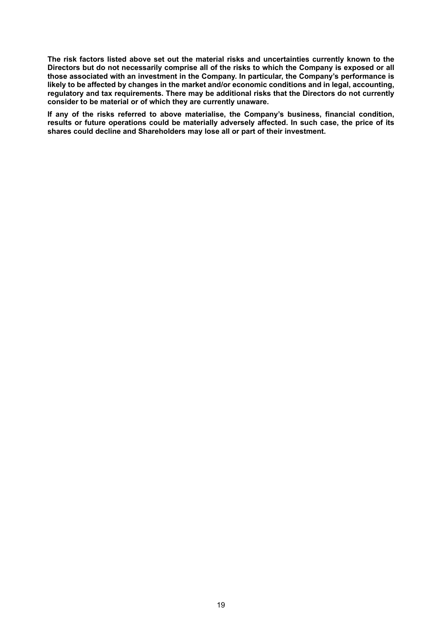**The risk factors listed above set out the material risks and uncertainties currently known to the Directors but do not necessarily comprise all of the risks to which the Company is exposed or all those associated with an investment in the Company. In particular, the Company's performance is likely to be affected by changes in the market and/or economic conditions and in legal, accounting, regulatory and tax requirements. There may be additional risks that the Directors do not currently consider to be material or of which they are currently unaware.**

**If any of the risks referred to above materialise, the Company's business, financial condition, results or future operations could be materially adversely affected. In such case, the price of its shares could decline and Shareholders may lose all or part of their investment.**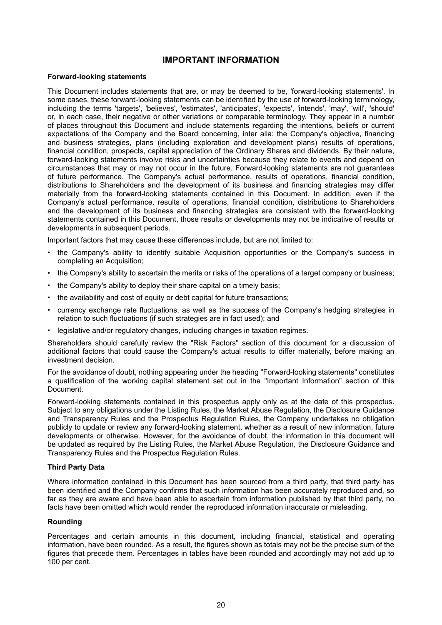## **IMPORTANT INFORMATION**

#### <span id="page-19-0"></span>**Forward-looking statements**

This Document includes statements that are, or may be deemed to be, 'forward-looking statements'. In some cases, these forward-looking statements can be identified by the use of forward-looking terminology, including the terms 'targets', 'believes', 'estimates', 'anticipates', 'expects', 'intends', 'may', 'will', 'should' or, in each case, their negative or other variations or comparable terminology. They appear in a number of places throughout this Document and include statements regarding the intentions, beliefs or current expectations of the Company and the Board concerning, inter alia: the Company's objective, financing and business strategies, plans (including exploration and development plans) results of operations, financial condition, prospects, capital appreciation of the Ordinary Shares and dividends. By their nature, forward-looking statements involve risks and uncertainties because they relate to events and depend on circumstances that may or may not occur in the future. Forward-looking statements are not guarantees of future performance. The Company's actual performance, results of operations, financial condition, distributions to Shareholders and the development of its business and financing strategies may differ materially from the forward-looking statements contained in this Document. In addition, even if the Company's actual performance, results of operations, financial condition, distributions to Shareholders and the development of its business and financing strategies are consistent with the forward-looking statements contained in this Document, those results or developments may not be indicative of results or developments in subsequent periods.

Important factors that may cause these differences include, but are not limited to:

- the Company's ability to identify suitable Acquisition opportunities or the Company's success in completing an Acquisition;
- the Company's ability to ascertain the merits or risks of the operations of a target company or business;
- the Company's ability to deploy their share capital on a timely basis;
- the availability and cost of equity or debt capital for future transactions;
- currency exchange rate fluctuations, as well as the success of the Company's hedging strategies in relation to such fluctuations (if such strategies are in fact used); and
- legislative and/or regulatory changes, including changes in taxation regimes.

Shareholders should carefully review the "Risk Factors" section of this document for a discussion of additional factors that could cause the Company's actual results to differ materially, before making an investment decision.

For the avoidance of doubt, nothing appearing under the heading "Forward-looking statements" constitutes a qualification of the working capital statement set out in the "Important Information" section of this Document.

Forward-looking statements contained in this prospectus apply only as at the date of this prospectus. Subject to any obligations under the Listing Rules, the Market Abuse Regulation, the Disclosure Guidance and Transparency Rules and the Prospectus Regulation Rules, the Company undertakes no obligation publicly to update or review any forward-looking statement, whether as a result of new information, future developments or otherwise. However, for the avoidance of doubt, the information in this document will be updated as required by the Listing Rules, the Market Abuse Regulation, the Disclosure Guidance and Transparency Rules and the Prospectus Regulation Rules.

#### **Third Party Data**

Where information contained in this Document has been sourced from a third party, that third party has been identified and the Company confirms that such information has been accurately reproduced and, so far as they are aware and have been able to ascertain from information published by that third party, no facts have been omitted which would render the reproduced information inaccurate or misleading.

#### **Rounding**

Percentages and certain amounts in this document, including financial, statistical and operating information, have been rounded. As a result, the figures shown as totals may not be the precise sum of the figures that precede them. Percentages in tables have been rounded and accordingly may not add up to 100 per cent.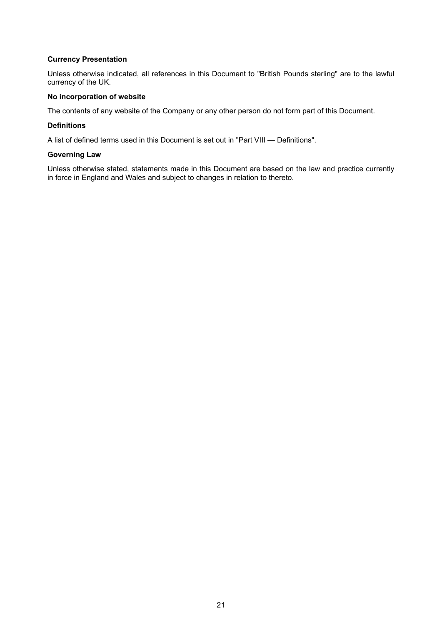## **Currency Presentation**

Unless otherwise indicated, all references in this Document to "British Pounds sterling" are to the lawful currency of the UK.

### **No incorporation of website**

The contents of any website of the Company or any other person do not form part of this Document.

#### **Definitions**

A list of defined terms used in this Document is set out in "Part VIII — Definitions".

### **Governing Law**

Unless otherwise stated, statements made in this Document are based on the law and practice currently in force in England and Wales and subject to changes in relation to thereto.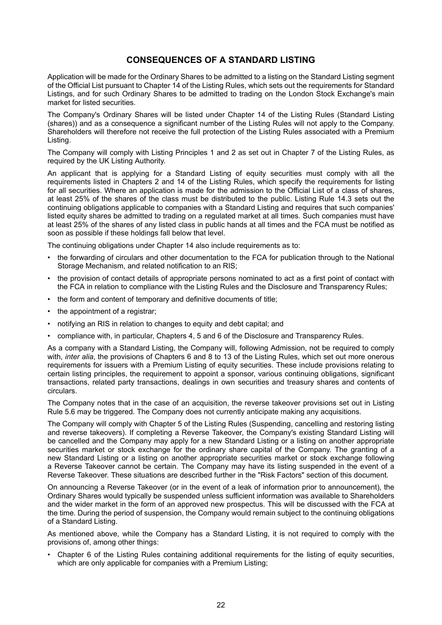## **CONSEQUENCES OF A STANDARD LISTING**

<span id="page-21-0"></span>Application will be made for the Ordinary Shares to be admitted to a listing on the Standard Listing segment of the Official List pursuant to Chapter 14 of the Listing Rules, which sets out the requirements for Standard Listings, and for such Ordinary Shares to be admitted to trading on the London Stock Exchange's main market for listed securities.

The Company's Ordinary Shares will be listed under Chapter 14 of the Listing Rules (Standard Listing (shares)) and as a consequence a significant number of the Listing Rules will not apply to the Company. Shareholders will therefore not receive the full protection of the Listing Rules associated with a Premium Listing.

The Company will comply with Listing Principles 1 and 2 as set out in Chapter 7 of the Listing Rules, as required by the UK Listing Authority.

An applicant that is applying for a Standard Listing of equity securities must comply with all the requirements listed in Chapters 2 and 14 of the Listing Rules, which specify the requirements for listing for all securities. Where an application is made for the admission to the Official List of a class of shares, at least 25% of the shares of the class must be distributed to the public. Listing Rule 14.3 sets out the continuing obligations applicable to companies with a Standard Listing and requires that such companies' listed equity shares be admitted to trading on a regulated market at all times. Such companies must have at least 25% of the shares of any listed class in public hands at all times and the FCA must be notified as soon as possible if these holdings fall below that level.

The continuing obligations under Chapter 14 also include requirements as to:

- the forwarding of circulars and other documentation to the FCA for publication through to the National Storage Mechanism, and related notification to an RIS;
- the provision of contact details of appropriate persons nominated to act as a first point of contact with the FCA in relation to compliance with the Listing Rules and the Disclosure and Transparency Rules;
- the form and content of temporary and definitive documents of title;
- the appointment of a registrar;
- notifying an RIS in relation to changes to equity and debt capital; and
- compliance with, in particular, Chapters 4, 5 and 6 of the Disclosure and Transparency Rules.

As a company with a Standard Listing, the Company will, following Admission, not be required to comply with, *inter alia*, the provisions of Chapters 6 and 8 to 13 of the Listing Rules, which set out more onerous requirements for issuers with a Premium Listing of equity securities. These include provisions relating to certain listing principles, the requirement to appoint a sponsor, various continuing obligations, significant transactions, related party transactions, dealings in own securities and treasury shares and contents of circulars.

The Company notes that in the case of an acquisition, the reverse takeover provisions set out in Listing Rule 5.6 may be triggered. The Company does not currently anticipate making any acquisitions.

The Company will comply with Chapter 5 of the Listing Rules (Suspending, cancelling and restoring listing and reverse takeovers). If completing a Reverse Takeover, the Company's existing Standard Listing will be cancelled and the Company may apply for a new Standard Listing or a listing on another appropriate securities market or stock exchange for the ordinary share capital of the Company. The granting of a new Standard Listing or a listing on another appropriate securities market or stock exchange following a Reverse Takeover cannot be certain. The Company may have its listing suspended in the event of a Reverse Takeover. These situations are described further in the "Risk Factors" section of this document.

On announcing a Reverse Takeover (or in the event of a leak of information prior to announcement), the Ordinary Shares would typically be suspended unless sufficient information was available to Shareholders and the wider market in the form of an approved new prospectus. This will be discussed with the FCA at the time. During the period of suspension, the Company would remain subject to the continuing obligations of a Standard Listing.

As mentioned above, while the Company has a Standard Listing, it is not required to comply with the provisions of, among other things:

• Chapter 6 of the Listing Rules containing additional requirements for the listing of equity securities, which are only applicable for companies with a Premium Listing;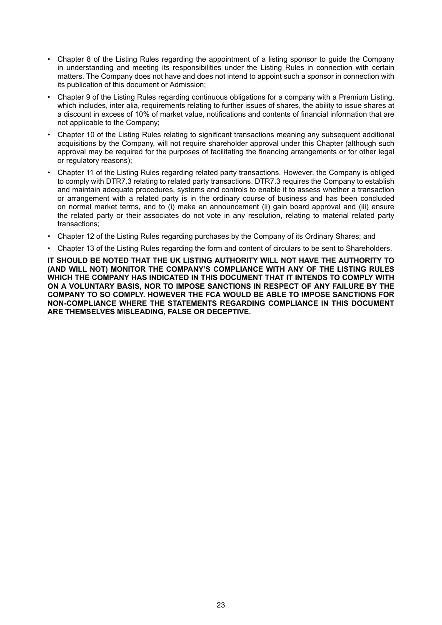- Chapter 8 of the Listing Rules regarding the appointment of a listing sponsor to guide the Company in understanding and meeting its responsibilities under the Listing Rules in connection with certain matters. The Company does not have and does not intend to appoint such a sponsor in connection with its publication of this document or Admission;
- Chapter 9 of the Listing Rules regarding continuous obligations for a company with a Premium Listing, which includes, inter alia, requirements relating to further issues of shares, the ability to issue shares at a discount in excess of 10% of market value, notifications and contents of financial information that are not applicable to the Company;
- Chapter 10 of the Listing Rules relating to significant transactions meaning any subsequent additional acquisitions by the Company, will not require shareholder approval under this Chapter (although such approval may be required for the purposes of facilitating the financing arrangements or for other legal or regulatory reasons);
- Chapter 11 of the Listing Rules regarding related party transactions. However, the Company is obliged to comply with DTR7.3 relating to related party transactions. DTR7.3 requires the Company to establish and maintain adequate procedures, systems and controls to enable it to assess whether a transaction or arrangement with a related party is in the ordinary course of business and has been concluded on normal market terms, and to (i) make an announcement (ii) gain board approval and (iii) ensure the related party or their associates do not vote in any resolution, relating to material related party transactions;
- Chapter 12 of the Listing Rules regarding purchases by the Company of its Ordinary Shares; and
- Chapter 13 of the Listing Rules regarding the form and content of circulars to be sent to Shareholders.

**IT SHOULD BE NOTED THAT THE UK LISTING AUTHORITY WILL NOT HAVE THE AUTHORITY TO (AND WILL NOT) MONITOR THE COMPANY'S COMPLIANCE WITH ANY OF THE LISTING RULES WHICH THE COMPANY HAS INDICATED IN THIS DOCUMENT THAT IT INTENDS TO COMPLY WITH ON A VOLUNTARY BASIS, NOR TO IMPOSE SANCTIONS IN RESPECT OF ANY FAILURE BY THE COMPANY TO SO COMPLY. HOWEVER THE FCA WOULD BE ABLE TO IMPOSE SANCTIONS FOR NON-COMPLIANCE WHERE THE STATEMENTS REGARDING COMPLIANCE IN THIS DOCUMENT ARE THEMSELVES MISLEADING, FALSE OR DECEPTIVE.**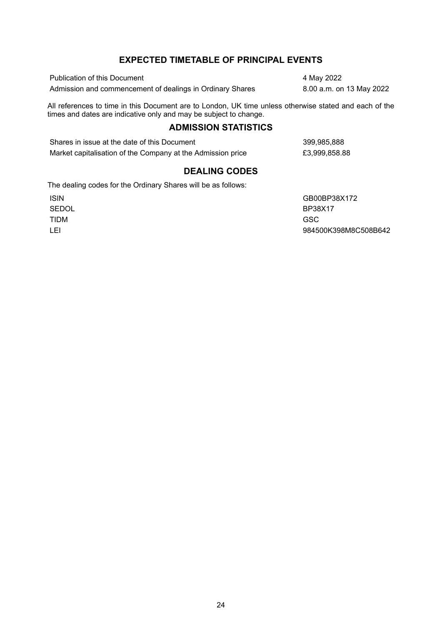## **EXPECTED TIMETABLE OF PRINCIPAL EVENTS**

<span id="page-23-0"></span>Publication of this Document 4 May 2022 Admission and commencement of dealings in Ordinary Shares 8.00 a.m. on 13 May 2022

All references to time in this Document are to London, UK time unless otherwise stated and each of the times and dates are indicative only and may be subject to change.

## **ADMISSION STATISTICS**

Shares in issue at the date of this Document 399,985,888 Market capitalisation of the Company at the Admission price  $£3,999,858.88$ 

## **DEALING CODES**

The dealing codes for the Ordinary Shares will be as follows:

TIDM GSC

ISIN GB00BP38X172 SEDOL BP38X17 LEI 984500K398M8C508B642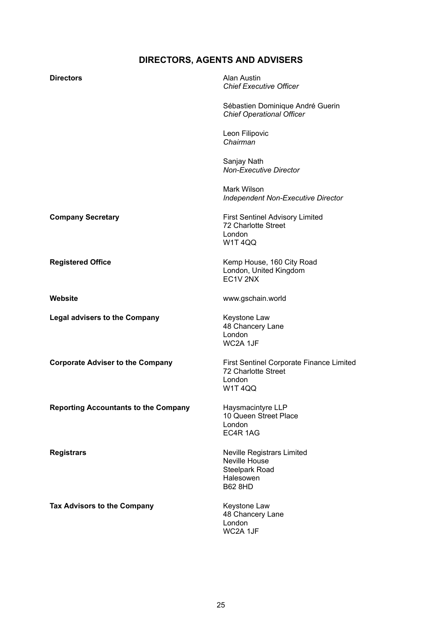## **DIRECTORS, AGENTS AND ADVISERS**

<span id="page-24-0"></span>

| <b>Directors</b>                            | Alan Austin<br><b>Chief Executive Officer</b>                                                       |
|---------------------------------------------|-----------------------------------------------------------------------------------------------------|
|                                             | Sébastien Dominique André Guerin<br><b>Chief Operational Officer</b>                                |
|                                             | Leon Filipovic<br>Chairman                                                                          |
|                                             | Sanjay Nath<br><b>Non-Executive Director</b>                                                        |
|                                             | Mark Wilson<br><b>Independent Non-Executive Director</b>                                            |
| <b>Company Secretary</b>                    | <b>First Sentinel Advisory Limited</b><br>72 Charlotte Street<br>London<br><b>W1T4QQ</b>            |
| <b>Registered Office</b>                    | Kemp House, 160 City Road<br>London, United Kingdom<br>EC1V 2NX                                     |
| Website                                     | www.gschain.world                                                                                   |
| <b>Legal advisers to the Company</b>        | Keystone Law<br>48 Chancery Lane<br>London<br>WC2A 1JF                                              |
| <b>Corporate Adviser to the Company</b>     | <b>First Sentinel Corporate Finance Limited</b><br>72 Charlotte Street<br>London<br>W1T4QQ          |
| <b>Reporting Accountants to the Company</b> | Haysmacintyre LLP<br>10 Queen Street Place<br>London<br>EC4R 1AG                                    |
| <b>Registrars</b>                           | Neville Registrars Limited<br>Neville House<br><b>Steelpark Road</b><br>Halesowen<br><b>B62 8HD</b> |
| Tax Advisors to the Company                 | Keystone Law<br>48 Chancery Lane<br>London<br>WC2A 1JF                                              |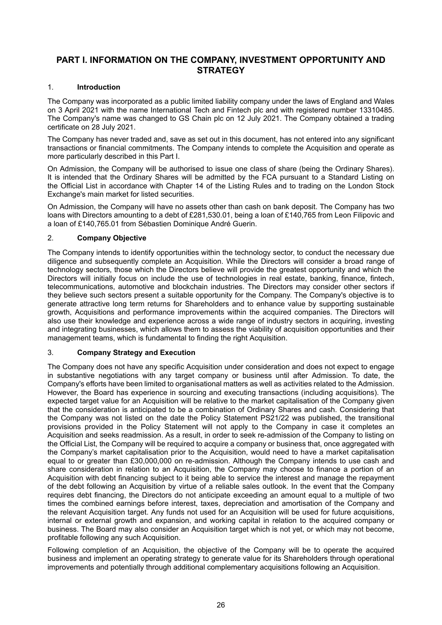## **PART I. INFORMATION ON THE COMPANY, INVESTMENT OPPORTUNITY AND STRATEGY**

## <span id="page-25-0"></span>1. **Introduction**

The Company was incorporated as a public limited liability company under the laws of England and Wales on 3 April 2021 with the name International Tech and Fintech plc and with registered number 13310485. The Company's name was changed to GS Chain plc on 12 July 2021. The Company obtained a trading certificate on 28 July 2021.

The Company has never traded and, save as set out in this document, has not entered into any significant transactions or financial commitments. The Company intends to complete the Acquisition and operate as more particularly described in this Part I.

On Admission, the Company will be authorised to issue one class of share (being the Ordinary Shares). It is intended that the Ordinary Shares will be admitted by the FCA pursuant to a Standard Listing on the Official List in accordance with Chapter 14 of the Listing Rules and to trading on the London Stock Exchange's main market for listed securities.

On Admission, the Company will have no assets other than cash on bank deposit. The Company has two loans with Directors amounting to a debt of £281,530.01, being a loan of £140,765 from Leon Filipovic and a loan of £140,765.01 from Sébastien Dominique André Guerin.

## 2. **Company Objective**

The Company intends to identify opportunities within the technology sector, to conduct the necessary due diligence and subsequently complete an Acquisition. While the Directors will consider a broad range of technology sectors, those which the Directors believe will provide the greatest opportunity and which the Directors will initially focus on include the use of technologies in real estate, banking, finance, fintech, telecommunications, automotive and blockchain industries. The Directors may consider other sectors if they believe such sectors present a suitable opportunity for the Company. The Company's objective is to generate attractive long term returns for Shareholders and to enhance value by supporting sustainable growth, Acquisitions and performance improvements within the acquired companies. The Directors will also use their knowledge and experience across a wide range of industry sectors in acquiring, investing and integrating businesses, which allows them to assess the viability of acquisition opportunities and their management teams, which is fundamental to finding the right Acquisition.

## 3. **Company Strategy and Execution**

The Company does not have any specific Acquisition under consideration and does not expect to engage in substantive negotiations with any target company or business until after Admission. To date, the Company's efforts have been limited to organisational matters as well as activities related to the Admission. However, the Board has experience in sourcing and executing transactions (including acquisitions). The expected target value for an Acquisition will be relative to the market capitalisation of the Company given that the consideration is anticipated to be a combination of Ordinary Shares and cash. Considering that the Company was not listed on the date the Policy Statement PS21/22 was published, the transitional provisions provided in the Policy Statement will not apply to the Company in case it completes an Acquisition and seeks readmission. As a result, in order to seek re-admission of the Company to listing on the Official List, the Company will be required to acquire a company or business that, once aggregated with the Company's market capitalisation prior to the Acquisition, would need to have a market capitalisation equal to or greater than £30,000,000 on re-admission. Although the Company intends to use cash and share consideration in relation to an Acquisition, the Company may choose to finance a portion of an Acquisition with debt financing subject to it being able to service the interest and manage the repayment of the debt following an Acquisition by virtue of a reliable sales outlook. In the event that the Company requires debt financing, the Directors do not anticipate exceeding an amount equal to a multiple of two times the combined earnings before interest, taxes, depreciation and amortisation of the Company and the relevant Acquisition target. Any funds not used for an Acquisition will be used for future acquisitions, internal or external growth and expansion, and working capital in relation to the acquired company or business. The Board may also consider an Acquisition target which is not yet, or which may not become, profitable following any such Acquisition.

Following completion of an Acquisition, the objective of the Company will be to operate the acquired business and implement an operating strategy to generate value for its Shareholders through operational improvements and potentially through additional complementary acquisitions following an Acquisition.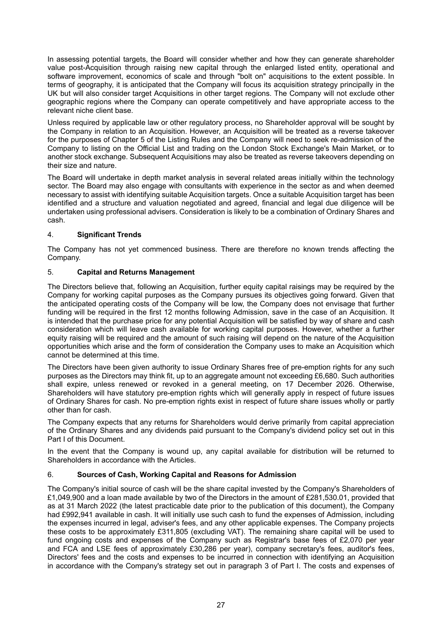In assessing potential targets, the Board will consider whether and how they can generate shareholder value post-Acquisition through raising new capital through the enlarged listed entity, operational and software improvement, economics of scale and through "bolt on" acquisitions to the extent possible. In terms of geography, it is anticipated that the Company will focus its acquisition strategy principally in the UK but will also consider target Acquisitions in other target regions. The Company will not exclude other geographic regions where the Company can operate competitively and have appropriate access to the relevant niche client base.

Unless required by applicable law or other regulatory process, no Shareholder approval will be sought by the Company in relation to an Acquisition. However, an Acquisition will be treated as a reverse takeover for the purposes of Chapter 5 of the Listing Rules and the Company will need to seek re-admission of the Company to listing on the Official List and trading on the London Stock Exchange's Main Market, or to another stock exchange. Subsequent Acquisitions may also be treated as reverse takeovers depending on their size and nature.

The Board will undertake in depth market analysis in several related areas initially within the technology sector. The Board may also engage with consultants with experience in the sector as and when deemed necessary to assist with identifying suitable Acquisition targets. Once a suitable Acquisition target has been identified and a structure and valuation negotiated and agreed, financial and legal due diligence will be undertaken using professional advisers. Consideration is likely to be a combination of Ordinary Shares and cash.

## 4. **Significant Trends**

The Company has not yet commenced business. There are therefore no known trends affecting the Company.

## 5. **Capital and Returns Management**

The Directors believe that, following an Acquisition, further equity capital raisings may be required by the Company for working capital purposes as the Company pursues its objectives going forward. Given that the anticipated operating costs of the Company will be low, the Company does not envisage that further funding will be required in the first 12 months following Admission, save in the case of an Acquisition. It is intended that the purchase price for any potential Acquisition will be satisfied by way of share and cash consideration which will leave cash available for working capital purposes. However, whether a further equity raising will be required and the amount of such raising will depend on the nature of the Acquisition opportunities which arise and the form of consideration the Company uses to make an Acquisition which cannot be determined at this time.

The Directors have been given authority to issue Ordinary Shares free of pre-emption rights for any such purposes as the Directors may think fit, up to an aggregate amount not exceeding £6,680. Such authorities shall expire, unless renewed or revoked in a general meeting, on 17 December 2026. Otherwise, Shareholders will have statutory pre-emption rights which will generally apply in respect of future issues of Ordinary Shares for cash. No pre-emption rights exist in respect of future share issues wholly or partly other than for cash.

The Company expects that any returns for Shareholders would derive primarily from capital appreciation of the Ordinary Shares and any dividends paid pursuant to the Company's dividend policy set out in this Part I of this Document.

In the event that the Company is wound up, any capital available for distribution will be returned to Shareholders in accordance with the Articles.

## 6. **Sources of Cash, Working Capital and Reasons for Admission**

The Company's initial source of cash will be the share capital invested by the Company's Shareholders of £1,049,900 and a loan made available by two of the Directors in the amount of £281,530.01, provided that as at 31 March 2022 (the latest practicable date prior to the publication of this document), the Company had £992,941 available in cash. It will initially use such cash to fund the expenses of Admission, including the expenses incurred in legal, adviser's fees, and any other applicable expenses. The Company projects these costs to be approximately £311,805 (excluding VAT). The remaining share capital will be used to fund ongoing costs and expenses of the Company such as Registrar's base fees of £2,070 per year and FCA and LSE fees of approximately £30,286 per year), company secretary's fees, auditor's fees, Directors' fees and the costs and expenses to be incurred in connection with identifying an Acquisition in accordance with the Company's strategy set out in paragraph 3 of Part I. The costs and expenses of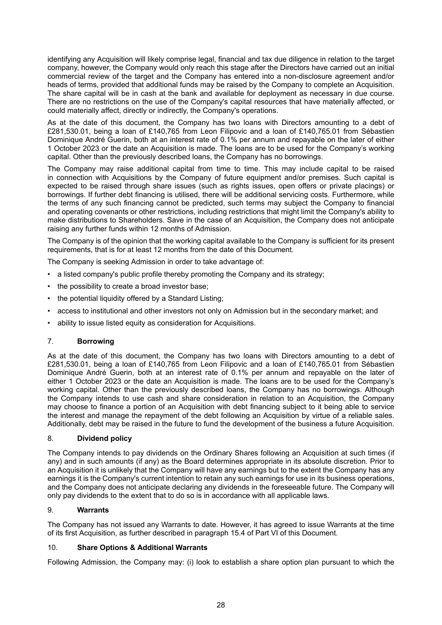identifying any Acquisition will likely comprise legal, financial and tax due diligence in relation to the target company, however, the Company would only reach this stage after the Directors have carried out an initial commercial review of the target and the Company has entered into a non-disclosure agreement and/or heads of terms, provided that additional funds may be raised by the Company to complete an Acquisition. The share capital will be in cash at the bank and available for deployment as necessary in due course. There are no restrictions on the use of the Company's capital resources that have materially affected, or could materially affect, directly or indirectly, the Company's operations.

As at the date of this document, the Company has two loans with Directors amounting to a debt of £281,530.01, being a loan of £140,765 from Leon Filipovic and a loan of £140,765.01 from Sébastien Dominique André Guerin, both at an interest rate of 0.1% per annum and repayable on the later of either 1 October 2023 or the date an Acquisition is made. The loans are to be used for the Company's working capital. Other than the previously described loans, the Company has no borrowings.

The Company may raise additional capital from time to time. This may include capital to be raised in connection with Acquisitions by the Company of future equipment and/or premises. Such capital is expected to be raised through share issues (such as rights issues, open offers or private placings) or borrowings. If further debt financing is utilised, there will be additional servicing costs. Furthermore, while the terms of any such financing cannot be predicted, such terms may subject the Company to financial and operating covenants or other restrictions, including restrictions that might limit the Company's ability to make distributions to Shareholders. Save in the case of an Acquisition, the Company does not anticipate raising any further funds within 12 months of Admission.

The Company is of the opinion that the working capital available to the Company is sufficient for its present requirements, that is for at least 12 months from the date of this Document.

The Company is seeking Admission in order to take advantage of:

- a listed company's public profile thereby promoting the Company and its strategy;
- the possibility to create a broad investor base;
- the potential liquidity offered by a Standard Listing;
- access to institutional and other investors not only on Admission but in the secondary market; and
- ability to issue listed equity as consideration for Acquisitions.

## 7. **Borrowing**

As at the date of this document, the Company has two loans with Directors amounting to a debt of £281,530.01, being a loan of £140,765 from Leon Filipovic and a loan of £140,765.01 from Sébastien Dominique André Guerin, both at an interest rate of 0.1% per annum and repayable on the later of either 1 October 2023 or the date an Acquisition is made. The loans are to be used for the Company's working capital. Other than the previously described loans, the Company has no borrowings. Although the Company intends to use cash and share consideration in relation to an Acquisition, the Company may choose to finance a portion of an Acquisition with debt financing subject to it being able to service the interest and manage the repayment of the debt following an Acquisition by virtue of a reliable sales. Additionally, debt may be raised in the future to fund the development of the business a future Acquisition.

## 8. **Dividend policy**

The Company intends to pay dividends on the Ordinary Shares following an Acquisition at such times (if any) and in such amounts (if any) as the Board determines appropriate in its absolute discretion. Prior to an Acquisition it is unlikely that the Company will have any earnings but to the extent the Company has any earnings it is the Company's current intention to retain any such earnings for use in its business operations, and the Company does not anticipate declaring any dividends in the foreseeable future. The Company will only pay dividends to the extent that to do so is in accordance with all applicable laws.

## 9. **Warrants**

The Company has not issued any Warrants to date. However, it has agreed to issue Warrants at the time of its first Acquisition, as further described in paragraph 15.4 of Part VI of this Document.

## 10. **Share Options & Additional Warrants**

Following Admission, the Company may: (i) look to establish a share option plan pursuant to which the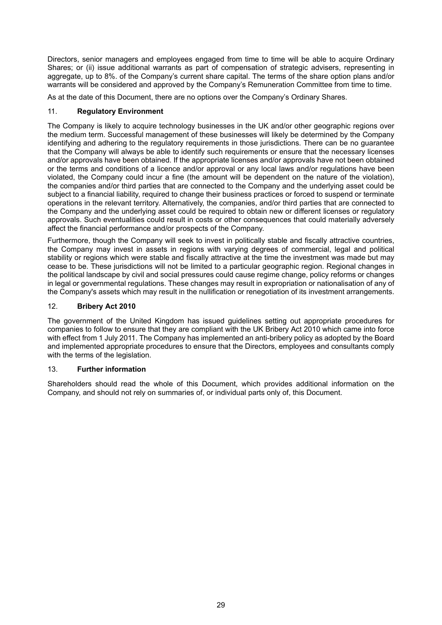Directors, senior managers and employees engaged from time to time will be able to acquire Ordinary Shares; or (ii) issue additional warrants as part of compensation of strategic advisers, representing in aggregate, up to 8%. of the Company's current share capital. The terms of the share option plans and/or warrants will be considered and approved by the Company's Remuneration Committee from time to time.

As at the date of this Document, there are no options over the Company's Ordinary Shares.

## 11. **Regulatory Environment**

The Company is likely to acquire technology businesses in the UK and/or other geographic regions over the medium term. Successful management of these businesses will likely be determined by the Company identifying and adhering to the regulatory requirements in those jurisdictions. There can be no guarantee that the Company will always be able to identify such requirements or ensure that the necessary licenses and/or approvals have been obtained. If the appropriate licenses and/or approvals have not been obtained or the terms and conditions of a licence and/or approval or any local laws and/or regulations have been violated, the Company could incur a fine (the amount will be dependent on the nature of the violation), the companies and/or third parties that are connected to the Company and the underlying asset could be subject to a financial liability, required to change their business practices or forced to suspend or terminate operations in the relevant territory. Alternatively, the companies, and/or third parties that are connected to the Company and the underlying asset could be required to obtain new or different licenses or regulatory approvals. Such eventualities could result in costs or other consequences that could materially adversely affect the financial performance and/or prospects of the Company.

Furthermore, though the Company will seek to invest in politically stable and fiscally attractive countries, the Company may invest in assets in regions with varying degrees of commercial, legal and political stability or regions which were stable and fiscally attractive at the time the investment was made but may cease to be. These jurisdictions will not be limited to a particular geographic region. Regional changes in the political landscape by civil and social pressures could cause regime change, policy reforms or changes in legal or governmental regulations. These changes may result in expropriation or nationalisation of any of the Company's assets which may result in the nullification or renegotiation of its investment arrangements.

## 12. **Bribery Act 2010**

The government of the United Kingdom has issued guidelines setting out appropriate procedures for companies to follow to ensure that they are compliant with the UK Bribery Act 2010 which came into force with effect from 1 July 2011. The Company has implemented an anti-bribery policy as adopted by the Board and implemented appropriate procedures to ensure that the Directors, employees and consultants comply with the terms of the legislation.

## 13. **Further information**

Shareholders should read the whole of this Document, which provides additional information on the Company, and should not rely on summaries of, or individual parts only of, this Document.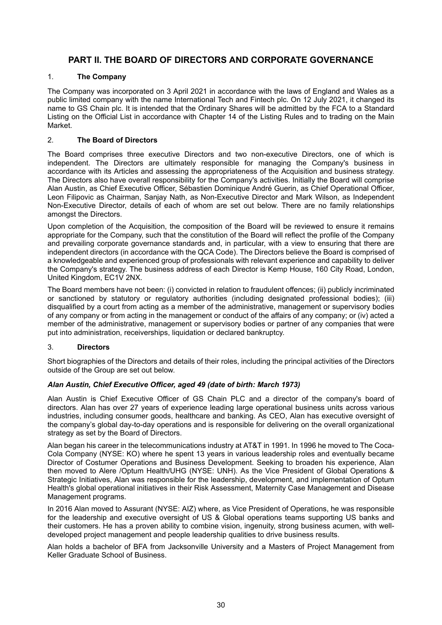## **PART II. THE BOARD OF DIRECTORS AND CORPORATE GOVERNANCE**

## <span id="page-29-0"></span>1. **The Company**

The Company was incorporated on 3 April 2021 in accordance with the laws of England and Wales as a public limited company with the name International Tech and Fintech plc. On 12 July 2021, it changed its name to GS Chain plc. It is intended that the Ordinary Shares will be admitted by the FCA to a Standard Listing on the Official List in accordance with Chapter 14 of the Listing Rules and to trading on the Main Market.

## 2. **The Board of Directors**

The Board comprises three executive Directors and two non-executive Directors, one of which is independent. The Directors are ultimately responsible for managing the Company's business in accordance with its Articles and assessing the appropriateness of the Acquisition and business strategy. The Directors also have overall responsibility for the Company's activities. Initially the Board will comprise Alan Austin, as Chief Executive Officer, Sébastien Dominique André Guerin, as Chief Operational Officer, Leon Filipovic as Chairman, Sanjay Nath, as Non-Executive Director and Mark Wilson, as Independent Non-Executive Director, details of each of whom are set out below. There are no family relationships amongst the Directors.

Upon completion of the Acquisition, the composition of the Board will be reviewed to ensure it remains appropriate for the Company, such that the constitution of the Board will reflect the profile of the Company and prevailing corporate governance standards and, in particular, with a view to ensuring that there are independent directors (in accordance with the QCA Code). The Directors believe the Board is comprised of a knowledgeable and experienced group of professionals with relevant experience and capability to deliver the Company's strategy. The business address of each Director is Kemp House, 160 City Road, London, United Kingdom, EC1V 2NX.

The Board members have not been: (i) convicted in relation to fraudulent offences; (ii) publicly incriminated or sanctioned by statutory or regulatory authorities (including designated professional bodies); (iii) disqualified by a court from acting as a member of the administrative, management or supervisory bodies of any company or from acting in the management or conduct of the affairs of any company; or (iv) acted a member of the administrative, management or supervisory bodies or partner of any companies that were put into administration, receiverships, liquidation or declared bankruptcy.

## 3. **Directors**

Short biographies of the Directors and details of their roles, including the principal activities of the Directors outside of the Group are set out below.

## *Alan Austin, Chief Executive Officer, aged 49 (date of birth: March 1973)*

Alan Austin is Chief Executive Officer of GS Chain PLC and a director of the company's board of directors. Alan has over 27 years of experience leading large operational business units across various industries, including consumer goods, healthcare and banking. As CEO, Alan has executive oversight of the company's global day-to-day operations and is responsible for delivering on the overall organizational strategy as set by the Board of Directors.

Alan began his career in the telecommunications industry at AT&T in 1991. In 1996 he moved to The Coca-Cola Company (NYSE: KO) where he spent 13 years in various leadership roles and eventually became Director of Costumer Operations and Business Development. Seeking to broaden his experience, Alan then moved to Alere /Optum Health/UHG (NYSE: UNH). As the Vice President of Global Operations & Strategic Initiatives, Alan was responsible for the leadership, development, and implementation of Optum Health's global operational initiatives in their Risk Assessment, Maternity Case Management and Disease Management programs.

In 2016 Alan moved to Assurant (NYSE: AIZ) where, as Vice President of Operations, he was responsible for the leadership and executive oversight of US & Global operations teams supporting US banks and their customers. He has a proven ability to combine vision, ingenuity, strong business acumen, with welldeveloped project management and people leadership qualities to drive business results.

Alan holds a bachelor of BFA from Jacksonville University and a Masters of Project Management from Keller Graduate School of Business.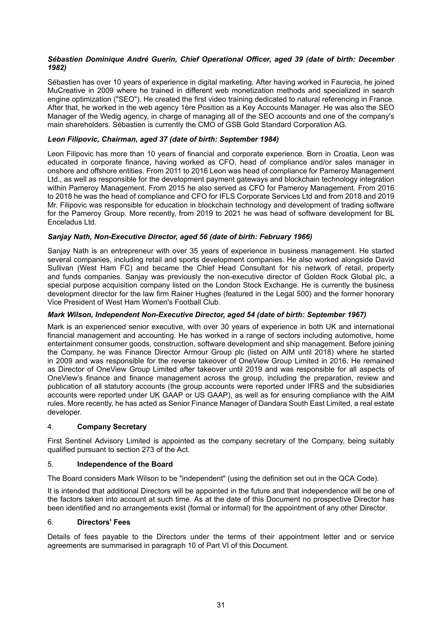## *Sébastien Dominique André Guerin, Chief Operational Officer, aged 39 (date of birth: December 1982)*

Sébastien has over 10 years of experience in digital marketing. After having worked in Faurecia, he joined MuCreative in 2009 where he trained in different web monetization methods and specialized in search engine optimization ("SEO"). He created the first video training dedicated to natural referencing in France. After that, he worked in the web agency 1ère Position as a Key Accounts Manager. He was also the SEO Manager of the Wedig agency, in charge of managing all of the SEO accounts and one of the company's main shareholders. Sébastien is currently the CMO of GSB Gold Standard Corporation AG.

## *Leon Filipovic, Chairman, aged 37 (date of birth: September 1984)*

Leon Filipovic has more than 10 years of financial and corporate experience. Born in Croatia, Leon was educated in corporate finance, having worked as CFO, head of compliance and/or sales manager in onshore and offshore entities. From 2011 to 2016 Leon was head of compliance for Pameroy Management Ltd., as well as responsible for the development payment gateways and blockchain technology integration within Pameroy Management. From 2015 he also served as CFO for Pameroy Management. From 2016 to 2018 he was the head of compliance and CFO for IFLS Corporate Services Ltd and from 2018 and 2019 Mr. Filipovic was responsible for education in blockchain technology and development of trading software for the Pameroy Group. More recently, from 2019 to 2021 he was head of software development for BL Enceladus Ltd.

#### *Sanjay Nath, Non-Executive Director, aged 56 (date of birth: February 1966)*

Sanjay Nath is an entrepreneur with over 35 years of experience in business management. He started several companies, including retail and sports development companies. He also worked alongside David Sullivan (West Ham FC) and became the Chief Head Consultant for his network of retail, property and funds companies. Sanjay was previously the non-executive director of Golden Rock Global plc, a special purpose acquisition company listed on the London Stock Exchange. He is currently the business development director for the law firm Rainer Hughes (featured in the Legal 500) and the former honorary Vice President of West Ham Women's Football Club.

#### *Mark Wilson, Independent Non-Executive Director, aged 54 (date of birth: September 1967)*

Mark is an experienced senior executive, with over 30 years of experience in both UK and international financial management and accounting. He has worked in a range of sectors including automotive, home entertainment consumer goods, construction, software development and ship management. Before joining the Company, he was Finance Director Armour Group plc (listed on AIM until 2018) where he started in 2009 and was responsible for the reverse takeover of OneView Group Limited in 2016. He remained as Director of OneView Group Limited after takeover until 2019 and was responsible for all aspects of OneView's finance and finance management across the group, including the preparation, review and publication of all statutory accounts (the group accounts were reported under IFRS and the subsidiaries accounts were reported under UK GAAP or US GAAP), as well as for ensuring compliance with the AIM rules. More recently, he has acted as Senior Finance Manager of Dandara South East Limited, a real estate developer.

#### 4. **Company Secretary**

First Sentinel Advisory Limited is appointed as the company secretary of the Company, being suitably qualified pursuant to section 273 of the Act.

#### 5. **Independence of the Board**

The Board considers Mark Wilson to be "independent" (using the definition set out in the QCA Code).

It is intended that additional Directors will be appointed in the future and that independence will be one of the factors taken into account at such time. As at the date of this Document no prospective Director has been identified and no arrangements exist (formal or informal) for the appointment of any other Director.

#### 6. **Directors' Fees**

Details of fees payable to the Directors under the terms of their appointment letter and or service agreements are summarised in paragraph 10 of Part VI of this Document.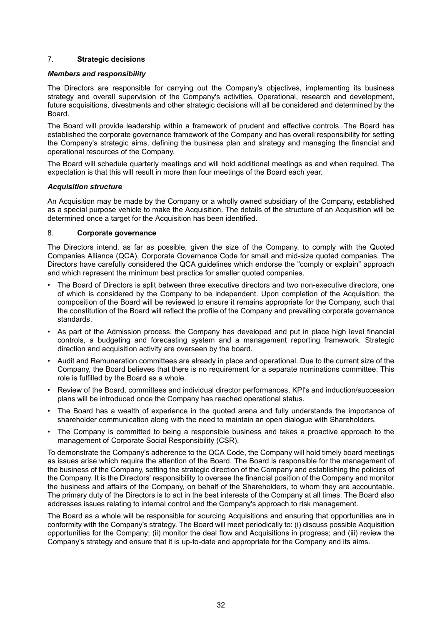## 7. **Strategic decisions**

#### *Members and responsibility*

The Directors are responsible for carrying out the Company's objectives, implementing its business strategy and overall supervision of the Company's activities. Operational, research and development, future acquisitions, divestments and other strategic decisions will all be considered and determined by the Board.

The Board will provide leadership within a framework of prudent and effective controls. The Board has established the corporate governance framework of the Company and has overall responsibility for setting the Company's strategic aims, defining the business plan and strategy and managing the financial and operational resources of the Company.

The Board will schedule quarterly meetings and will hold additional meetings as and when required. The expectation is that this will result in more than four meetings of the Board each year.

#### *Acquisition structure*

An Acquisition may be made by the Company or a wholly owned subsidiary of the Company, established as a special purpose vehicle to make the Acquisition. The details of the structure of an Acquisition will be determined once a target for the Acquisition has been identified.

## 8. **Corporate governance**

The Directors intend, as far as possible, given the size of the Company, to comply with the Quoted Companies Alliance (QCA), Corporate Governance Code for small and mid-size quoted companies. The Directors have carefully considered the QCA guidelines which endorse the "comply or explain" approach and which represent the minimum best practice for smaller quoted companies.

- The Board of Directors is split between three executive directors and two non-executive directors, one of which is considered by the Company to be independent. Upon completion of the Acquisition, the composition of the Board will be reviewed to ensure it remains appropriate for the Company, such that the constitution of the Board will reflect the profile of the Company and prevailing corporate governance standards.
- As part of the Admission process, the Company has developed and put in place high level financial controls, a budgeting and forecasting system and a management reporting framework. Strategic direction and acquisition activity are overseen by the board.
- Audit and Remuneration committees are already in place and operational. Due to the current size of the Company, the Board believes that there is no requirement for a separate nominations committee. This role is fulfilled by the Board as a whole.
- Review of the Board, committees and individual director performances, KPI's and induction/succession plans will be introduced once the Company has reached operational status.
- The Board has a wealth of experience in the quoted arena and fully understands the importance of shareholder communication along with the need to maintain an open dialogue with Shareholders.
- The Company is committed to being a responsible business and takes a proactive approach to the management of Corporate Social Responsibility (CSR).

To demonstrate the Company's adherence to the QCA Code, the Company will hold timely board meetings as issues arise which require the attention of the Board. The Board is responsible for the management of the business of the Company, setting the strategic direction of the Company and establishing the policies of the Company. It is the Directors' responsibility to oversee the financial position of the Company and monitor the business and affairs of the Company, on behalf of the Shareholders, to whom they are accountable. The primary duty of the Directors is to act in the best interests of the Company at all times. The Board also addresses issues relating to internal control and the Company's approach to risk management.

The Board as a whole will be responsible for sourcing Acquisitions and ensuring that opportunities are in conformity with the Company's strategy. The Board will meet periodically to: (i) discuss possible Acquisition opportunities for the Company; (ii) monitor the deal flow and Acquisitions in progress; and (iii) review the Company's strategy and ensure that it is up-to-date and appropriate for the Company and its aims.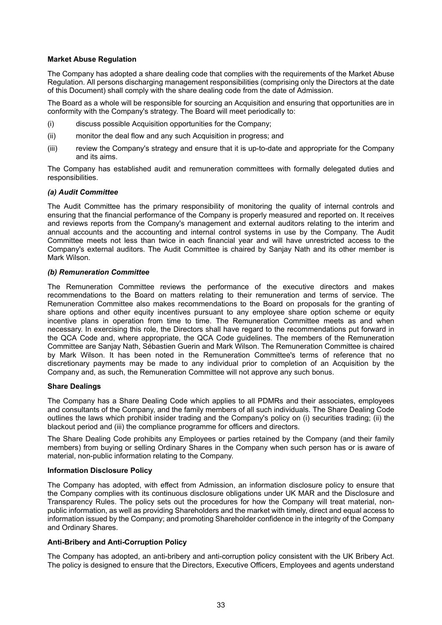#### **Market Abuse Regulation**

The Company has adopted a share dealing code that complies with the requirements of the Market Abuse Regulation. All persons discharging management responsibilities (comprising only the Directors at the date of this Document) shall comply with the share dealing code from the date of Admission.

The Board as a whole will be responsible for sourcing an Acquisition and ensuring that opportunities are in conformity with the Company's strategy. The Board will meet periodically to:

- (i) discuss possible Acquisition opportunities for the Company;
- (ii) monitor the deal flow and any such Acquisition in progress; and
- (iii) review the Company's strategy and ensure that it is up-to-date and appropriate for the Company and its aims.

The Company has established audit and remuneration committees with formally delegated duties and responsibilities.

### *(a) Audit Committee*

The Audit Committee has the primary responsibility of monitoring the quality of internal controls and ensuring that the financial performance of the Company is properly measured and reported on. It receives and reviews reports from the Company's management and external auditors relating to the interim and annual accounts and the accounting and internal control systems in use by the Company. The Audit Committee meets not less than twice in each financial year and will have unrestricted access to the Company's external auditors. The Audit Committee is chaired by Sanjay Nath and its other member is Mark Wilson.

#### *(b) Remuneration Committee*

The Remuneration Committee reviews the performance of the executive directors and makes recommendations to the Board on matters relating to their remuneration and terms of service. The Remuneration Committee also makes recommendations to the Board on proposals for the granting of share options and other equity incentives pursuant to any employee share option scheme or equity incentive plans in operation from time to time. The Remuneration Committee meets as and when necessary. In exercising this role, the Directors shall have regard to the recommendations put forward in the QCA Code and, where appropriate, the QCA Code guidelines. The members of the Remuneration Committee are Sanjay Nath, Sébastien Guerin and Mark Wilson. The Remuneration Committee is chaired by Mark Wilson. It has been noted in the Remuneration Committee's terms of reference that no discretionary payments may be made to any individual prior to completion of an Acquisition by the Company and, as such, the Remuneration Committee will not approve any such bonus.

#### **Share Dealings**

The Company has a Share Dealing Code which applies to all PDMRs and their associates, employees and consultants of the Company, and the family members of all such individuals. The Share Dealing Code outlines the laws which prohibit insider trading and the Company's policy on (i) securities trading; (ii) the blackout period and (iii) the compliance programme for officers and directors.

The Share Dealing Code prohibits any Employees or parties retained by the Company (and their family members) from buying or selling Ordinary Shares in the Company when such person has or is aware of material, non-public information relating to the Company.

## **Information Disclosure Policy**

The Company has adopted, with effect from Admission, an information disclosure policy to ensure that the Company complies with its continuous disclosure obligations under UK MAR and the Disclosure and Transparency Rules. The policy sets out the procedures for how the Company will treat material, nonpublic information, as well as providing Shareholders and the market with timely, direct and equal access to information issued by the Company; and promoting Shareholder confidence in the integrity of the Company and Ordinary Shares.

## **Anti-Bribery and Anti-Corruption Policy**

The Company has adopted, an anti-bribery and anti-corruption policy consistent with the UK Bribery Act. The policy is designed to ensure that the Directors, Executive Officers, Employees and agents understand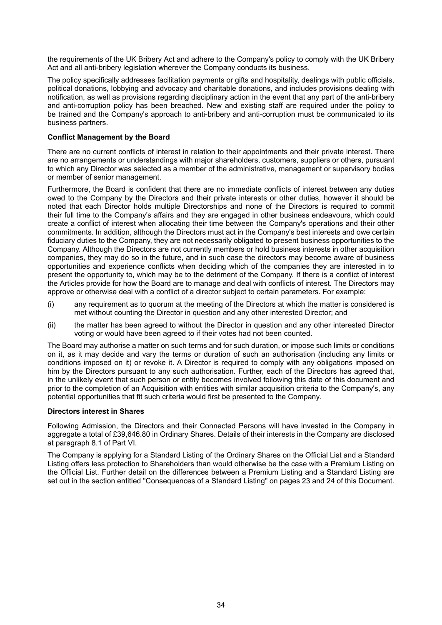the requirements of the UK Bribery Act and adhere to the Company's policy to comply with the UK Bribery Act and all anti-bribery legislation wherever the Company conducts its business.

The policy specifically addresses facilitation payments or gifts and hospitality, dealings with public officials, political donations, lobbying and advocacy and charitable donations, and includes provisions dealing with notification, as well as provisions regarding disciplinary action in the event that any part of the anti-bribery and anti-corruption policy has been breached. New and existing staff are required under the policy to be trained and the Company's approach to anti-bribery and anti-corruption must be communicated to its business partners.

#### **Conflict Management by the Board**

There are no current conflicts of interest in relation to their appointments and their private interest. There are no arrangements or understandings with major shareholders, customers, suppliers or others, pursuant to which any Director was selected as a member of the administrative, management or supervisory bodies or member of senior management.

Furthermore, the Board is confident that there are no immediate conflicts of interest between any duties owed to the Company by the Directors and their private interests or other duties, however it should be noted that each Director holds multiple Directorships and none of the Directors is required to commit their full time to the Company's affairs and they are engaged in other business endeavours, which could create a conflict of interest when allocating their time between the Company's operations and their other commitments. In addition, although the Directors must act in the Company's best interests and owe certain fiduciary duties to the Company, they are not necessarily obligated to present business opportunities to the Company. Although the Directors are not currently members or hold business interests in other acquisition companies, they may do so in the future, and in such case the directors may become aware of business opportunities and experience conflicts when deciding which of the companies they are interested in to present the opportunity to, which may be to the detriment of the Company. If there is a conflict of interest the Articles provide for how the Board are to manage and deal with conflicts of interest. The Directors may approve or otherwise deal with a conflict of a director subject to certain parameters. For example:

- (i) any requirement as to quorum at the meeting of the Directors at which the matter is considered is met without counting the Director in question and any other interested Director; and
- (ii) the matter has been agreed to without the Director in question and any other interested Director voting or would have been agreed to if their votes had not been counted.

The Board may authorise a matter on such terms and for such duration, or impose such limits or conditions on it, as it may decide and vary the terms or duration of such an authorisation (including any limits or conditions imposed on it) or revoke it. A Director is required to comply with any obligations imposed on him by the Directors pursuant to any such authorisation. Further, each of the Directors has agreed that, in the unlikely event that such person or entity becomes involved following this date of this document and prior to the completion of an Acquisition with entities with similar acquisition criteria to the Company's, any potential opportunities that fit such criteria would first be presented to the Company.

#### **Directors interest in Shares**

Following Admission, the Directors and their Connected Persons will have invested in the Company in aggregate a total of £39,646.80 in Ordinary Shares. Details of their interests in the Company are disclosed at paragraph 8.1 of Part VI.

The Company is applying for a Standard Listing of the Ordinary Shares on the Official List and a Standard Listing offers less protection to Shareholders than would otherwise be the case with a Premium Listing on the Official List. Further detail on the differences between a Premium Listing and a Standard Listing are set out in the section entitled "Consequences of a Standard Listing" on pages 23 and 24 of this Document.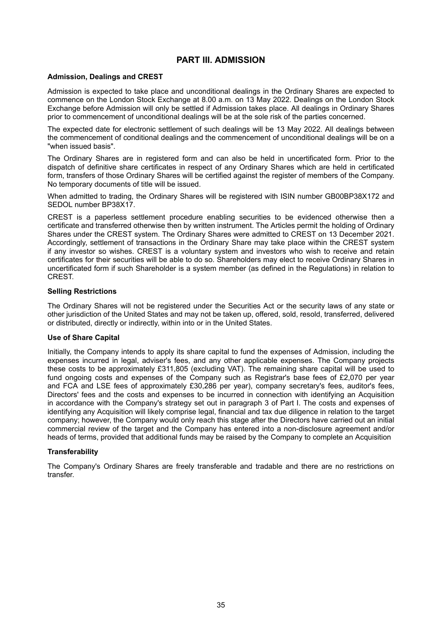## **PART III. ADMISSION**

#### <span id="page-34-0"></span>**Admission, Dealings and CREST**

Admission is expected to take place and unconditional dealings in the Ordinary Shares are expected to commence on the London Stock Exchange at 8.00 a.m. on 13 May 2022. Dealings on the London Stock Exchange before Admission will only be settled if Admission takes place. All dealings in Ordinary Shares prior to commencement of unconditional dealings will be at the sole risk of the parties concerned.

The expected date for electronic settlement of such dealings will be 13 May 2022. All dealings between the commencement of conditional dealings and the commencement of unconditional dealings will be on a "when issued basis".

The Ordinary Shares are in registered form and can also be held in uncertificated form. Prior to the dispatch of definitive share certificates in respect of any Ordinary Shares which are held in certificated form, transfers of those Ordinary Shares will be certified against the register of members of the Company. No temporary documents of title will be issued.

When admitted to trading, the Ordinary Shares will be registered with ISIN number GB00BP38X172 and SEDOL number BP38X17.

CREST is a paperless settlement procedure enabling securities to be evidenced otherwise then a certificate and transferred otherwise then by written instrument. The Articles permit the holding of Ordinary Shares under the CREST system. The Ordinary Shares were admitted to CREST on 13 December 2021. Accordingly, settlement of transactions in the Ordinary Share may take place within the CREST system if any investor so wishes. CREST is a voluntary system and investors who wish to receive and retain certificates for their securities will be able to do so. Shareholders may elect to receive Ordinary Shares in uncertificated form if such Shareholder is a system member (as defined in the Regulations) in relation to CREST.

#### **Selling Restrictions**

The Ordinary Shares will not be registered under the Securities Act or the security laws of any state or other jurisdiction of the United States and may not be taken up, offered, sold, resold, transferred, delivered or distributed, directly or indirectly, within into or in the United States.

#### **Use of Share Capital**

Initially, the Company intends to apply its share capital to fund the expenses of Admission, including the expenses incurred in legal, adviser's fees, and any other applicable expenses. The Company projects these costs to be approximately £311,805 (excluding VAT). The remaining share capital will be used to fund ongoing costs and expenses of the Company such as Registrar's base fees of £2,070 per year and FCA and LSE fees of approximately £30,286 per year), company secretary's fees, auditor's fees, Directors' fees and the costs and expenses to be incurred in connection with identifying an Acquisition in accordance with the Company's strategy set out in paragraph 3 of Part I. The costs and expenses of identifying any Acquisition will likely comprise legal, financial and tax due diligence in relation to the target company; however, the Company would only reach this stage after the Directors have carried out an initial commercial review of the target and the Company has entered into a non-disclosure agreement and/or heads of terms, provided that additional funds may be raised by the Company to complete an Acquisition

#### **Transferability**

The Company's Ordinary Shares are freely transferable and tradable and there are no restrictions on transfer.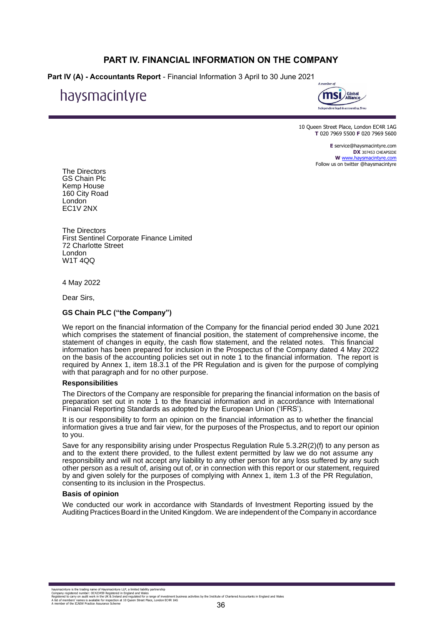## **PART IV. FINANCIAL INFORMATION ON THE COMPANY**

<span id="page-35-0"></span>**Part IV (A) - Accountants Report** - Financial Information 3 April to 30 June 2021

# haysmacintyre



10 Queen Street Place, London EC4R 1AG **T** 020 7969 5500 **F** 020 7969 5600

> **E** service@haysmacintyre.com **DX** 307453 CHEAPSIDE **W** www.haysmacintyre.com Follow us on twitter @haysmacintyre

The Directors GS Chain Plc Kemp House 160 City Road London EC1V 2NX

The Directors First Sentinel Corporate Finance Limited 72 Charlotte Street London W1T 4QQ

4 May 2022

Dear Sirs,

#### **GS Chain PLC ("the Company")**

We report on the financial information of the Company for the financial period ended 30 June 2021 which comprises the statement of financial position, the statement of comprehensive income, the statement of changes in equity, the cash flow statement, and the related notes. This financial information has been prepared for inclusion in the Prospectus of the Company dated 4 May 2022 on the basis of the accounting policies set out in note 1 to the financial information. The report is required by Annex 1, item 18.3.1 of the PR Regulation and is given for the purpose of complying with that paragraph and for no other purpose.

#### **Responsibilities**

The Directors of the Company are responsible for preparing the financial information on the basis of preparation set out in note 1 to the financial information and in accordance with International Financial Reporting Standards as adopted by the European Union ('IFRS').

It is our responsibility to form an opinion on the financial information as to whether the financial information gives a true and fair view, for the purposes of the Prospectus, and to report our opinion to you.

Save for any responsibility arising under Prospectus Regulation Rule 5.3.2R(2)(f) to any person as and to the extent there provided, to the fullest extent permitted by law we do not assume any responsibility and will not accept any liability to any other person for any loss suffered by any such other person as a result of, arising out of, or in connection with this report or our statement, required by and given solely for the purposes of complying with Annex 1, item 1.3 of the PR Regulation, consenting to its inclusion in the Prospectus.

#### **Basis of opinion**

We conducted our work in accordance with Standards of Investment Reporting issued by the Auditing PracticesBoard in the United Kingdom. We are independent of the Company in accordance

haysmacintyre is the trading name of Haysmacintyre LLP, a limited liability partnership<br>Company registered number: OC424F9 Registered in England and Wales<br>Registered to carry on audit work in the UK & Ireland and regulated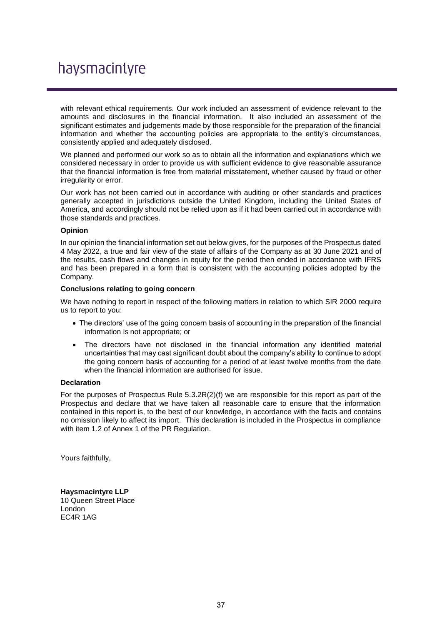# haysmacintyre

with relevant ethical requirements. Our work included an assessment of evidence relevant to the amounts and disclosures in the financial information. It also included an assessment of the significant estimates and judgements made by those responsible for the preparation of the financial information and whether the accounting policies are appropriate to the entity's circumstances, consistently applied and adequately disclosed.

We planned and performed our work so as to obtain all the information and explanations which we considered necessary in order to provide us with sufficient evidence to give reasonable assurance that the financial information is free from material misstatement, whether caused by fraud or other irregularity or error.

Our work has not been carried out in accordance with auditing or other standards and practices generally accepted in jurisdictions outside the United Kingdom, including the United States of America, and accordingly should not be relied upon as if it had been carried out in accordance with those standards and practices.

#### **Opinion**

In our opinion the financial information set out below gives, for the purposes of the Prospectus dated 4 May 2022, a true and fair view of the state of affairs of the Company as at 30 June 2021 and of the results, cash flows and changes in equity for the period then ended in accordance with IFRS and has been prepared in a form that is consistent with the accounting policies adopted by the Company.

## **Conclusions relating to going concern**

We have nothing to report in respect of the following matters in relation to which SIR 2000 require us to report to you:

- The directors' use of the going concern basis of accounting in the preparation of the financial information is not appropriate; or
- The directors have not disclosed in the financial information any identified material uncertainties that may cast significant doubt about the company's ability to continue to adopt the going concern basis of accounting for a period of at least twelve months from the date when the financial information are authorised for issue.

#### **Declaration**

For the purposes of Prospectus Rule 5.3.2R(2)(f) we are responsible for this report as part of the Prospectus and declare that we have taken all reasonable care to ensure that the information contained in this report is, to the best of our knowledge, in accordance with the facts and contains no omission likely to affect its import. This declaration is included in the Prospectus in compliance with item 1.2 of Annex 1 of the PR Regulation.

Yours faithfully,

**Haysmacintyre LLP** 10 Queen Street Place London EC4R 1AG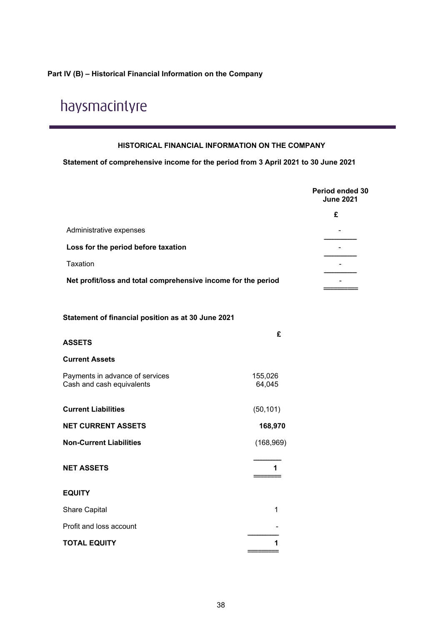# **Part IV (B) – Historical Financial Information on the Company**

# haysmacintyre

# **HISTORICAL FINANCIAL INFORMATION ON THE COMPANY**

**Statement of comprehensive income for the period from 3 April 2021 to 30 June 2021**

|                                                               |                   | Period ended 30<br><b>June 2021</b> |
|---------------------------------------------------------------|-------------------|-------------------------------------|
|                                                               |                   | £                                   |
| Administrative expenses                                       |                   |                                     |
| Loss for the period before taxation                           |                   |                                     |
| Taxation                                                      |                   |                                     |
| Net profit/loss and total comprehensive income for the period |                   |                                     |
| Statement of financial position as at 30 June 2021            |                   |                                     |
| <b>ASSETS</b>                                                 | £                 |                                     |
| <b>Current Assets</b>                                         |                   |                                     |
| Payments in advance of services<br>Cash and cash equivalents  | 155,026<br>64,045 |                                     |
| <b>Current Liabilities</b>                                    | (50, 101)         |                                     |
| <b>NET CURRENT ASSETS</b>                                     | 168,970           |                                     |
| <b>Non-Current Liabilities</b>                                | (168, 969)        |                                     |
| <b>NET ASSETS</b>                                             | 1                 |                                     |
| <b>EQUITY</b>                                                 |                   |                                     |
| Share Capital                                                 | 1                 |                                     |
| Profit and loss account                                       |                   |                                     |
| <b>TOTAL EQUITY</b>                                           | 1                 |                                     |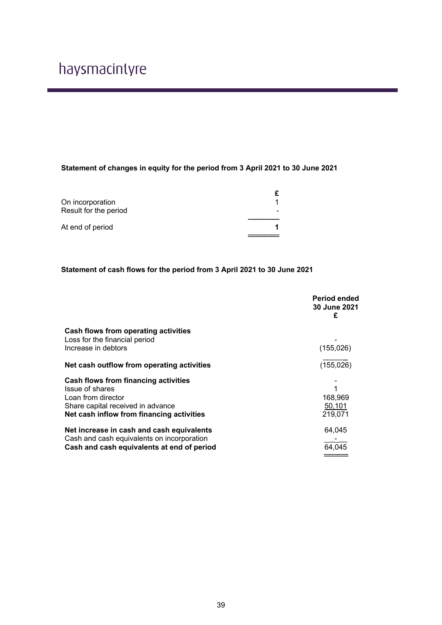# **Statement of changes in equity for the period from 3 April 2021 to 30 June 2021**

| On incorporation      |  |
|-----------------------|--|
| Result for the period |  |
|                       |  |
| At end of period      |  |
|                       |  |

# **Statement of cash flows for the period from 3 April 2021 to 30 June 2021**

|                                                                                                                                                                        | Period ended<br><b>30 June 2021</b><br>£ |
|------------------------------------------------------------------------------------------------------------------------------------------------------------------------|------------------------------------------|
| Cash flows from operating activities<br>Loss for the financial period<br>Increase in debtors                                                                           | (155, 026)                               |
| Net cash outflow from operating activities                                                                                                                             | (155, 026)                               |
| <b>Cash flows from financing activities</b><br>Issue of shares<br>Loan from director<br>Share capital received in advance<br>Net cash inflow from financing activities | 1<br>168,969<br>50,101<br>219.071        |
| Net increase in cash and cash equivalents<br>Cash and cash equivalents on incorporation<br>Cash and cash equivalents at end of period                                  | 64,045<br>64,045                         |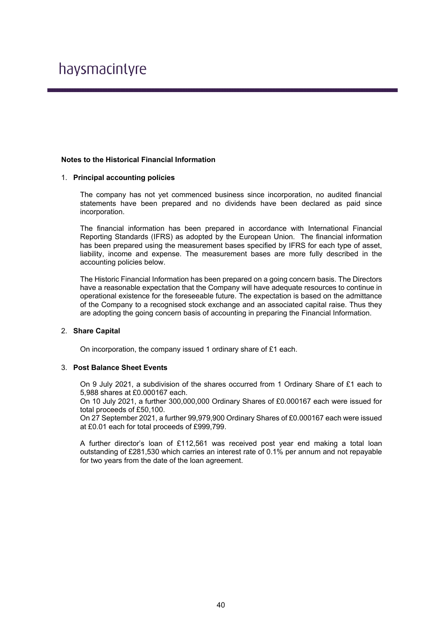# haysmacintyre

## **Notes to the Historical Financial Information**

#### 1. **Principal accounting policies**

The company has not yet commenced business since incorporation, no audited financial statements have been prepared and no dividends have been declared as paid since incorporation.

The financial information has been prepared in accordance with International Financial Reporting Standards (IFRS) as adopted by the European Union. The financial information has been prepared using the measurement bases specified by IFRS for each type of asset, liability, income and expense. The measurement bases are more fully described in the accounting policies below.

The Historic Financial Information has been prepared on a going concern basis. The Directors have a reasonable expectation that the Company will have adequate resources to continue in operational existence for the foreseeable future. The expectation is based on the admittance of the Company to a recognised stock exchange and an associated capital raise. Thus they are adopting the going concern basis of accounting in preparing the Financial Information.

#### 2. **Share Capital**

On incorporation, the company issued 1 ordinary share of £1 each.

#### 3. **Post Balance Sheet Events**

On 9 July 2021, a subdivision of the shares occurred from 1 Ordinary Share of £1 each to 5,988 shares at £0.000167 each.

On 10 July 2021, a further 300,000,000 Ordinary Shares of £0.000167 each were issued for total proceeds of £50,100.

On 27 September 2021, a further 99,979,900 Ordinary Shares of £0.000167 each were issued at £0.01 each for total proceeds of £999,799.

A further director's loan of £112,561 was received post year end making a total loan outstanding of £281,530 which carries an interest rate of 0.1% per annum and not repayable for two years from the date of the loan agreement.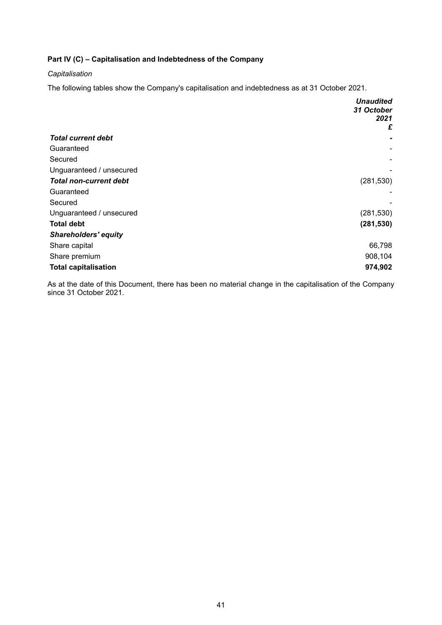# **Part IV (C) – Capitalisation and Indebtedness of the Company**

# *Capitalisation*

The following tables show the Company's capitalisation and indebtedness as at 31 October 2021.

|                               | <b>Unaudited</b> |
|-------------------------------|------------------|
|                               | 31 October       |
|                               | 2021             |
|                               | £                |
| <b>Total current debt</b>     |                  |
| Guaranteed                    |                  |
| Secured                       |                  |
| Unguaranteed / unsecured      |                  |
| <b>Total non-current debt</b> | (281, 530)       |
| Guaranteed                    |                  |
| Secured                       |                  |
| Unguaranteed / unsecured      | (281, 530)       |
| <b>Total debt</b>             | (281, 530)       |
| <b>Shareholders' equity</b>   |                  |
| Share capital                 | 66,798           |
| Share premium                 | 908,104          |
| <b>Total capitalisation</b>   | 974,902          |

As at the date of this Document, there has been no material change in the capitalisation of the Company since 31 October 2021.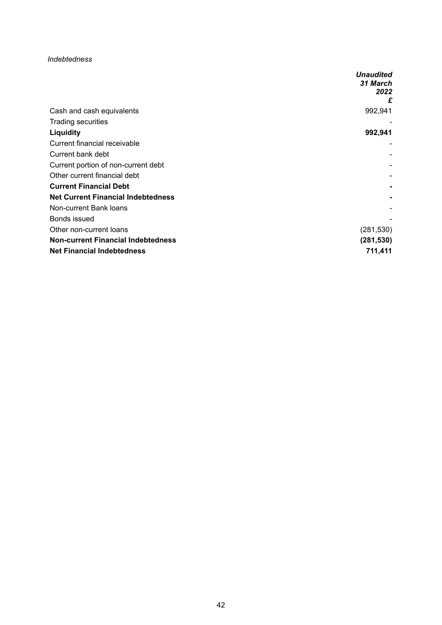## *Indebtedness*

|                                           | <b>Unaudited</b> |
|-------------------------------------------|------------------|
|                                           | 31 March         |
|                                           | 2022             |
|                                           | £                |
| Cash and cash equivalents                 | 992,941          |
| <b>Trading securities</b>                 |                  |
| <b>Liquidity</b>                          | 992,941          |
| Current financial receivable              |                  |
| Current bank debt                         |                  |
| Current portion of non-current debt       |                  |
| Other current financial debt              |                  |
| <b>Current Financial Debt</b>             |                  |
| <b>Net Current Financial Indebtedness</b> |                  |
| Non-current Bank loans                    |                  |
| Bonds issued                              |                  |
| Other non-current loans                   | (281, 530)       |
| <b>Non-current Financial Indebtedness</b> | (281, 530)       |
| <b>Net Financial Indebtedness</b>         | 711,411          |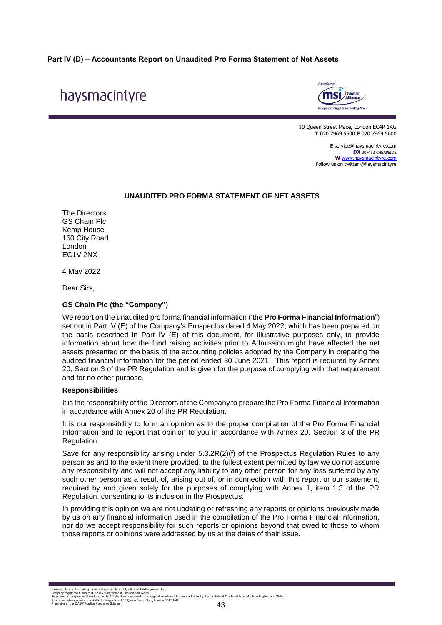# **Part IV (D) – Accountants Report on Unaudited Pro Forma Statement of Net Assets**

# haysmacintyre



10 Queen Street Place, London EC4R 1AG **T** 020 7969 5500 **F** 020 7969 5600

> **E** service@haysmacintyre.com **DX** 307453 CHEAPSIDE **W** www.haysmacintyre.com Follow us on twitter @haysmacintyre

#### **UNAUDITED PRO FORMA STATEMENT OF NET ASSETS**

The Directors GS Chain Plc Kemp House 160 City Road London EC1V 2NX

4 May 2022

Dear Sirs,

# **GS Chain Plc (the "Company")**

We report on the unaudited pro forma financial information ('the **Pro Forma Financial Information**") set out in Part IV (E) of the Company's Prospectus dated 4 May 2022, which has been prepared on the basis described in Part IV (E) of this document, for illustrative purposes only, to provide information about how the fund raising activities prior to Admission might have affected the net assets presented on the basis of the accounting policies adopted by the Company in preparing the audited financial information for the period ended 30 June 2021. This report is required by Annex 20, Section 3 of the PR Regulation and is given for the purpose of complying with that requirement and for no other purpose.

#### **Responsibilities**

It is the responsibility of the Directors of the Company to prepare the Pro Forma Financial Information in accordance with Annex 20 of the PR Regulation.

It is our responsibility to form an opinion as to the proper compilation of the Pro Forma Financial Information and to report that opinion to you in accordance with Annex 20, Section 3 of the PR Regulation.

Save for any responsibility arising under 5.3.2R(2)(f) of the Prospectus Regulation Rules to any person as and to the extent there provided, to the fullest extent permitted by law we do not assume any responsibility and will not accept any liability to any other person for any loss suffered by any such other person as a result of, arising out of, or in connection with this report or our statement, required by and given solely for the purposes of complying with Annex 1, item 1.3 of the PR Regulation, consenting to its inclusion in the Prospectus.

In providing this opinion we are not updating or refreshing any reports or opinions previously made by us on any financial information used in the compilation of the Pro Forma Financial Information, nor do we accept responsibility for such reports or opinions beyond that owed to those to whom those reports or opinions were addressed by us at the dates of their issue.

haysmacintyre is the trading name of Haysmacintyre LLP, a limited liability partnership<br>Company registered number: OC423459 Registered in England and Wales<br>Registered to carry on audit work in the UK & Ireland and regulate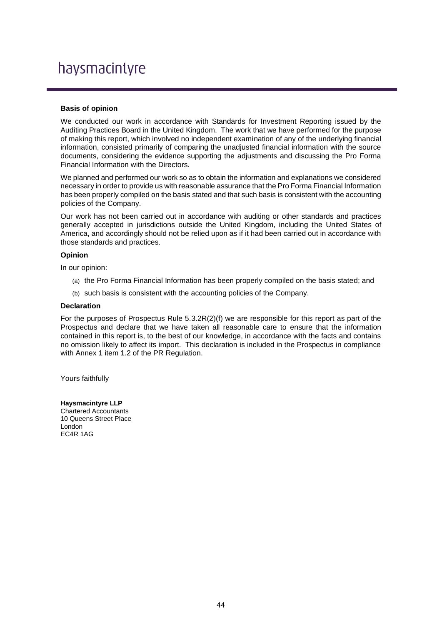# haysmacintyre

#### **Basis of opinion**

We conducted our work in accordance with Standards for Investment Reporting issued by the Auditing Practices Board in the United Kingdom. The work that we have performed for the purpose of making this report, which involved no independent examination of any of the underlying financial information, consisted primarily of comparing the unadjusted financial information with the source documents, considering the evidence supporting the adjustments and discussing the Pro Forma Financial Information with the Directors.

We planned and performed our work so as to obtain the information and explanations we considered necessary in order to provide us with reasonable assurance that the Pro Forma Financial Information has been properly compiled on the basis stated and that such basis is consistent with the accounting policies of the Company.

Our work has not been carried out in accordance with auditing or other standards and practices generally accepted in jurisdictions outside the United Kingdom, including the United States of America, and accordingly should not be relied upon as if it had been carried out in accordance with those standards and practices.

## **Opinion**

In our opinion:

- (a) the Pro Forma Financial Information has been properly compiled on the basis stated; and
- (b) such basis is consistent with the accounting policies of the Company.

#### **Declaration**

For the purposes of Prospectus Rule 5.3.2R(2)(f) we are responsible for this report as part of the Prospectus and declare that we have taken all reasonable care to ensure that the information contained in this report is, to the best of our knowledge, in accordance with the facts and contains no omission likely to affect its import. This declaration is included in the Prospectus in compliance with Annex 1 item 1.2 of the PR Regulation.

Yours faithfully

**Haysmacintyre LLP** Chartered Accountants 10 Queens Street Place London EC4R 1AG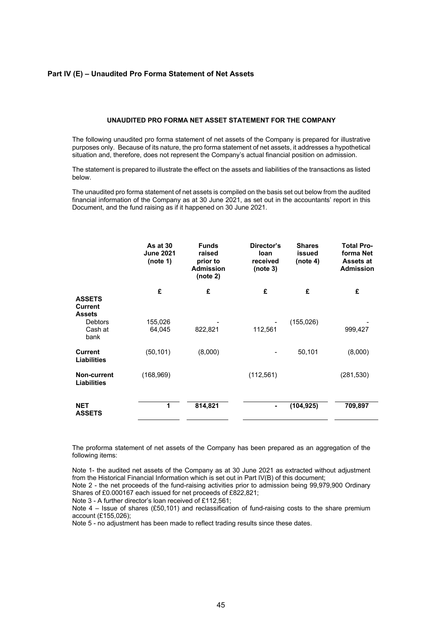#### **Part IV (E) – Unaudited Pro Forma Statement of Net Assets**

#### **UNAUDITED PRO FORMA NET ASSET STATEMENT FOR THE COMPANY**

The following unaudited pro forma statement of net assets of the Company is prepared for illustrative purposes only. Because of its nature, the pro forma statement of net assets, it addresses a hypothetical situation and, therefore, does not represent the Company's actual financial position on admission.

The statement is prepared to illustrate the effect on the assets and liabilities of the transactions as listed below.

The unaudited pro forma statement of net assets is compiled on the basis set out below from the audited financial information of the Company as at 30 June 2021, as set out in the accountants' report in this Document, and the fund raising as if it happened on 30 June 2021.

|                                                  | As at 30<br><b>June 2021</b><br>(note 1) | <b>Funds</b><br>raised<br>prior to<br><b>Admission</b><br>(note 2) | Director's<br>loan<br>received<br>(note 3) | <b>Shares</b><br>issued<br>(note 4) | <b>Total Pro-</b><br>forma Net<br>Assets at<br><b>Admission</b> |
|--------------------------------------------------|------------------------------------------|--------------------------------------------------------------------|--------------------------------------------|-------------------------------------|-----------------------------------------------------------------|
| <b>ASSETS</b><br><b>Current</b><br><b>Assets</b> | £                                        | £                                                                  | £                                          | £                                   | £                                                               |
| <b>Debtors</b><br>Cash at<br>bank                | 155,026<br>64,045                        | 822,821                                                            | 112,561                                    | (155, 026)                          | 999,427                                                         |
| <b>Current</b><br><b>Liabilities</b>             | (50, 101)                                | (8,000)                                                            |                                            | 50,101                              | (8,000)                                                         |
| Non-current<br><b>Liabilities</b>                | (168, 969)                               |                                                                    | (112, 561)                                 |                                     | (281, 530)                                                      |
| <b>NET</b><br><b>ASSETS</b>                      | 1                                        | 814,821                                                            | ٠                                          | (104, 925)                          | 709,897                                                         |

The proforma statement of net assets of the Company has been prepared as an aggregation of the following items:

Note 1- the audited net assets of the Company as at 30 June 2021 as extracted without adjustment from the Historical Financial Information which is set out in Part IV(B) of this document;

Note 2 - the net proceeds of the fund-raising activities prior to admission being 99,979,900 Ordinary Shares of £0.000167 each issued for net proceeds of £822,821;

Note 3 - A further director's loan received of £112,561;

Note 4 – Issue of shares (£50,101) and reclassification of fund-raising costs to the share premium account (£155,026);

Note 5 - no adjustment has been made to reflect trading results since these dates.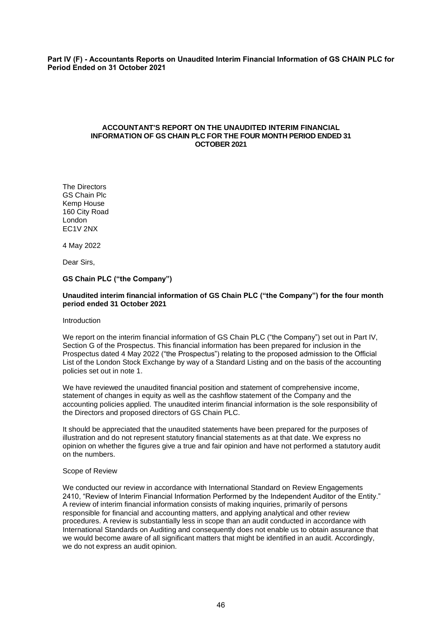**Part IV (F) - Accountants Reports on Unaudited Interim Financial Information of GS CHAIN PLC for Period Ended on 31 October 2021**

#### **ACCOUNTANT'S REPORT ON THE UNAUDITED INTERIM FINANCIAL INFORMATION OF GS CHAIN PLC FOR THE FOUR MONTH PERIOD ENDED 31 OCTOBER 2021**

The Directors GS Chain Plc Kemp House 160 City Road London EC1V 2NX

4 May 2022

Dear Sirs,

#### **GS Chain PLC ("the Company")**

#### **Unaudited interim financial information of GS Chain PLC ("the Company") for the four month period ended 31 October 2021**

#### Introduction

We report on the interim financial information of GS Chain PLC ("the Company") set out in Part IV, Section G of the Prospectus. This financial information has been prepared for inclusion in the Prospectus dated 4 May 2022 ("the Prospectus") relating to the proposed admission to the Official List of the London Stock Exchange by way of a Standard Listing and on the basis of the accounting policies set out in note 1.

We have reviewed the unaudited financial position and statement of comprehensive income, statement of changes in equity as well as the cashflow statement of the Company and the accounting policies applied. The unaudited interim financial information is the sole responsibility of the Directors and proposed directors of GS Chain PLC.

It should be appreciated that the unaudited statements have been prepared for the purposes of illustration and do not represent statutory financial statements as at that date. We express no opinion on whether the figures give a true and fair opinion and have not performed a statutory audit on the numbers.

#### Scope of Review

We conducted our review in accordance with International Standard on Review Engagements 2410, "Review of Interim Financial Information Performed by the Independent Auditor of the Entity." A review of interim financial information consists of making inquiries, primarily of persons responsible for financial and accounting matters, and applying analytical and other review procedures. A review is substantially less in scope than an audit conducted in accordance with International Standards on Auditing and consequently does not enable us to obtain assurance that we would become aware of all significant matters that might be identified in an audit. Accordingly, we do not express an audit opinion.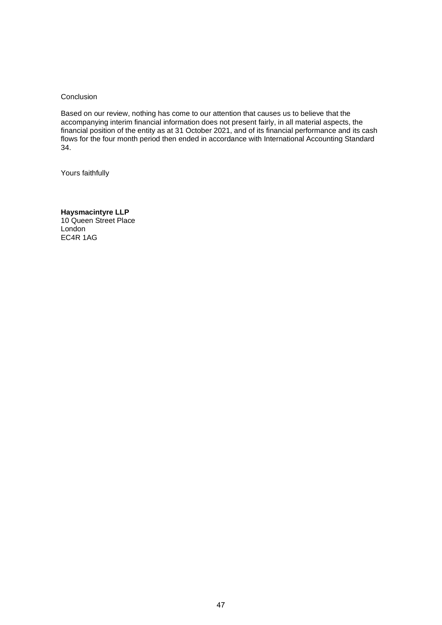**Conclusion** 

Based on our review, nothing has come to our attention that causes us to believe that the accompanying interim financial information does not present fairly, in all material aspects, the financial position of the entity as at 31 October 2021, and of its financial performance and its cash flows for the four month period then ended in accordance with International Accounting Standard 34.

Yours faithfully

**Haysmacintyre LLP** 10 Queen Street Place London EC4R 1AG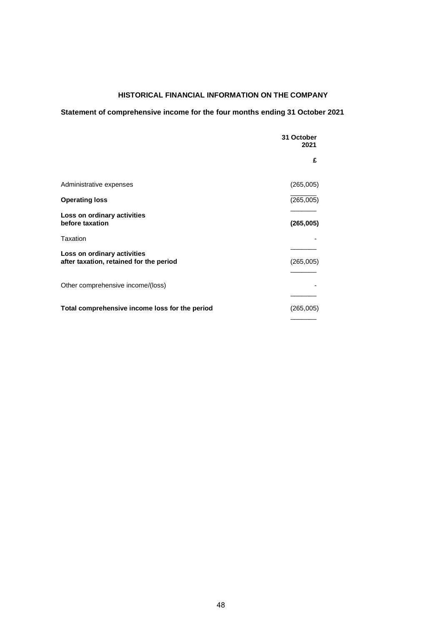# **HISTORICAL FINANCIAL INFORMATION ON THE COMPANY**

# **Statement of comprehensive income for the four months ending 31 October 2021**

|                                                                        | 31 October<br>2021 |  |
|------------------------------------------------------------------------|--------------------|--|
|                                                                        | £                  |  |
| Administrative expenses                                                | (265,005)          |  |
| <b>Operating loss</b>                                                  | (265,005)          |  |
| Loss on ordinary activities<br>before taxation                         | (265,005)          |  |
| Taxation                                                               |                    |  |
| Loss on ordinary activities<br>after taxation, retained for the period | (265,005)          |  |
| Other comprehensive income/(loss)                                      |                    |  |
| Total comprehensive income loss for the period                         | (265,005)          |  |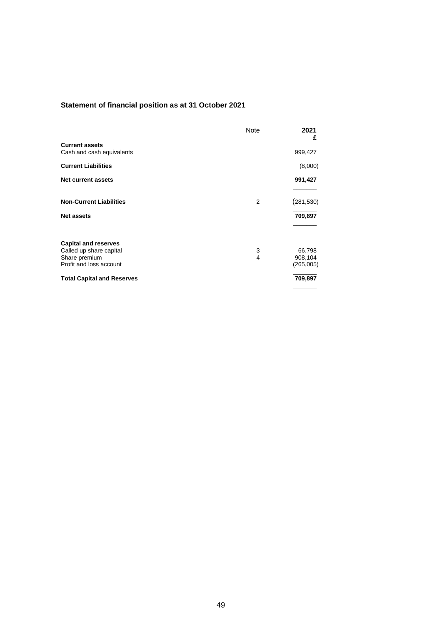# **Statement of financial position as at 31 October 2021**

|                                   | <b>Note</b> | 2021<br>£  |  |
|-----------------------------------|-------------|------------|--|
| <b>Current assets</b>             |             |            |  |
| Cash and cash equivalents         |             | 999,427    |  |
| <b>Current Liabilities</b>        |             | (8,000)    |  |
| <b>Net current assets</b>         |             | 991,427    |  |
|                                   |             |            |  |
| <b>Non-Current Liabilities</b>    | 2           | (281, 530) |  |
| <b>Net assets</b>                 |             | 709,897    |  |
|                                   |             |            |  |
| <b>Capital and reserves</b>       |             |            |  |
| Called up share capital           | 3           | 66,798     |  |
| Share premium                     | 4           | 908,104    |  |
| Profit and loss account           |             | (265,005)  |  |
| <b>Total Capital and Reserves</b> |             | 709,897    |  |
|                                   |             |            |  |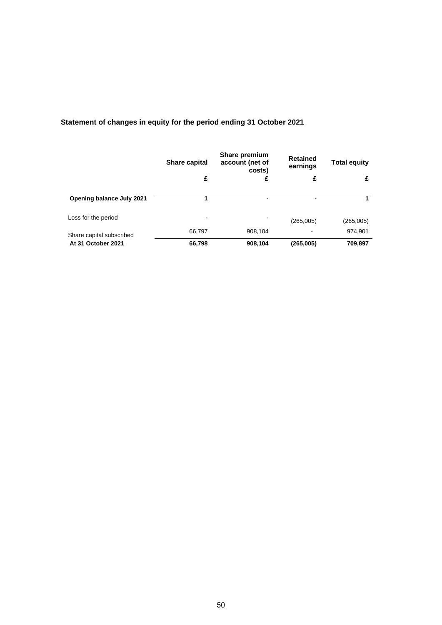|                           | <b>Share capital</b> | Share premium<br>account (net of<br>costs) |           | <b>Total equity</b> |  |
|---------------------------|----------------------|--------------------------------------------|-----------|---------------------|--|
|                           | £                    | £                                          | £         | £                   |  |
| Opening balance July 2021 |                      |                                            | -         |                     |  |
| Loss for the period       | ۰                    |                                            | (265,005) | (265,005)           |  |
| Share capital subscribed  | 66,797               | 908,104                                    | ٠         | 974,901             |  |
| At 31 October 2021        | 66,798               | 908,104                                    | (265,005) | 709,897             |  |

# **Statement of changes in equity for the period ending 31 October 2021**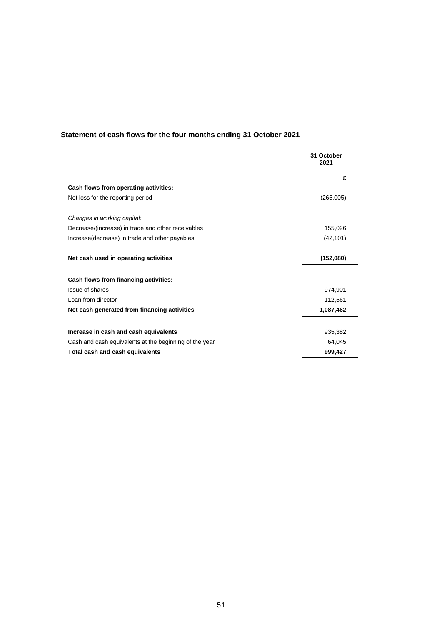# **Statement of cash flows for the four months ending 31 October 2021**

|                                                        | 31 October<br>2021 |
|--------------------------------------------------------|--------------------|
|                                                        | £                  |
| Cash flows from operating activities:                  |                    |
| Net loss for the reporting period                      | (265,005)          |
| Changes in working capital:                            |                    |
| Decrease/(increase) in trade and other receivables     | 155,026            |
| Increase (decrease) in trade and other payables        | (42, 101)          |
| Net cash used in operating activities                  | (152,080)          |
| Cash flows from financing activities:                  |                    |
| Issue of shares                                        | 974,901            |
| Loan from director                                     | 112,561            |
| Net cash generated from financing activities           | 1,087,462          |
|                                                        |                    |
| Increase in cash and cash equivalents                  | 935,382            |
| Cash and cash equivalents at the beginning of the year | 64,045             |
| Total cash and cash equivalents                        | 999,427            |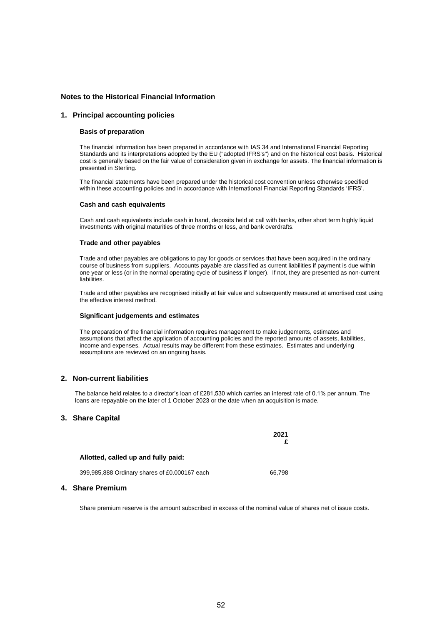#### **Notes to the Historical Financial Information**

#### **1. Principal accounting policies**

#### **Basis of preparation**

The financial information has been prepared in accordance with IAS 34 and International Financial Reporting Standards and its interpretations adopted by the EU ("adopted IFRS's") and on the historical cost basis. Historical cost is generally based on the fair value of consideration given in exchange for assets. The financial information is presented in Sterling.

The financial statements have been prepared under the historical cost convention unless otherwise specified within these accounting policies and in accordance with International Financial Reporting Standards 'IFRS'.

#### **Cash and cash equivalents**

Cash and cash equivalents include cash in hand, deposits held at call with banks, other short term highly liquid investments with original maturities of three months or less, and bank overdrafts.

#### **Trade and other payables**

Trade and other payables are obligations to pay for goods or services that have been acquired in the ordinary course of business from suppliers. Accounts payable are classified as current liabilities if payment is due within one year or less (or in the normal operating cycle of business if longer). If not, they are presented as non-current liabilities.

Trade and other payables are recognised initially at fair value and subsequently measured at amortised cost using the effective interest method.

#### **Significant judgements and estimates**

The preparation of the financial information requires management to make judgements, estimates and assumptions that affect the application of accounting policies and the reported amounts of assets, liabilities, income and expenses. Actual results may be different from these estimates. Estimates and underlying assumptions are reviewed on an ongoing basis.

#### **2. Non-current liabilities**

The balance held relates to a director's loan of £281,530 which carries an interest rate of 0.1% per annum. The loans are repayable on the later of 1 October 2023 or the date when an acquisition is made.

#### **3. Share Capital**

|                                               | 2021   |
|-----------------------------------------------|--------|
| Allotted, called up and fully paid:           |        |
| 399,985,888 Ordinary shares of £0.000167 each | 66.798 |

#### **4. Share Premium**

Share premium reserve is the amount subscribed in excess of the nominal value of shares net of issue costs.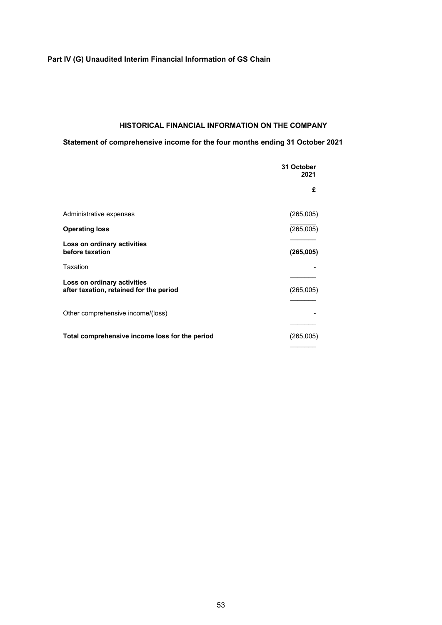# **Part IV (G) Unaudited Interim Financial Information of GS Chain**

# **HISTORICAL FINANCIAL INFORMATION ON THE COMPANY**

# **Statement of comprehensive income for the four months ending 31 October 2021**

|                                                                        | 31 October<br>2021 |  |
|------------------------------------------------------------------------|--------------------|--|
|                                                                        | £                  |  |
| Administrative expenses                                                | (265,005)          |  |
| <b>Operating loss</b>                                                  | (265,005)          |  |
| Loss on ordinary activities<br>before taxation                         | (265,005)          |  |
| Taxation                                                               |                    |  |
| Loss on ordinary activities<br>after taxation, retained for the period | (265,005)          |  |
| Other comprehensive income/(loss)                                      |                    |  |
| Total comprehensive income loss for the period                         | (265,005)          |  |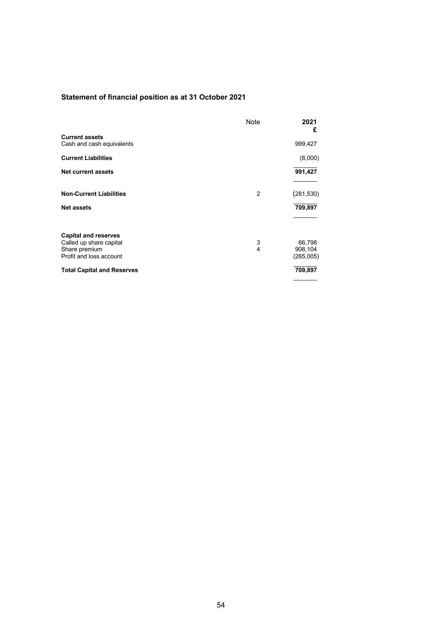# **Statement of financial position as at 31 October 2021**

|                                   | <b>Note</b> | 2021<br>£  |  |
|-----------------------------------|-------------|------------|--|
| <b>Current assets</b>             |             |            |  |
| Cash and cash equivalents         |             | 999,427    |  |
| <b>Current Liabilities</b>        |             | (8,000)    |  |
| <b>Net current assets</b>         |             | 991,427    |  |
|                                   |             |            |  |
| <b>Non-Current Liabilities</b>    | 2           | (281, 530) |  |
| <b>Net assets</b>                 |             | 709,897    |  |
|                                   |             |            |  |
| <b>Capital and reserves</b>       |             |            |  |
| Called up share capital           | 3           | 66,798     |  |
| Share premium                     | 4           | 908,104    |  |
| Profit and loss account           |             | (265,005)  |  |
| <b>Total Capital and Reserves</b> |             | 709,897    |  |
|                                   |             |            |  |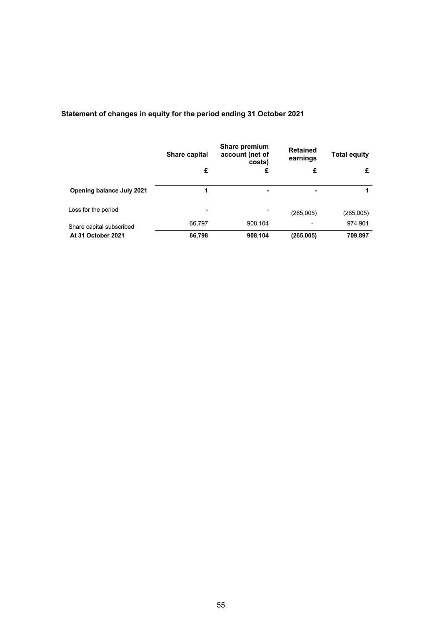|                           | Share capital<br>£ | Share premium<br>account (net of<br>costs)<br>£ | <b>Retained</b><br>earnings<br>£ | <b>Total equity</b><br>£ |
|---------------------------|--------------------|-------------------------------------------------|----------------------------------|--------------------------|
| Opening balance July 2021 |                    |                                                 |                                  | 1                        |
| Loss for the period       | -                  | $\overline{\phantom{0}}$                        | (265,005)                        | (265,005)                |
| Share capital subscribed  | 66,797             | 908,104                                         | -                                | 974,901                  |
| At 31 October 2021        | 66,798             | 908,104                                         | (265,005)                        | 709,897                  |

# **Statement of changes in equity for the period ending 31 October 2021**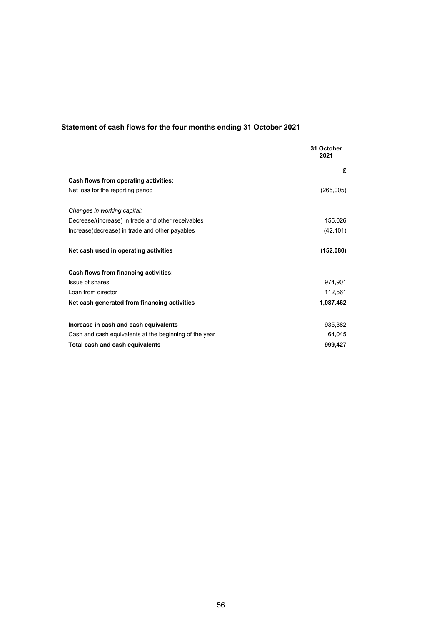# **Statement of cash flows for the four months ending 31 October 2021**

|                                                        | 31 October<br>2021 |
|--------------------------------------------------------|--------------------|
|                                                        | £                  |
| <b>Cash flows from operating activities:</b>           |                    |
| Net loss for the reporting period                      | (265,005)          |
| Changes in working capital:                            |                    |
| Decrease/(increase) in trade and other receivables     | 155,026            |
| Increase (decrease) in trade and other payables        | (42, 101)          |
| Net cash used in operating activities                  | (152,080)          |
| Cash flows from financing activities:                  |                    |
| Issue of shares                                        | 974,901            |
| Loan from director                                     | 112,561            |
| Net cash generated from financing activities           | 1,087,462          |
|                                                        |                    |
| Increase in cash and cash equivalents                  | 935,382            |
| Cash and cash equivalents at the beginning of the year | 64,045             |
| <b>Total cash and cash equivalents</b>                 | 999,427            |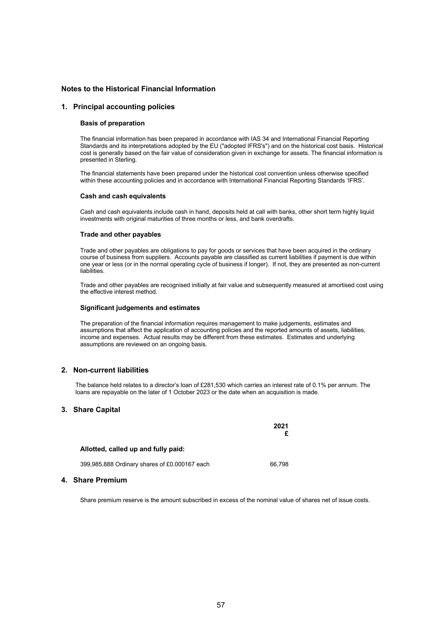#### **Notes to the Historical Financial Information**

#### **1. Principal accounting policies**

#### **Basis of preparation**

The financial information has been prepared in accordance with IAS 34 and International Financial Reporting Standards and its interpretations adopted by the EU ("adopted IFRS's") and on the historical cost basis. Historical cost is generally based on the fair value of consideration given in exchange for assets. The financial information is presented in Sterling.

The financial statements have been prepared under the historical cost convention unless otherwise specified within these accounting policies and in accordance with International Financial Reporting Standards 'IFRS'.

#### **Cash and cash equivalents**

Cash and cash equivalents include cash in hand, deposits held at call with banks, other short term highly liquid investments with original maturities of three months or less, and bank overdrafts.

#### **Trade and other payables**

Trade and other payables are obligations to pay for goods or services that have been acquired in the ordinary course of business from suppliers. Accounts payable are classified as current liabilities if payment is due within one year or less (or in the normal operating cycle of business if longer). If not, they are presented as non-current liabilities.

Trade and other payables are recognised initially at fair value and subsequently measured at amortised cost using the effective interest method.

#### **Significant judgements and estimates**

The preparation of the financial information requires management to make judgements, estimates and assumptions that affect the application of accounting policies and the reported amounts of assets, liabilities, income and expenses. Actual results may be different from these estimates. Estimates and underlying assumptions are reviewed on an ongoing basis.

#### **2. Non-current liabilities**

The balance held relates to a director's loan of £281,530 which carries an interest rate of 0.1% per annum. The loans are repayable on the later of 1 October 2023 or the date when an acquisition is made.

#### **3. Share Capital**

|                                               | 2021   |
|-----------------------------------------------|--------|
| Allotted, called up and fully paid:           |        |
| 399,985,888 Ordinary shares of £0.000167 each | 66.798 |

#### **4. Share Premium**

Share premium reserve is the amount subscribed in excess of the nominal value of shares net of issue costs.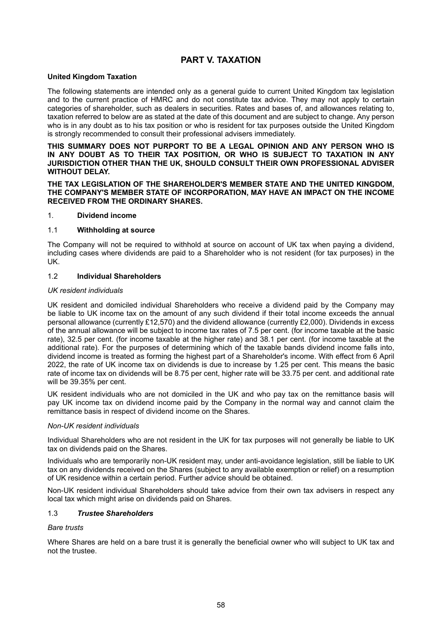# **PART V. TAXATION**

## **United Kingdom Taxation**

The following statements are intended only as a general guide to current United Kingdom tax legislation and to the current practice of HMRC and do not constitute tax advice. They may not apply to certain categories of shareholder, such as dealers in securities. Rates and bases of, and allowances relating to, taxation referred to below are as stated at the date of this document and are subject to change. Any person who is in any doubt as to his tax position or who is resident for tax purposes outside the United Kingdom is strongly recommended to consult their professional advisers immediately.

#### **THIS SUMMARY DOES NOT PURPORT TO BE A LEGAL OPINION AND ANY PERSON WHO IS IN ANY DOUBT AS TO THEIR TAX POSITION, OR WHO IS SUBJECT TO TAXATION IN ANY JURISDICTION OTHER THAN THE UK, SHOULD CONSULT THEIR OWN PROFESSIONAL ADVISER WITHOUT DELAY.**

#### **THE TAX LEGISLATION OF THE SHAREHOLDER'S MEMBER STATE AND THE UNITED KINGDOM, THE COMPANY'S MEMBER STATE OF INCORPORATION, MAY HAVE AN IMPACT ON THE INCOME RECEIVED FROM THE ORDINARY SHARES.**

#### 1. **Dividend income**

## 1.1 **Withholding at source**

The Company will not be required to withhold at source on account of UK tax when paying a dividend, including cases where dividends are paid to a Shareholder who is not resident (for tax purposes) in the UK.

# 1.2 **Individual Shareholders**

## *UK resident individuals*

UK resident and domiciled individual Shareholders who receive a dividend paid by the Company may be liable to UK income tax on the amount of any such dividend if their total income exceeds the annual personal allowance (currently £12,570) and the dividend allowance (currently £2,000). Dividends in excess of the annual allowance will be subject to income tax rates of 7.5 per cent. (for income taxable at the basic rate), 32.5 per cent. (for income taxable at the higher rate) and 38.1 per cent. (for income taxable at the additional rate). For the purposes of determining which of the taxable bands dividend income falls into, dividend income is treated as forming the highest part of a Shareholder's income. With effect from 6 April 2022, the rate of UK income tax on dividends is due to increase by 1.25 per cent. This means the basic rate of income tax on dividends will be 8.75 per cent, higher rate will be 33.75 per cent. and additional rate will be 39.35% per cent.

UK resident individuals who are not domiciled in the UK and who pay tax on the remittance basis will pay UK income tax on dividend income paid by the Company in the normal way and cannot claim the remittance basis in respect of dividend income on the Shares.

# *Non-UK resident individuals*

Individual Shareholders who are not resident in the UK for tax purposes will not generally be liable to UK tax on dividends paid on the Shares.

Individuals who are temporarily non-UK resident may, under anti-avoidance legislation, still be liable to UK tax on any dividends received on the Shares (subject to any available exemption or relief) on a resumption of UK residence within a certain period. Further advice should be obtained.

Non-UK resident individual Shareholders should take advice from their own tax advisers in respect any local tax which might arise on dividends paid on Shares.

#### 1.3 *Trustee Shareholders*

#### *Bare trusts*

Where Shares are held on a bare trust it is generally the beneficial owner who will subject to UK tax and not the trustee.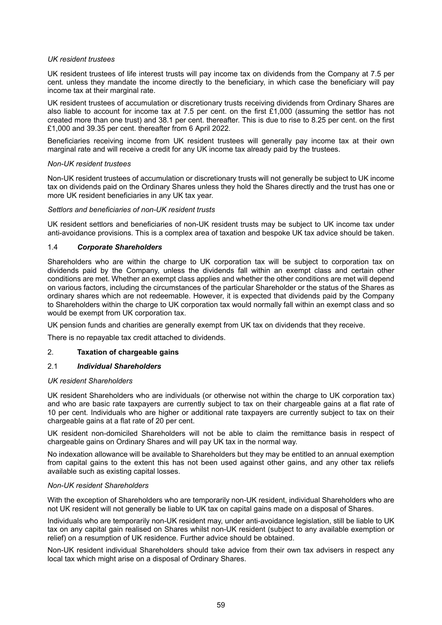#### *UK resident trustees*

UK resident trustees of life interest trusts will pay income tax on dividends from the Company at 7.5 per cent. unless they mandate the income directly to the beneficiary, in which case the beneficiary will pay income tax at their marginal rate.

UK resident trustees of accumulation or discretionary trusts receiving dividends from Ordinary Shares are also liable to account for income tax at 7.5 per cent. on the first £1,000 (assuming the settlor has not created more than one trust) and 38.1 per cent. thereafter. This is due to rise to 8.25 per cent. on the first £1,000 and 39.35 per cent. thereafter from 6 April 2022.

Beneficiaries receiving income from UK resident trustees will generally pay income tax at their own marginal rate and will receive a credit for any UK income tax already paid by the trustees.

#### *Non-UK resident trustees*

Non-UK resident trustees of accumulation or discretionary trusts will not generally be subject to UK income tax on dividends paid on the Ordinary Shares unless they hold the Shares directly and the trust has one or more UK resident beneficiaries in any UK tax year.

#### *Settlors and beneficiaries of non-UK resident trusts*

UK resident settlors and beneficiaries of non-UK resident trusts may be subject to UK income tax under anti-avoidance provisions. This is a complex area of taxation and bespoke UK tax advice should be taken.

# 1.4 *Corporate Shareholders*

Shareholders who are within the charge to UK corporation tax will be subject to corporation tax on dividends paid by the Company, unless the dividends fall within an exempt class and certain other conditions are met. Whether an exempt class applies and whether the other conditions are met will depend on various factors, including the circumstances of the particular Shareholder or the status of the Shares as ordinary shares which are not redeemable. However, it is expected that dividends paid by the Company to Shareholders within the charge to UK corporation tax would normally fall within an exempt class and so would be exempt from UK corporation tax.

UK pension funds and charities are generally exempt from UK tax on dividends that they receive.

There is no repayable tax credit attached to dividends.

# 2. **Taxation of chargeable gains**

#### 2.1 *Individual Shareholders*

#### *UK resident Shareholders*

UK resident Shareholders who are individuals (or otherwise not within the charge to UK corporation tax) and who are basic rate taxpayers are currently subject to tax on their chargeable gains at a flat rate of 10 per cent. Individuals who are higher or additional rate taxpayers are currently subject to tax on their chargeable gains at a flat rate of 20 per cent.

UK resident non-domiciled Shareholders will not be able to claim the remittance basis in respect of chargeable gains on Ordinary Shares and will pay UK tax in the normal way.

No indexation allowance will be available to Shareholders but they may be entitled to an annual exemption from capital gains to the extent this has not been used against other gains, and any other tax reliefs available such as existing capital losses.

#### *Non-UK resident Shareholders*

With the exception of Shareholders who are temporarily non-UK resident, individual Shareholders who are not UK resident will not generally be liable to UK tax on capital gains made on a disposal of Shares.

Individuals who are temporarily non-UK resident may, under anti-avoidance legislation, still be liable to UK tax on any capital gain realised on Shares whilst non-UK resident (subject to any available exemption or relief) on a resumption of UK residence. Further advice should be obtained.

Non-UK resident individual Shareholders should take advice from their own tax advisers in respect any local tax which might arise on a disposal of Ordinary Shares.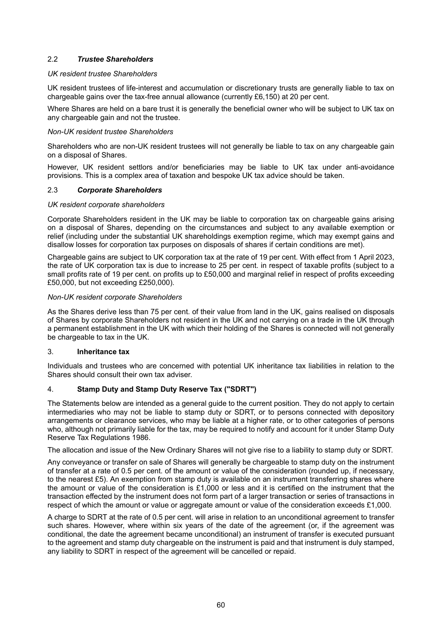# 2.2 *Trustee Shareholders*

# *UK resident trustee Shareholders*

UK resident trustees of life-interest and accumulation or discretionary trusts are generally liable to tax on chargeable gains over the tax-free annual allowance (currently £6,150) at 20 per cent.

Where Shares are held on a bare trust it is generally the beneficial owner who will be subject to UK tax on any chargeable gain and not the trustee.

#### *Non-UK resident trustee Shareholders*

Shareholders who are non-UK resident trustees will not generally be liable to tax on any chargeable gain on a disposal of Shares.

However, UK resident settlors and/or beneficiaries may be liable to UK tax under anti-avoidance provisions. This is a complex area of taxation and bespoke UK tax advice should be taken.

## 2.3 *Corporate Shareholders*

#### *UK resident corporate shareholders*

Corporate Shareholders resident in the UK may be liable to corporation tax on chargeable gains arising on a disposal of Shares, depending on the circumstances and subject to any available exemption or relief (including under the substantial UK shareholdings exemption regime, which may exempt gains and disallow losses for corporation tax purposes on disposals of shares if certain conditions are met).

Chargeable gains are subject to UK corporation tax at the rate of 19 per cent. With effect from 1 April 2023, the rate of UK corporation tax is due to increase to 25 per cent. in respect of taxable profits (subject to a small profits rate of 19 per cent. on profits up to £50,000 and marginal relief in respect of profits exceeding £50,000, but not exceeding £250,000).

## *Non-UK resident corporate Shareholders*

As the Shares derive less than 75 per cent. of their value from land in the UK, gains realised on disposals of Shares by corporate Shareholders not resident in the UK and not carrying on a trade in the UK through a permanent establishment in the UK with which their holding of the Shares is connected will not generally be chargeable to tax in the UK.

#### 3. **Inheritance tax**

Individuals and trustees who are concerned with potential UK inheritance tax liabilities in relation to the Shares should consult their own tax adviser.

# 4. **Stamp Duty and Stamp Duty Reserve Tax ("SDRT")**

The Statements below are intended as a general guide to the current position. They do not apply to certain intermediaries who may not be liable to stamp duty or SDRT, or to persons connected with depository arrangements or clearance services, who may be liable at a higher rate, or to other categories of persons who, although not primarily liable for the tax, may be required to notify and account for it under Stamp Duty Reserve Tax Regulations 1986.

The allocation and issue of the New Ordinary Shares will not give rise to a liability to stamp duty or SDRT.

Any conveyance or transfer on sale of Shares will generally be chargeable to stamp duty on the instrument of transfer at a rate of 0.5 per cent. of the amount or value of the consideration (rounded up, if necessary, to the nearest £5). An exemption from stamp duty is available on an instrument transferring shares where the amount or value of the consideration is £1,000 or less and it is certified on the instrument that the transaction effected by the instrument does not form part of a larger transaction or series of transactions in respect of which the amount or value or aggregate amount or value of the consideration exceeds £1,000.

A charge to SDRT at the rate of 0.5 per cent. will arise in relation to an unconditional agreement to transfer such shares. However, where within six years of the date of the agreement (or, if the agreement was conditional, the date the agreement became unconditional) an instrument of transfer is executed pursuant to the agreement and stamp duty chargeable on the instrument is paid and that instrument is duly stamped, any liability to SDRT in respect of the agreement will be cancelled or repaid.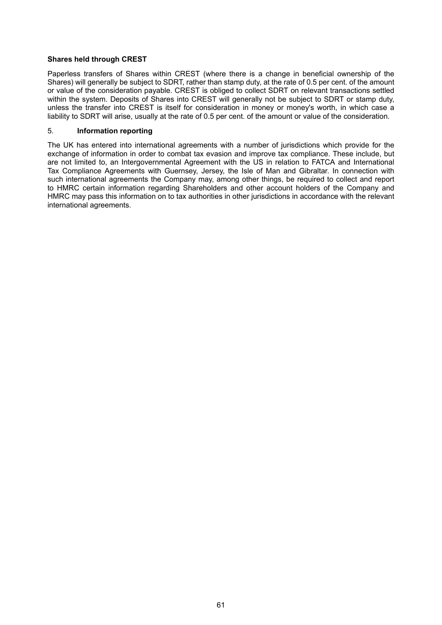# **Shares held through CREST**

Paperless transfers of Shares within CREST (where there is a change in beneficial ownership of the Shares) will generally be subject to SDRT, rather than stamp duty, at the rate of 0.5 per cent. of the amount or value of the consideration payable. CREST is obliged to collect SDRT on relevant transactions settled within the system. Deposits of Shares into CREST will generally not be subject to SDRT or stamp duty, unless the transfer into CREST is itself for consideration in money or money's worth, in which case a liability to SDRT will arise, usually at the rate of 0.5 per cent. of the amount or value of the consideration.

# 5. **Information reporting**

The UK has entered into international agreements with a number of jurisdictions which provide for the exchange of information in order to combat tax evasion and improve tax compliance. These include, but are not limited to, an Intergovernmental Agreement with the US in relation to FATCA and International Tax Compliance Agreements with Guernsey, Jersey, the Isle of Man and Gibraltar. In connection with such international agreements the Company may, among other things, be required to collect and report to HMRC certain information regarding Shareholders and other account holders of the Company and HMRC may pass this information on to tax authorities in other jurisdictions in accordance with the relevant international agreements.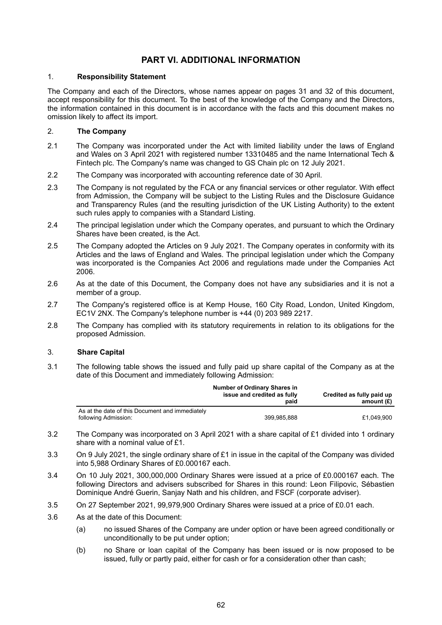# **PART VI. ADDITIONAL INFORMATION**

# 1. **Responsibility Statement**

The Company and each of the Directors, whose names appear on pages 31 and 32 of this document, accept responsibility for this document. To the best of the knowledge of the Company and the Directors, the information contained in this document is in accordance with the facts and this document makes no omission likely to affect its import.

# 2. **The Company**

- 2.1 The Company was incorporated under the Act with limited liability under the laws of England and Wales on 3 April 2021 with registered number 13310485 and the name International Tech & Fintech plc. The Company's name was changed to GS Chain plc on 12 July 2021.
- 2.2 The Company was incorporated with accounting reference date of 30 April.
- 2.3 The Company is not regulated by the FCA or any financial services or other regulator. With effect from Admission, the Company will be subject to the Listing Rules and the Disclosure Guidance and Transparency Rules (and the resulting jurisdiction of the UK Listing Authority) to the extent such rules apply to companies with a Standard Listing.
- 2.4 The principal legislation under which the Company operates, and pursuant to which the Ordinary Shares have been created, is the Act.
- 2.5 The Company adopted the Articles on 9 July 2021. The Company operates in conformity with its Articles and the laws of England and Wales. The principal legislation under which the Company was incorporated is the Companies Act 2006 and regulations made under the Companies Act 2006.
- 2.6 As at the date of this Document, the Company does not have any subsidiaries and it is not a member of a group.
- 2.7 The Company's registered office is at Kemp House, 160 City Road, London, United Kingdom, EC1V 2NX. The Company's telephone number is +44 (0) 203 989 2217.
- 2.8 The Company has complied with its statutory requirements in relation to its obligations for the proposed Admission.

#### 3. **Share Capital**

3.1 The following table shows the issued and fully paid up share capital of the Company as at the date of this Document and immediately following Admission:

|                                                                         | <b>Number of Ordinary Shares in</b><br>issue and credited as fully<br>paid | Credited as fully paid up<br>amount (£) |
|-------------------------------------------------------------------------|----------------------------------------------------------------------------|-----------------------------------------|
| As at the date of this Document and immediately<br>following Admission: | 399,985,888                                                                | £1.049.900                              |

- 3.2 The Company was incorporated on 3 April 2021 with a share capital of £1 divided into 1 ordinary share with a nominal value of £1.
- 3.3 On 9 July 2021, the single ordinary share of £1 in issue in the capital of the Company was divided into 5,988 Ordinary Shares of £0.000167 each.
- 3.4 On 10 July 2021, 300,000,000 Ordinary Shares were issued at a price of £0.000167 each. The following Directors and advisers subscribed for Shares in this round: Leon Filipovic, Sébastien Dominique André Guerin, Sanjay Nath and his children, and FSCF (corporate adviser).
- 3.5 On 27 September 2021, 99,979,900 Ordinary Shares were issued at a price of £0.01 each.
- 3.6 As at the date of this Document:
	- (a) no issued Shares of the Company are under option or have been agreed conditionally or unconditionally to be put under option;
	- (b) no Share or loan capital of the Company has been issued or is now proposed to be issued, fully or partly paid, either for cash or for a consideration other than cash;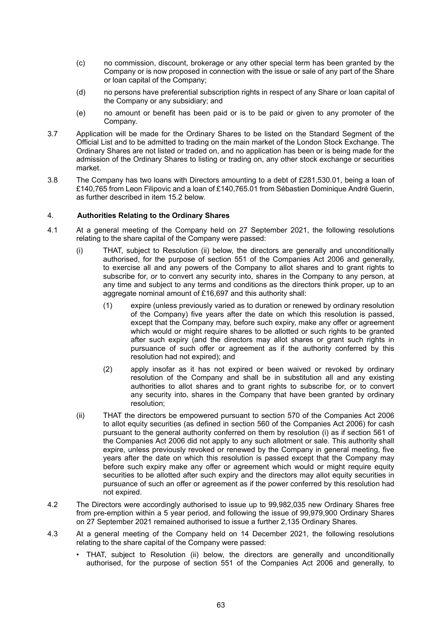- (c) no commission, discount, brokerage or any other special term has been granted by the Company or is now proposed in connection with the issue or sale of any part of the Share or loan capital of the Company;
- (d) no persons have preferential subscription rights in respect of any Share or loan capital of the Company or any subsidiary; and
- (e) no amount or benefit has been paid or is to be paid or given to any promoter of the Company.
- 3.7 Application will be made for the Ordinary Shares to be listed on the Standard Segment of the Official List and to be admitted to trading on the main market of the London Stock Exchange. The Ordinary Shares are not listed or traded on, and no application has been or is being made for the admission of the Ordinary Shares to listing or trading on, any other stock exchange or securities market.
- 3.8 The Company has two loans with Directors amounting to a debt of £281,530.01, being a loan of £140,765 from Leon Filipovic and a loan of £140,765.01 from Sébastien Dominique André Guerin, as further described in item 15.2 below.

# 4. **Authorities Relating to the Ordinary Shares**

- 4.1 At a general meeting of the Company held on 27 September 2021, the following resolutions relating to the share capital of the Company were passed:
	- (i) THAT, subject to Resolution (ii) below, the directors are generally and unconditionally authorised, for the purpose of section 551 of the Companies Act 2006 and generally, to exercise all and any powers of the Company to allot shares and to grant rights to subscribe for, or to convert any security into, shares in the Company to any person, at any time and subject to any terms and conditions as the directors think proper, up to an aggregate nominal amount of £16,697 and this authority shall:
		- (1) expire (unless previously varied as to duration or renewed by ordinary resolution of the Company) five years after the date on which this resolution is passed, except that the Company may, before such expiry, make any offer or agreement which would or might require shares to be allotted or such rights to be granted after such expiry (and the directors may allot shares or grant such rights in pursuance of such offer or agreement as if the authority conferred by this resolution had not expired); and
		- (2) apply insofar as it has not expired or been waived or revoked by ordinary resolution of the Company and shall be in substitution all and any existing authorities to allot shares and to grant rights to subscribe for, or to convert any security into, shares in the Company that have been granted by ordinary resolution;
	- (ii) THAT the directors be empowered pursuant to section 570 of the Companies Act 2006 to allot equity securities (as defined in section 560 of the Companies Act 2006) for cash pursuant to the general authority conferred on them by resolution (i) as if section 561 of the Companies Act 2006 did not apply to any such allotment or sale. This authority shall expire, unless previously revoked or renewed by the Company in general meeting, five years after the date on which this resolution is passed except that the Company may before such expiry make any offer or agreement which would or might require equity securities to be allotted after such expiry and the directors may allot equity securities in pursuance of such an offer or agreement as if the power conferred by this resolution had not expired.
- 4.2 The Directors were accordingly authorised to issue up to 99,982,035 new Ordinary Shares free from pre-emption within a 5 year period, and following the issue of 99,979,900 Ordinary Shares on 27 September 2021 remained authorised to issue a further 2,135 Ordinary Shares.
- 4.3 At a general meeting of the Company held on 14 December 2021, the following resolutions relating to the share capital of the Company were passed:
	- THAT, subject to Resolution (ii) below, the directors are generally and unconditionally authorised, for the purpose of section 551 of the Companies Act 2006 and generally, to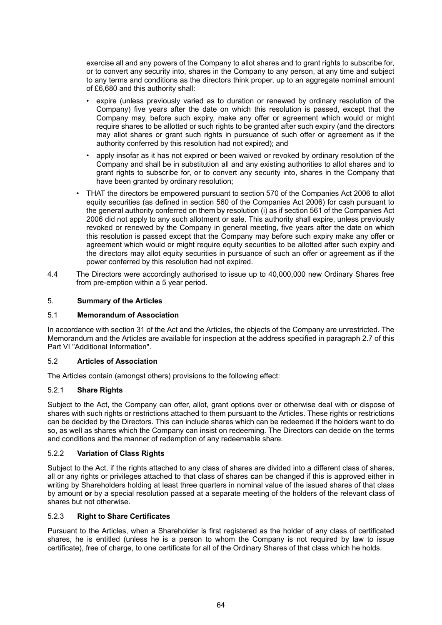exercise all and any powers of the Company to allot shares and to grant rights to subscribe for, or to convert any security into, shares in the Company to any person, at any time and subject to any terms and conditions as the directors think proper, up to an aggregate nominal amount of £6,680 and this authority shall:

- expire (unless previously varied as to duration or renewed by ordinary resolution of the Company) five years after the date on which this resolution is passed, except that the Company may, before such expiry, make any offer or agreement which would or might require shares to be allotted or such rights to be granted after such expiry (and the directors may allot shares or grant such rights in pursuance of such offer or agreement as if the authority conferred by this resolution had not expired); and
- apply insofar as it has not expired or been waived or revoked by ordinary resolution of the Company and shall be in substitution all and any existing authorities to allot shares and to grant rights to subscribe for, or to convert any security into, shares in the Company that have been granted by ordinary resolution:
- THAT the directors be empowered pursuant to section 570 of the Companies Act 2006 to allot equity securities (as defined in section 560 of the Companies Act 2006) for cash pursuant to the general authority conferred on them by resolution (i) as if section 561 of the Companies Act 2006 did not apply to any such allotment or sale. This authority shall expire, unless previously revoked or renewed by the Company in general meeting, five years after the date on which this resolution is passed except that the Company may before such expiry make any offer or agreement which would or might require equity securities to be allotted after such expiry and the directors may allot equity securities in pursuance of such an offer or agreement as if the power conferred by this resolution had not expired.
- 4.4 The Directors were accordingly authorised to issue up to 40,000,000 new Ordinary Shares free from pre-emption within a 5 year period.

# 5. **Summary of the Articles**

# 5.1 **Memorandum of Association**

In accordance with section 31 of the Act and the Articles, the objects of the Company are unrestricted. The Memorandum and the Articles are available for inspection at the address specified in paragraph 2.7 of this Part VI "Additional Information".

# 5.2 **Articles of Association**

The Articles contain (amongst others) provisions to the following effect:

# 5.2.1 **Share Rights**

Subject to the Act, the Company can offer, allot, grant options over or otherwise deal with or dispose of shares with such rights or restrictions attached to them pursuant to the Articles. These rights or restrictions can be decided by the Directors. This can include shares which can be redeemed if the holders want to do so, as well as shares which the Company can insist on redeeming. The Directors can decide on the terms and conditions and the manner of redemption of any redeemable share.

# 5.2.2 **Variation of Class Rights**

Subject to the Act, if the rights attached to any class of shares are divided into a different class of shares, all or any rights or privileges attached to that class of shares **c**an be changed if this is approved either in writing by Shareholders holding at least three quarters in nominal value of the issued shares of that class by amount **or** by a special resolution passed at a separate meeting of the holders of the relevant class of shares but not otherwise.

# 5.2.3 **Right to Share Certificates**

Pursuant to the Articles, when a Shareholder is first registered as the holder of any class of certificated shares, he is entitled (unless he is a person to whom the Company is not required by law to issue certificate), free of charge, to one certificate for all of the Ordinary Shares of that class which he holds.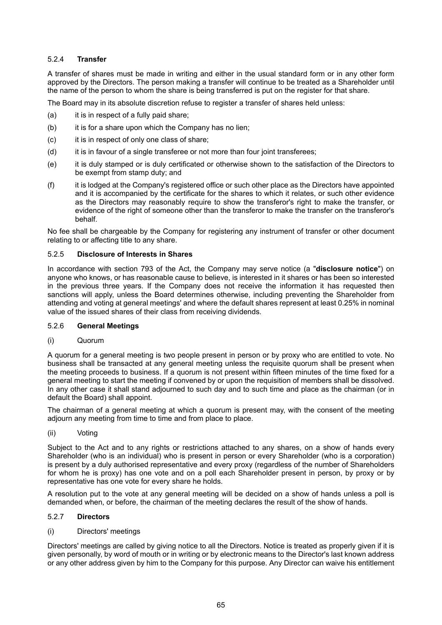# 5.2.4 **Transfer**

A transfer of shares must be made in writing and either in the usual standard form or in any other form approved by the Directors. The person making a transfer will continue to be treated as a Shareholder until the name of the person to whom the share is being transferred is put on the register for that share.

The Board may in its absolute discretion refuse to register a transfer of shares held unless:

- (a) it is in respect of a fully paid share;
- (b) it is for a share upon which the Company has no lien;
- (c) it is in respect of only one class of share;
- (d) it is in favour of a single transferee or not more than four joint transferees;
- (e) it is duly stamped or is duly certificated or otherwise shown to the satisfaction of the Directors to be exempt from stamp duty; and
- (f) it is lodged at the Company's registered office or such other place as the Directors have appointed and it is accompanied by the certificate for the shares to which it relates, or such other evidence as the Directors may reasonably require to show the transferor's right to make the transfer, or evidence of the right of someone other than the transferor to make the transfer on the transferor's behalf.

No fee shall be chargeable by the Company for registering any instrument of transfer or other document relating to or affecting title to any share.

## 5.2.5 **Disclosure of Interests in Shares**

In accordance with section 793 of the Act, the Company may serve notice (a "**disclosure notice**") on anyone who knows, or has reasonable cause to believe, is interested in it shares or has been so interested in the previous three years. If the Company does not receive the information it has requested then sanctions will apply, unless the Board determines otherwise, including preventing the Shareholder from attending and voting at general meetings' and where the default shares represent at least 0.25% in nominal value of the issued shares of their class from receiving dividends.

#### 5.2.6 **General Meetings**

(i) Quorum

A quorum for a general meeting is two people present in person or by proxy who are entitled to vote. No business shall be transacted at any general meeting unless the requisite quorum shall be present when the meeting proceeds to business. If a quorum is not present within fifteen minutes of the time fixed for a general meeting to start the meeting if convened by or upon the requisition of members shall be dissolved. In any other case it shall stand adjourned to such day and to such time and place as the chairman (or in default the Board) shall appoint.

The chairman of a general meeting at which a quorum is present may, with the consent of the meeting adjourn any meeting from time to time and from place to place.

(ii) Voting

Subject to the Act and to any rights or restrictions attached to any shares, on a show of hands every Shareholder (who is an individual) who is present in person or every Shareholder (who is a corporation) is present by a duly authorised representative and every proxy (regardless of the number of Shareholders for whom he is proxy) has one vote and on a poll each Shareholder present in person, by proxy or by representative has one vote for every share he holds.

A resolution put to the vote at any general meeting will be decided on a show of hands unless a poll is demanded when, or before, the chairman of the meeting declares the result of the show of hands.

## 5.2.7 **Directors**

#### (i) Directors' meetings

Directors' meetings are called by giving notice to all the Directors. Notice is treated as properly given if it is given personally, by word of mouth or in writing or by electronic means to the Director's last known address or any other address given by him to the Company for this purpose. Any Director can waive his entitlement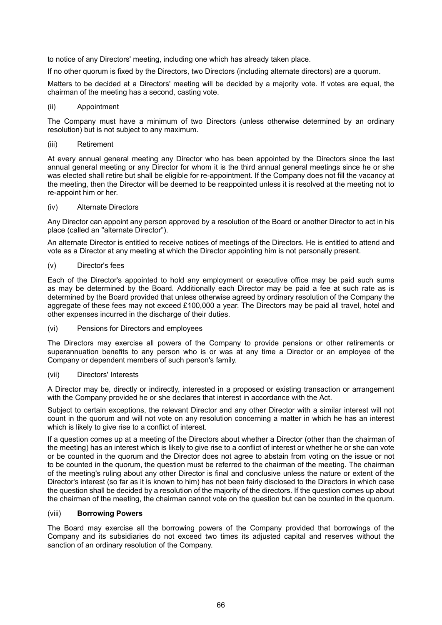to notice of any Directors' meeting, including one which has already taken place.

If no other quorum is fixed by the Directors, two Directors (including alternate directors) are a quorum.

Matters to be decided at a Directors' meeting will be decided by a majority vote. If votes are equal, the chairman of the meeting has a second, casting vote.

#### (ii) Appointment

The Company must have a minimum of two Directors (unless otherwise determined by an ordinary resolution) but is not subject to any maximum.

## (iii) Retirement

At every annual general meeting any Director who has been appointed by the Directors since the last annual general meeting or any Director for whom it is the third annual general meetings since he or she was elected shall retire but shall be eligible for re-appointment. If the Company does not fill the vacancy at the meeting, then the Director will be deemed to be reappointed unless it is resolved at the meeting not to re-appoint him or her.

## (iv) Alternate Directors

Any Director can appoint any person approved by a resolution of the Board or another Director to act in his place (called an "alternate Director").

An alternate Director is entitled to receive notices of meetings of the Directors. He is entitled to attend and vote as a Director at any meeting at which the Director appointing him is not personally present.

## (v) Director's fees

Each of the Director's appointed to hold any employment or executive office may be paid such sums as may be determined by the Board. Additionally each Director may be paid a fee at such rate as is determined by the Board provided that unless otherwise agreed by ordinary resolution of the Company the aggregate of these fees may not exceed £100,000 a year. The Directors may be paid all travel, hotel and other expenses incurred in the discharge of their duties.

(vi) Pensions for Directors and employees

The Directors may exercise all powers of the Company to provide pensions or other retirements or superannuation benefits to any person who is or was at any time a Director or an employee of the Company or dependent members of such person's family.

#### (vii) Directors' Interests

A Director may be, directly or indirectly, interested in a proposed or existing transaction or arrangement with the Company provided he or she declares that interest in accordance with the Act.

Subject to certain exceptions, the relevant Director and any other Director with a similar interest will not count in the quorum and will not vote on any resolution concerning a matter in which he has an interest which is likely to give rise to a conflict of interest.

If a question comes up at a meeting of the Directors about whether a Director (other than the chairman of the meeting) has an interest which is likely to give rise to a conflict of interest or whether he or she can vote or be counted in the quorum and the Director does not agree to abstain from voting on the issue or not to be counted in the quorum, the question must be referred to the chairman of the meeting. The chairman of the meeting's ruling about any other Director is final and conclusive unless the nature or extent of the Director's interest (so far as it is known to him) has not been fairly disclosed to the Directors in which case the question shall be decided by a resolution of the majority of the directors. If the question comes up about the chairman of the meeting, the chairman cannot vote on the question but can be counted in the quorum.

# (viii) **Borrowing Powers**

The Board may exercise all the borrowing powers of the Company provided that borrowings of the Company and its subsidiaries do not exceed two times its adjusted capital and reserves without the sanction of an ordinary resolution of the Company.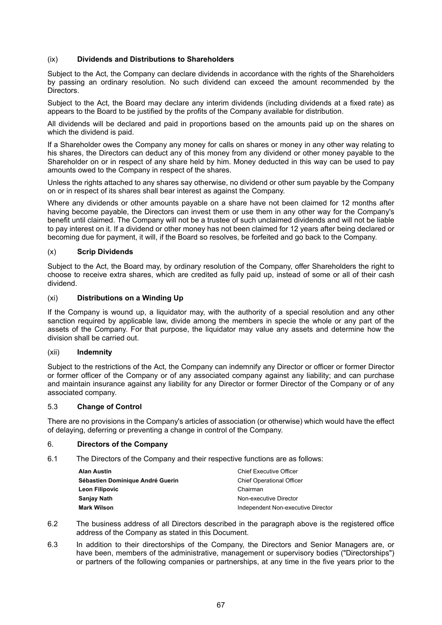# (ix) **Dividends and Distributions to Shareholders**

Subject to the Act, the Company can declare dividends in accordance with the rights of the Shareholders by passing an ordinary resolution. No such dividend can exceed the amount recommended by the Directors.

Subject to the Act, the Board may declare any interim dividends (including dividends at a fixed rate) as appears to the Board to be justified by the profits of the Company available for distribution.

All dividends will be declared and paid in proportions based on the amounts paid up on the shares on which the dividend is paid.

If a Shareholder owes the Company any money for calls on shares or money in any other way relating to his shares, the Directors can deduct any of this money from any dividend or other money payable to the Shareholder on or in respect of any share held by him. Money deducted in this way can be used to pay amounts owed to the Company in respect of the shares.

Unless the rights attached to any shares say otherwise, no dividend or other sum payable by the Company on or in respect of its shares shall bear interest as against the Company.

Where any dividends or other amounts payable on a share have not been claimed for 12 months after having become payable, the Directors can invest them or use them in any other way for the Company's benefit until claimed. The Company will not be a trustee of such unclaimed dividends and will not be liable to pay interest on it. If a dividend or other money has not been claimed for 12 years after being declared or becoming due for payment, it will, if the Board so resolves, be forfeited and go back to the Company.

## (x) **Scrip Dividends**

Subject to the Act, the Board may, by ordinary resolution of the Company, offer Shareholders the right to choose to receive extra shares, which are credited as fully paid up, instead of some or all of their cash dividend.

## (xi) **Distributions on a Winding Up**

If the Company is wound up, a liquidator may, with the authority of a special resolution and any other sanction required by applicable law, divide among the members in specie the whole or any part of the assets of the Company. For that purpose, the liquidator may value any assets and determine how the division shall be carried out.

#### (xii) **Indemnity**

Subject to the restrictions of the Act, the Company can indemnify any Director or officer or former Director or former officer of the Company or of any associated company against any liability; and can purchase and maintain insurance against any liability for any Director or former Director of the Company or of any associated company.

#### 5.3 **Change of Control**

There are no provisions in the Company's articles of association (or otherwise) which would have the effect of delaying, deferring or preventing a change in control of the Company.

# 6. **Directors of the Company**

6.1 The Directors of the Company and their respective functions are as follows:

| Alan Austin                      | <b>Chief Executive Officer</b>     |  |
|----------------------------------|------------------------------------|--|
| Sébastien Dominique André Guerin | <b>Chief Operational Officer</b>   |  |
| Leon Filipovic                   | Chairman                           |  |
| Sanjay Nath                      | Non-executive Director             |  |
| Mark Wilson                      | Independent Non-executive Director |  |

- 6.2 The business address of all Directors described in the paragraph above is the registered office address of the Company as stated in this Document.
- 6.3 In addition to their directorships of the Company, the Directors and Senior Managers are, or have been, members of the administrative, management or supervisory bodies ("Directorships") or partners of the following companies or partnerships, at any time in the five years prior to the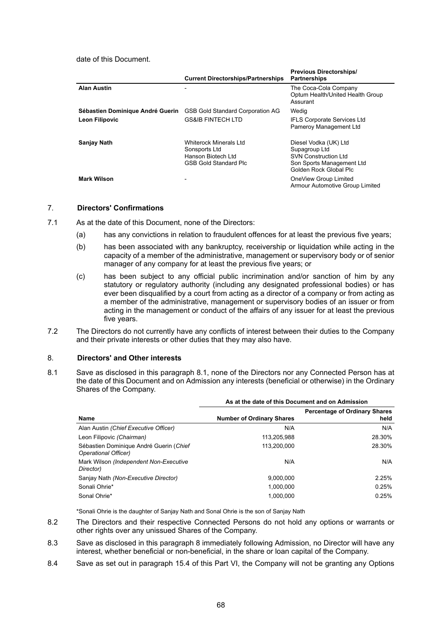date of this Document.

|                                  | <b>Current Directorships/Partnerships</b>                                                     | <b>Previous Directorships/</b><br><b>Partnerships</b>                                                                        |
|----------------------------------|-----------------------------------------------------------------------------------------------|------------------------------------------------------------------------------------------------------------------------------|
| <b>Alan Austin</b>               |                                                                                               | The Coca-Cola Company<br>Optum Health/United Health Group<br>Assurant                                                        |
| Sébastien Dominique André Guerin | <b>GSB Gold Standard Corporation AG</b>                                                       | Wedig                                                                                                                        |
| <b>Leon Filipovic</b>            | <b>GS&amp;IB FINTECH LTD</b>                                                                  | <b>IFLS Corporate Services Ltd</b><br>Pameroy Management Ltd                                                                 |
| Sanjay Nath                      | Whiterock Minerals Ltd<br>Sonsports Ltd<br>Hanson Biotech Ltd<br><b>GSB Gold Standard Plc</b> | Diesel Vodka (UK) Ltd<br>Supagroup Ltd<br><b>SVN Construction Ltd</b><br>Son Sports Management Ltd<br>Golden Rock Global Plc |
| <b>Mark Wilson</b>               |                                                                                               | OneView Group Limited<br>Armour Automotive Group Limited                                                                     |

# 7. **Directors' Confirmations**

7.1 As at the date of this Document, none of the Directors:

- (a) has any convictions in relation to fraudulent offences for at least the previous five years;
- (b) has been associated with any bankruptcy, receivership or liquidation while acting in the capacity of a member of the administrative, management or supervisory body or of senior manager of any company for at least the previous five years; or
- (c) has been subject to any official public incrimination and/or sanction of him by any statutory or regulatory authority (including any designated professional bodies) or has ever been disqualified by a court from acting as a director of a company or from acting as a member of the administrative, management or supervisory bodies of an issuer or from acting in the management or conduct of the affairs of any issuer for at least the previous five years.
- 7.2 The Directors do not currently have any conflicts of interest between their duties to the Company and their private interests or other duties that they may also have.

#### 8. **Directors' and Other interests**

8.1 Save as disclosed in this paragraph 8.1, none of the Directors nor any Connected Person has at the date of this Document and on Admission any interests (beneficial or otherwise) in the Ordinary Shares of the Company.

|                                                                 | As at the date of this Document and on Admission |                                              |  |
|-----------------------------------------------------------------|--------------------------------------------------|----------------------------------------------|--|
| Name                                                            | <b>Number of Ordinary Shares</b>                 | <b>Percentage of Ordinary Shares</b><br>held |  |
| Alan Austin (Chief Executive Officer)                           | N/A                                              | N/A                                          |  |
| Leon Filipovic (Chairman)                                       | 113.205.988                                      | 28.30%                                       |  |
| Sébastien Dominique André Guerin (Chief<br>Operational Officer) | 113.200.000                                      | 28.30%                                       |  |
| Mark Wilson (Independent Non-Executive<br>Director)             | N/A                                              | N/A                                          |  |
| Sanjay Nath (Non-Executive Director)                            | 9.000.000                                        | 2.25%                                        |  |
| Sonali Ohrie*                                                   | 1.000.000                                        | 0.25%                                        |  |
| Sonal Ohrie*                                                    | 1.000.000                                        | 0.25%                                        |  |

\*Sonali Ohrie is the daughter of Sanjay Nath and Sonal Ohrie is the son of Sanjay Nath

- 8.2 The Directors and their respective Connected Persons do not hold any options or warrants or other rights over any unissued Shares of the Company.
- 8.3 Save as disclosed in this paragraph 8 immediately following Admission, no Director will have any interest, whether beneficial or non-beneficial, in the share or loan capital of the Company.
- 8.4 Save as set out in paragraph 15.4 of this Part VI, the Company will not be granting any Options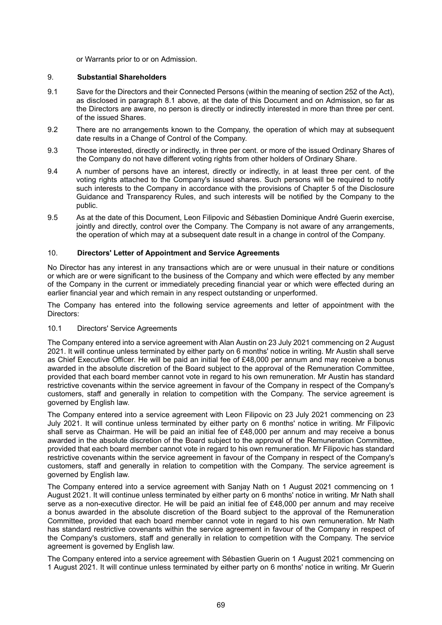or Warrants prior to or on Admission.

# 9. **Substantial Shareholders**

- 9.1 Save for the Directors and their Connected Persons (within the meaning of section 252 of the Act), as disclosed in paragraph 8.1 above, at the date of this Document and on Admission, so far as the Directors are aware, no person is directly or indirectly interested in more than three per cent. of the issued Shares.
- 9.2 There are no arrangements known to the Company, the operation of which may at subsequent date results in a Change of Control of the Company.
- 9.3 Those interested, directly or indirectly, in three per cent. or more of the issued Ordinary Shares of the Company do not have different voting rights from other holders of Ordinary Share.
- 9.4 A number of persons have an interest, directly or indirectly, in at least three per cent. of the voting rights attached to the Company's issued shares. Such persons will be required to notify such interests to the Company in accordance with the provisions of Chapter 5 of the Disclosure Guidance and Transparency Rules, and such interests will be notified by the Company to the public.
- 9.5 As at the date of this Document, Leon Filipovic and Sébastien Dominique André Guerin exercise, jointly and directly, control over the Company. The Company is not aware of any arrangements, the operation of which may at a subsequent date result in a change in control of the Company.

# 10. **Directors' Letter of Appointment and Service Agreements**

No Director has any interest in any transactions which are or were unusual in their nature or conditions or which are or were significant to the business of the Company and which were effected by any member of the Company in the current or immediately preceding financial year or which were effected during an earlier financial year and which remain in any respect outstanding or unperformed.

The Company has entered into the following service agreements and letter of appointment with the Directors:

#### 10.1 Directors' Service Agreements

The Company entered into a service agreement with Alan Austin on 23 July 2021 commencing on 2 August 2021. It will continue unless terminated by either party on 6 months' notice in writing. Mr Austin shall serve as Chief Executive Officer. He will be paid an initial fee of £48,000 per annum and may receive a bonus awarded in the absolute discretion of the Board subject to the approval of the Remuneration Committee, provided that each board member cannot vote in regard to his own remuneration. Mr Austin has standard restrictive covenants within the service agreement in favour of the Company in respect of the Company's customers, staff and generally in relation to competition with the Company. The service agreement is governed by English law.

The Company entered into a service agreement with Leon Filipovic on 23 July 2021 commencing on 23 July 2021. It will continue unless terminated by either party on 6 months' notice in writing. Mr Filipovic shall serve as Chairman. He will be paid an initial fee of £48,000 per annum and may receive a bonus awarded in the absolute discretion of the Board subject to the approval of the Remuneration Committee, provided that each board member cannot vote in regard to his own remuneration. Mr Filipovic has standard restrictive covenants within the service agreement in favour of the Company in respect of the Company's customers, staff and generally in relation to competition with the Company. The service agreement is governed by English law.

The Company entered into a service agreement with Sanjay Nath on 1 August 2021 commencing on 1 August 2021. It will continue unless terminated by either party on 6 months' notice in writing. Mr Nath shall serve as a non-executive director. He will be paid an initial fee of £48,000 per annum and may receive a bonus awarded in the absolute discretion of the Board subject to the approval of the Remuneration Committee, provided that each board member cannot vote in regard to his own remuneration. Mr Nath has standard restrictive covenants within the service agreement in favour of the Company in respect of the Company's customers, staff and generally in relation to competition with the Company. The service agreement is governed by English law.

The Company entered into a service agreement with Sébastien Guerin on 1 August 2021 commencing on 1 August 2021. It will continue unless terminated by either party on 6 months' notice in writing. Mr Guerin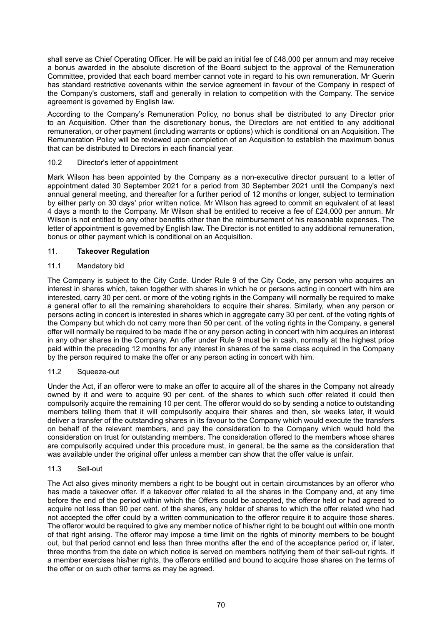shall serve as Chief Operating Officer. He will be paid an initial fee of £48,000 per annum and may receive a bonus awarded in the absolute discretion of the Board subject to the approval of the Remuneration Committee, provided that each board member cannot vote in regard to his own remuneration. Mr Guerin has standard restrictive covenants within the service agreement in favour of the Company in respect of the Company's customers, staff and generally in relation to competition with the Company. The service agreement is governed by English law.

According to the Company's Remuneration Policy, no bonus shall be distributed to any Director prior to an Acquisition. Other than the discretionary bonus, the Directors are not entitled to any additional remuneration, or other payment (including warrants or options) which is conditional on an Acquisition. The Remuneration Policy will be reviewed upon completion of an Acquisition to establish the maximum bonus that can be distributed to Directors in each financial year.

## 10.2 Director's letter of appointment

Mark Wilson has been appointed by the Company as a non-executive director pursuant to a letter of appointment dated 30 September 2021 for a period from 30 September 2021 until the Company's next annual general meeting, and thereafter for a further period of 12 months or longer, subject to termination by either party on 30 days' prior written notice. Mr Wilson has agreed to commit an equivalent of at least 4 days a month to the Company. Mr Wilson shall be entitled to receive a fee of £24,000 per annum. Mr Wilson is not entitled to any other benefits other than the reimbursement of his reasonable expenses. The letter of appointment is governed by English law. The Director is not entitled to any additional remuneration, bonus or other payment which is conditional on an Acquisition.

## 11. **Takeover Regulation**

## 11.1 Mandatory bid

The Company is subject to the City Code. Under Rule 9 of the City Code, any person who acquires an interest in shares which, taken together with shares in which he or persons acting in concert with him are interested, carry 30 per cent. or more of the voting rights in the Company will normally be required to make a general offer to all the remaining shareholders to acquire their shares. Similarly, when any person or persons acting in concert is interested in shares which in aggregate carry 30 per cent. of the voting rights of the Company but which do not carry more than 50 per cent. of the voting rights in the Company, a general offer will normally be required to be made if he or any person acting in concert with him acquires an interest in any other shares in the Company. An offer under Rule 9 must be in cash, normally at the highest price paid within the preceding 12 months for any interest in shares of the same class acquired in the Company by the person required to make the offer or any person acting in concert with him.

#### 11.2 Squeeze-out

Under the Act, if an offeror were to make an offer to acquire all of the shares in the Company not already owned by it and were to acquire 90 per cent. of the shares to which such offer related it could then compulsorily acquire the remaining 10 per cent. The offeror would do so by sending a notice to outstanding members telling them that it will compulsorily acquire their shares and then, six weeks later, it would deliver a transfer of the outstanding shares in its favour to the Company which would execute the transfers on behalf of the relevant members, and pay the consideration to the Company which would hold the consideration on trust for outstanding members. The consideration offered to the members whose shares are compulsorily acquired under this procedure must, in general, be the same as the consideration that was available under the original offer unless a member can show that the offer value is unfair.

#### 11.3 Sell-out

The Act also gives minority members a right to be bought out in certain circumstances by an offeror who has made a takeover offer. If a takeover offer related to all the shares in the Company and, at any time before the end of the period within which the Offers could be accepted, the offeror held or had agreed to acquire not less than 90 per cent. of the shares, any holder of shares to which the offer related who had not accepted the offer could by a written communication to the offeror require it to acquire those shares. The offeror would be required to give any member notice of his/her right to be bought out within one month of that right arising. The offeror may impose a time limit on the rights of minority members to be bought out, but that period cannot end less than three months after the end of the acceptance period or, if later, three months from the date on which notice is served on members notifying them of their sell-out rights. If a member exercises his/her rights, the offerors entitled and bound to acquire those shares on the terms of the offer or on such other terms as may be agreed.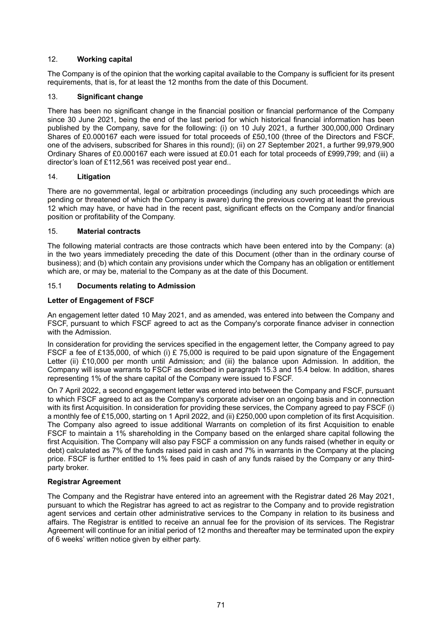# 12. **Working capital**

The Company is of the opinion that the working capital available to the Company is sufficient for its present requirements, that is, for at least the 12 months from the date of this Document.

# 13. **Significant change**

There has been no significant change in the financial position or financial performance of the Company since 30 June 2021, being the end of the last period for which historical financial information has been published by the Company, save for the following: (i) on 10 July 2021, a further 300,000,000 Ordinary Shares of £0.000167 each were issued for total proceeds of £50,100 (three of the Directors and FSCF, one of the advisers, subscribed for Shares in this round); (ii) on 27 September 2021, a further 99,979,900 Ordinary Shares of £0.000167 each were issued at £0.01 each for total proceeds of £999,799; and (iii) a director's loan of £112,561 was received post year end..

## 14. **Litigation**

There are no governmental, legal or arbitration proceedings (including any such proceedings which are pending or threatened of which the Company is aware) during the previous covering at least the previous 12 which may have, or have had in the recent past, significant effects on the Company and/or financial position or profitability of the Company.

## 15. **Material contracts**

The following material contracts are those contracts which have been entered into by the Company: (a) in the two years immediately preceding the date of this Document (other than in the ordinary course of business); and (b) which contain any provisions under which the Company has an obligation or entitlement which are, or may be, material to the Company as at the date of this Document.

## 15.1 **Documents relating to Admission**

## **Letter of Engagement of FSCF**

An engagement letter dated 10 May 2021, and as amended, was entered into between the Company and FSCF, pursuant to which FSCF agreed to act as the Company's corporate finance adviser in connection with the Admission.

In consideration for providing the services specified in the engagement letter, the Company agreed to pay FSCF a fee of £135,000, of which (i) £ 75,000 is required to be paid upon signature of the Engagement Letter (ii) £10,000 per month until Admission; and (iii) the balance upon Admission. In addition, the Company will issue warrants to FSCF as described in paragraph 15.3 and 15.4 below. In addition, shares representing 1% of the share capital of the Company were issued to FSCF.

On 7 April 2022, a second engagement letter was entered into between the Company and FSCF, pursuant to which FSCF agreed to act as the Company's corporate adviser on an ongoing basis and in connection with its first Acquisition. In consideration for providing these services, the Company agreed to pay FSCF (i) a monthly fee of £15,000, starting on 1 April 2022, and (ii) £250,000 upon completion of its first Acquisition. The Company also agreed to issue additional Warrants on completion of its first Acquisition to enable FSCF to maintain a 1% shareholding in the Company based on the enlarged share capital following the first Acquisition. The Company will also pay FSCF a commission on any funds raised (whether in equity or debt) calculated as 7% of the funds raised paid in cash and 7% in warrants in the Company at the placing price. FSCF is further entitled to 1% fees paid in cash of any funds raised by the Company or any thirdparty broker.

#### **Registrar Agreement**

The Company and the Registrar have entered into an agreement with the Registrar dated 26 May 2021, pursuant to which the Registrar has agreed to act as registrar to the Company and to provide registration agent services and certain other administrative services to the Company in relation to its business and affairs. The Registrar is entitled to receive an annual fee for the provision of its services. The Registrar Agreement will continue for an initial period of 12 months and thereafter may be terminated upon the expiry of 6 weeks' written notice given by either party.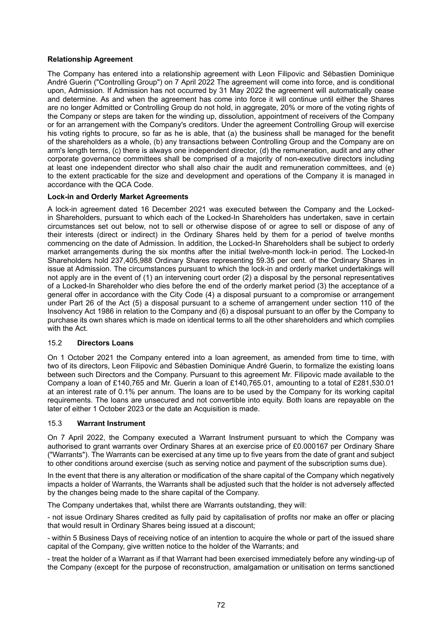# **Relationship Agreement**

The Company has entered into a relationship agreement with Leon Filipovic and Sébastien Dominique André Guerin ("Controlling Group") on 7 April 2022 The agreement will come into force, and is conditional upon, Admission. If Admission has not occurred by 31 May 2022 the agreement will automatically cease and determine. As and when the agreement has come into force it will continue until either the Shares are no longer Admitted or Controlling Group do not hold, in aggregate, 20% or more of the voting rights of the Company or steps are taken for the winding up, dissolution, appointment of receivers of the Company or for an arrangement with the Company's creditors. Under the agreement Controlling Group will exercise his voting rights to procure, so far as he is able, that (a) the business shall be managed for the benefit of the shareholders as a whole, (b) any transactions between Controlling Group and the Company are on arm's length terms, (c) there is always one independent director, (d) the remuneration, audit and any other corporate governance committees shall be comprised of a majority of non-executive directors including at least one independent director who shall also chair the audit and remuneration committees, and (e) to the extent practicable for the size and development and operations of the Company it is managed in accordance with the QCA Code.

# **Lock-in and Orderly Market Agreements**

A lock-in agreement dated 16 December 2021 was executed between the Company and the Lockedin Shareholders, pursuant to which each of the Locked-In Shareholders has undertaken, save in certain circumstances set out below, not to sell or otherwise dispose of or agree to sell or dispose of any of their interests (direct or indirect) in the Ordinary Shares held by them for a period of twelve months commencing on the date of Admission. In addition, the Locked-In Shareholders shall be subject to orderly market arrangements during the six months after the initial twelve-month lock-in period. The Locked-In Shareholders hold 237,405,988 Ordinary Shares representing 59.35 per cent. of the Ordinary Shares in issue at Admission. The circumstances pursuant to which the lock-in and orderly market undertakings will not apply are in the event of (1) an intervening court order (2) a disposal by the personal representatives of a Locked-In Shareholder who dies before the end of the orderly market period (3) the acceptance of a general offer in accordance with the City Code (4) a disposal pursuant to a compromise or arrangement under Part 26 of the Act (5) a disposal pursuant to a scheme of arrangement under section 110 of the Insolvency Act 1986 in relation to the Company and (6) a disposal pursuant to an offer by the Company to purchase its own shares which is made on identical terms to all the other shareholders and which complies with the Act.

# 15.2 **Directors Loans**

On 1 October 2021 the Company entered into a loan agreement, as amended from time to time, with two of its directors, Leon Filipovic and Sébastien Dominique André Guerin, to formalize the existing loans between such Directors and the Company. Pursuant to this agreement Mr. Filipovic made available to the Company a loan of £140,765 and Mr. Guerin a loan of £140,765.01, amounting to a total of £281,530.01 at an interest rate of 0.1% per annum. The loans are to be used by the Company for its working capital requirements. The loans are unsecured and not convertible into equity. Both loans are repayable on the later of either 1 October 2023 or the date an Acquisition is made.

# 15.3 **Warrant Instrument**

On 7 April 2022, the Company executed a Warrant Instrument pursuant to which the Company was authorised to grant warrants over Ordinary Shares at an exercise price of £0.000167 per Ordinary Share ("Warrants"). The Warrants can be exercised at any time up to five years from the date of grant and subject to other conditions around exercise (such as serving notice and payment of the subscription sums due).

In the event that there is any alteration or modification of the share capital of the Company which negatively impacts a holder of Warrants, the Warrants shall be adjusted such that the holder is not adversely affected by the changes being made to the share capital of the Company.

The Company undertakes that, whilst there are Warrants outstanding, they will:

- not issue Ordinary Shares credited as fully paid by capitalisation of profits nor make an offer or placing that would result in Ordinary Shares being issued at a discount;

- within 5 Business Days of receiving notice of an intention to acquire the whole or part of the issued share capital of the Company, give written notice to the holder of the Warrants; and

- treat the holder of a Warrant as if that Warrant had been exercised immediately before any winding-up of the Company (except for the purpose of reconstruction, amalgamation or unitisation on terms sanctioned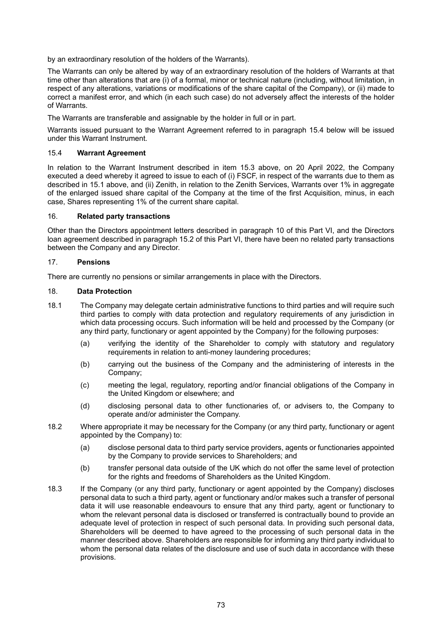by an extraordinary resolution of the holders of the Warrants).

The Warrants can only be altered by way of an extraordinary resolution of the holders of Warrants at that time other than alterations that are (i) of a formal, minor or technical nature (including, without limitation, in respect of any alterations, variations or modifications of the share capital of the Company), or (ii) made to correct a manifest error, and which (in each such case) do not adversely affect the interests of the holder of Warrants.

The Warrants are transferable and assignable by the holder in full or in part.

Warrants issued pursuant to the Warrant Agreement referred to in paragraph 15.4 below will be issued under this Warrant Instrument.

## 15.4 **Warrant Agreement**

In relation to the Warrant Instrument described in item 15.3 above, on 20 April 2022, the Company executed a deed whereby it agreed to issue to each of (i) FSCF, in respect of the warrants due to them as described in 15.1 above, and (ii) Zenith, in relation to the Zenith Services, Warrants over 1% in aggregate of the enlarged issued share capital of the Company at the time of the first Acquisition, minus, in each case, Shares representing 1% of the current share capital.

## 16. **Related party transactions**

Other than the Directors appointment letters described in paragraph 10 of this Part VI, and the Directors loan agreement described in paragraph 15.2 of this Part VI, there have been no related party transactions between the Company and any Director.

## 17. **Pensions**

There are currently no pensions or similar arrangements in place with the Directors.

## 18. **Data Protection**

- 18.1 The Company may delegate certain administrative functions to third parties and will require such third parties to comply with data protection and regulatory requirements of any jurisdiction in which data processing occurs. Such information will be held and processed by the Company (or any third party, functionary or agent appointed by the Company) for the following purposes:
	- (a) verifying the identity of the Shareholder to comply with statutory and regulatory requirements in relation to anti-money laundering procedures;
	- (b) carrying out the business of the Company and the administering of interests in the Company;
	- (c) meeting the legal, regulatory, reporting and/or financial obligations of the Company in the United Kingdom or elsewhere; and
	- (d) disclosing personal data to other functionaries of, or advisers to, the Company to operate and/or administer the Company.
- 18.2 Where appropriate it may be necessary for the Company (or any third party, functionary or agent appointed by the Company) to:
	- (a) disclose personal data to third party service providers, agents or functionaries appointed by the Company to provide services to Shareholders; and
	- (b) transfer personal data outside of the UK which do not offer the same level of protection for the rights and freedoms of Shareholders as the United Kingdom.
- 18.3 If the Company (or any third party, functionary or agent appointed by the Company) discloses personal data to such a third party, agent or functionary and/or makes such a transfer of personal data it will use reasonable endeavours to ensure that any third party, agent or functionary to whom the relevant personal data is disclosed or transferred is contractually bound to provide an adequate level of protection in respect of such personal data. In providing such personal data, Shareholders will be deemed to have agreed to the processing of such personal data in the manner described above. Shareholders are responsible for informing any third party individual to whom the personal data relates of the disclosure and use of such data in accordance with these provisions.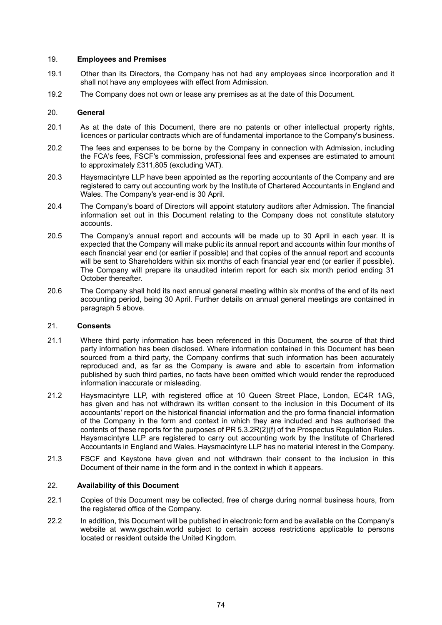## 19. **Employees and Premises**

- 19.1 Other than its Directors, the Company has not had any employees since incorporation and it shall not have any employees with effect from Admission.
- 19.2 The Company does not own or lease any premises as at the date of this Document.

## 20. **General**

- 20.1 As at the date of this Document, there are no patents or other intellectual property rights, licences or particular contracts which are of fundamental importance to the Company's business.
- 20.2 The fees and expenses to be borne by the Company in connection with Admission, including the FCA's fees, FSCF's commission, professional fees and expenses are estimated to amount to approximately £311,805 (excluding VAT).
- 20.3 Haysmacintyre LLP have been appointed as the reporting accountants of the Company and are registered to carry out accounting work by the Institute of Chartered Accountants in England and Wales. The Company's year-end is 30 April.
- 20.4 The Company's board of Directors will appoint statutory auditors after Admission. The financial information set out in this Document relating to the Company does not constitute statutory accounts.
- 20.5 The Company's annual report and accounts will be made up to 30 April in each year. It is expected that the Company will make public its annual report and accounts within four months of each financial year end (or earlier if possible) and that copies of the annual report and accounts will be sent to Shareholders within six months of each financial year end (or earlier if possible). The Company will prepare its unaudited interim report for each six month period ending 31 October thereafter.
- 20.6 The Company shall hold its next annual general meeting within six months of the end of its next accounting period, being 30 April. Further details on annual general meetings are contained in paragraph 5 above.

## 21. **Consents**

- 21.1 Where third party information has been referenced in this Document, the source of that third party information has been disclosed. Where information contained in this Document has been sourced from a third party, the Company confirms that such information has been accurately reproduced and, as far as the Company is aware and able to ascertain from information published by such third parties, no facts have been omitted which would render the reproduced information inaccurate or misleading.
- 21.2 Haysmacintyre LLP, with registered office at 10 Queen Street Place, London, EC4R 1AG, has given and has not withdrawn its written consent to the inclusion in this Document of its accountants' report on the historical financial information and the pro forma financial information of the Company in the form and context in which they are included and has authorised the contents of these reports for the purposes of PR 5.3.2R(2)(f) of the Prospectus Regulation Rules. Haysmacintyre LLP are registered to carry out accounting work by the Institute of Chartered Accountants in England and Wales. Haysmacintyre LLP has no material interest in the Company.
- 21.3 FSCF and Keystone have given and not withdrawn their consent to the inclusion in this Document of their name in the form and in the context in which it appears.

## 22. **Availability of this Document**

- 22.1 Copies of this Document may be collected, free of charge during normal business hours, from the registered office of the Company.
- 22.2 In addition, this Document will be published in electronic form and be available on the Company's website at www.gschain.world subject to certain access restrictions applicable to persons located or resident outside the United Kingdom.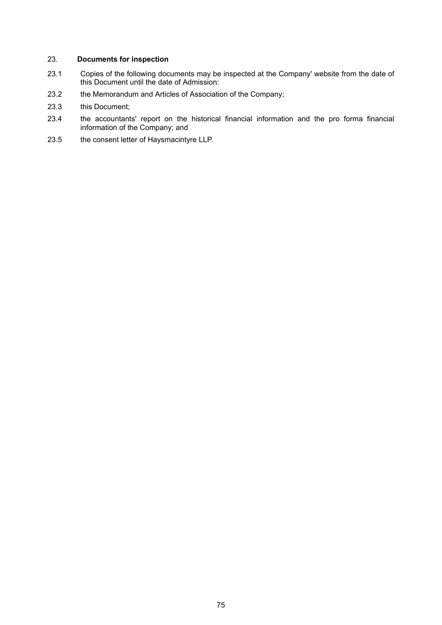## 23. **Documents for inspection**

- 23.1 Copies of the following documents may be inspected at the Company' website from the date of this Document until the date of Admission:
- 23.2 the Memorandum and Articles of Association of the Company;
- 23.3 this Document;
- 23.4 the accountants' report on the historical financial information and the pro forma financial information of the Company; and
- 23.5 the consent letter of Haysmacintyre LLP.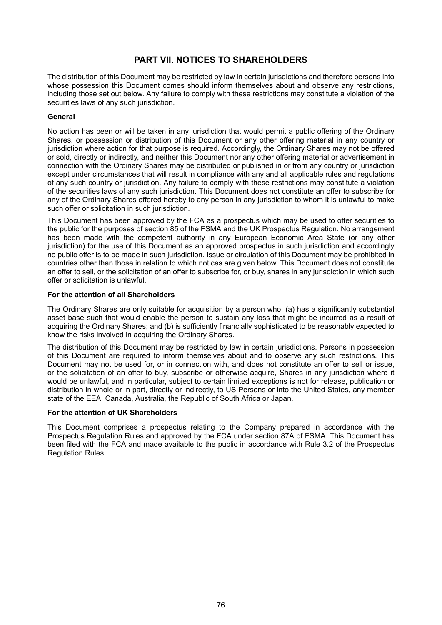## **PART VII. NOTICES TO SHAREHOLDERS**

The distribution of this Document may be restricted by law in certain jurisdictions and therefore persons into whose possession this Document comes should inform themselves about and observe any restrictions, including those set out below. Any failure to comply with these restrictions may constitute a violation of the securities laws of any such jurisdiction.

## **General**

No action has been or will be taken in any jurisdiction that would permit a public offering of the Ordinary Shares, or possession or distribution of this Document or any other offering material in any country or jurisdiction where action for that purpose is required. Accordingly, the Ordinary Shares may not be offered or sold, directly or indirectly, and neither this Document nor any other offering material or advertisement in connection with the Ordinary Shares may be distributed or published in or from any country or jurisdiction except under circumstances that will result in compliance with any and all applicable rules and regulations of any such country or jurisdiction. Any failure to comply with these restrictions may constitute a violation of the securities laws of any such jurisdiction. This Document does not constitute an offer to subscribe for any of the Ordinary Shares offered hereby to any person in any jurisdiction to whom it is unlawful to make such offer or solicitation in such jurisdiction.

This Document has been approved by the FCA as a prospectus which may be used to offer securities to the public for the purposes of section 85 of the FSMA and the UK Prospectus Regulation. No arrangement has been made with the competent authority in any European Economic Area State (or any other jurisdiction) for the use of this Document as an approved prospectus in such jurisdiction and accordingly no public offer is to be made in such jurisdiction. Issue or circulation of this Document may be prohibited in countries other than those in relation to which notices are given below. This Document does not constitute an offer to sell, or the solicitation of an offer to subscribe for, or buy, shares in any jurisdiction in which such offer or solicitation is unlawful.

#### **For the attention of all Shareholders**

The Ordinary Shares are only suitable for acquisition by a person who: (a) has a significantly substantial asset base such that would enable the person to sustain any loss that might be incurred as a result of acquiring the Ordinary Shares; and (b) is sufficiently financially sophisticated to be reasonably expected to know the risks involved in acquiring the Ordinary Shares.

The distribution of this Document may be restricted by law in certain jurisdictions. Persons in possession of this Document are required to inform themselves about and to observe any such restrictions. This Document may not be used for, or in connection with, and does not constitute an offer to sell or issue, or the solicitation of an offer to buy, subscribe or otherwise acquire, Shares in any jurisdiction where it would be unlawful, and in particular, subject to certain limited exceptions is not for release, publication or distribution in whole or in part, directly or indirectly, to US Persons or into the United States, any member state of the EEA, Canada, Australia, the Republic of South Africa or Japan.

## **For the attention of UK Shareholders**

This Document comprises a prospectus relating to the Company prepared in accordance with the Prospectus Regulation Rules and approved by the FCA under section 87A of FSMA. This Document has been filed with the FCA and made available to the public in accordance with Rule 3.2 of the Prospectus Regulation Rules.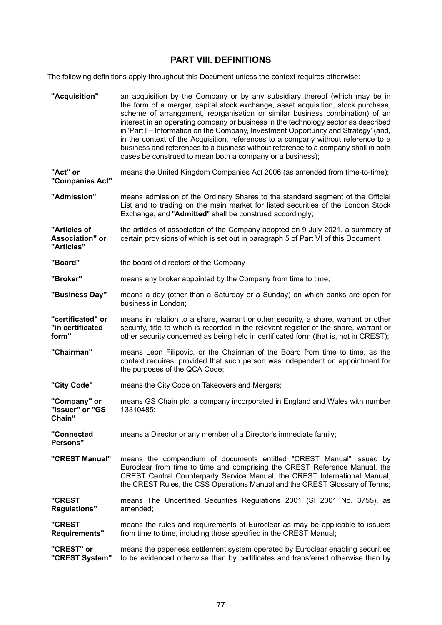# **PART VIII. DEFINITIONS**

The following definitions apply throughout this Document unless the context requires otherwise:

| "Acquisition"                                        | an acquisition by the Company or by any subsidiary thereof (which may be in<br>the form of a merger, capital stock exchange, asset acquisition, stock purchase,<br>scheme of arrangement, reorganisation or similar business combination) of an<br>interest in an operating company or business in the technology sector as described<br>in 'Part I – Information on the Company, Investment Opportunity and Strategy' (and,<br>in the context of the Acquisition, references to a company without reference to a<br>business and references to a business without reference to a company shall in both<br>cases be construed to mean both a company or a business); |
|------------------------------------------------------|----------------------------------------------------------------------------------------------------------------------------------------------------------------------------------------------------------------------------------------------------------------------------------------------------------------------------------------------------------------------------------------------------------------------------------------------------------------------------------------------------------------------------------------------------------------------------------------------------------------------------------------------------------------------|
| "Act" or<br>"Companies Act"                          | means the United Kingdom Companies Act 2006 (as amended from time-to-time);                                                                                                                                                                                                                                                                                                                                                                                                                                                                                                                                                                                          |
| "Admission"                                          | means admission of the Ordinary Shares to the standard segment of the Official<br>List and to trading on the main market for listed securities of the London Stock<br>Exchange, and "Admitted" shall be construed accordingly;                                                                                                                                                                                                                                                                                                                                                                                                                                       |
| "Articles of<br><b>Association"</b> or<br>"Articles" | the articles of association of the Company adopted on 9 July 2021, a summary of<br>certain provisions of which is set out in paragraph 5 of Part VI of this Document                                                                                                                                                                                                                                                                                                                                                                                                                                                                                                 |
| "Board"                                              | the board of directors of the Company                                                                                                                                                                                                                                                                                                                                                                                                                                                                                                                                                                                                                                |
| "Broker"                                             | means any broker appointed by the Company from time to time;                                                                                                                                                                                                                                                                                                                                                                                                                                                                                                                                                                                                         |
| "Business Day"                                       | means a day (other than a Saturday or a Sunday) on which banks are open for<br>business in London;                                                                                                                                                                                                                                                                                                                                                                                                                                                                                                                                                                   |
| "certificated" or<br>"in certificated<br>form"       | means in relation to a share, warrant or other security, a share, warrant or other<br>security, title to which is recorded in the relevant register of the share, warrant or<br>other security concerned as being held in certificated form (that is, not in CREST);                                                                                                                                                                                                                                                                                                                                                                                                 |
| "Chairman"                                           | means Leon Filipovic, or the Chairman of the Board from time to time, as the<br>context requires, provided that such person was independent on appointment for<br>the purposes of the QCA Code;                                                                                                                                                                                                                                                                                                                                                                                                                                                                      |
| "City Code"                                          | means the City Code on Takeovers and Mergers;                                                                                                                                                                                                                                                                                                                                                                                                                                                                                                                                                                                                                        |
| "Company" or<br>"Issuer" or "GS<br>Chain"            | means GS Chain plc, a company incorporated in England and Wales with number<br>13310485;                                                                                                                                                                                                                                                                                                                                                                                                                                                                                                                                                                             |
| "Connected<br><b>Persons"</b>                        | means a Director or any member of a Director's immediate family;                                                                                                                                                                                                                                                                                                                                                                                                                                                                                                                                                                                                     |
| "CREST Manual"                                       | means the compendium of documents entitled "CREST Manual" issued by<br>Euroclear from time to time and comprising the CREST Reference Manual, the<br>CREST Central Counterparty Service Manual, the CREST International Manual,<br>the CREST Rules, the CSS Operations Manual and the CREST Glossary of Terms;                                                                                                                                                                                                                                                                                                                                                       |
| "CREST<br><b>Regulations"</b>                        | means The Uncertified Securities Regulations 2001 (SI 2001 No. 3755), as<br>amended;                                                                                                                                                                                                                                                                                                                                                                                                                                                                                                                                                                                 |
| "CREST<br>Requirements"                              | means the rules and requirements of Euroclear as may be applicable to issuers<br>from time to time, including those specified in the CREST Manual;                                                                                                                                                                                                                                                                                                                                                                                                                                                                                                                   |
| "CREST" or<br>"CREST System"                         | means the paperless settlement system operated by Euroclear enabling securities<br>to be evidenced otherwise than by certificates and transferred otherwise than by                                                                                                                                                                                                                                                                                                                                                                                                                                                                                                  |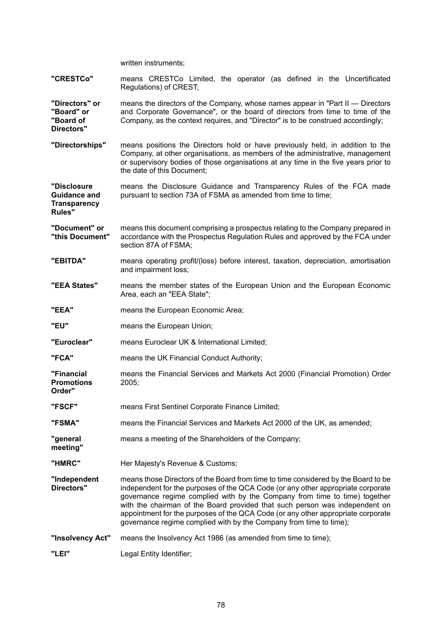written instruments; **"CRESTCo"** means CRESTCo Limited, the operator (as defined in the Uncertificated Regulations) of CREST; **"Directors" or "Board" or "Board of Directors"** means the directors of the Company, whose names appear in "Part II — Directors and Corporate Governance", or the board of directors from time to time of the Company, as the context requires, and "Director" is to be construed accordingly; **"Directorships"** means positions the Directors hold or have previously held, in addition to the Company, at other organisations, as members of the administrative, management or supervisory bodies of those organisations at any time in the five years prior to the date of this Document; **"Disclosure Guidance and Transparency Rules"** means the Disclosure Guidance and Transparency Rules of the FCA made pursuant to section 73A of FSMA as amended from time to time; **"Document" or "this Document"** means this document comprising a prospectus relating to the Company prepared in accordance with the Prospectus Regulation Rules and approved by the FCA under section 87A of FSMA; **"EBITDA"** means operating profit/(loss) before interest, taxation, depreciation, amortisation and impairment loss; **"EEA States"** means the member states of the European Union and the European Economic Area, each an "EEA State"; **"EEA"** means the European Economic Area; **"EU"** means the European Union; **"Euroclear"** means Euroclear UK & International Limited; **"FCA"** means the UK Financial Conduct Authority; **"Financial Promotions Order"** means the Financial Services and Markets Act 2000 (Financial Promotion) Order 2005; **"FSCF"** means First Sentinel Corporate Finance Limited; **"FSMA"** means the Financial Services and Markets Act 2000 of the UK, as amended; **"general meeting"** means a meeting of the Shareholders of the Company; "HMRC" Her Majesty's Revenue & Customs; **"Independent Directors"** means those Directors of the Board from time to time considered by the Board to be independent for the purposes of the QCA Code (or any other appropriate corporate governance regime complied with by the Company from time to time) together with the chairman of the Board provided that such person was independent on appointment for the purposes of the QCA Code (or any other appropriate corporate governance regime complied with by the Company from time to time); **"Insolvency Act"** means the Insolvency Act 1986 (as amended from time to time); **"LEI"** Legal Entity Identifier;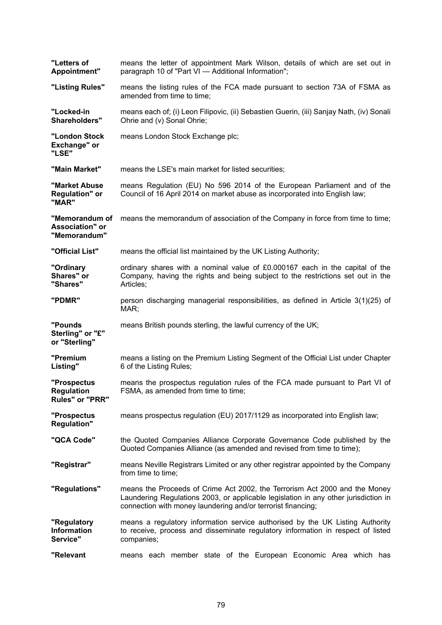| "Letters of<br>Appointment"                              | means the letter of appointment Mark Wilson, details of which are set out in<br>paragraph 10 of "Part VI - Additional Information";                                                                                               |
|----------------------------------------------------------|-----------------------------------------------------------------------------------------------------------------------------------------------------------------------------------------------------------------------------------|
| "Listing Rules"                                          | means the listing rules of the FCA made pursuant to section 73A of FSMA as<br>amended from time to time;                                                                                                                          |
| "Locked-in<br>Shareholders"                              | means each of; (i) Leon Filipovic, (ii) Sebastien Guerin, (iii) Sanjay Nath, (iv) Sonali<br>Ohrie and (v) Sonal Ohrie;                                                                                                            |
| "London Stock<br>Exchange" or<br>"LSE"                   | means London Stock Exchange plc;                                                                                                                                                                                                  |
| "Main Market"                                            | means the LSE's main market for listed securities;                                                                                                                                                                                |
| "Market Abuse<br><b>Regulation"</b> or<br>"MAR"          | means Regulation (EU) No 596 2014 of the European Parliament and of the<br>Council of 16 April 2014 on market abuse as incorporated into English law;                                                                             |
| "Memorandum of<br><b>Association"</b> or<br>"Memorandum" | means the memorandum of association of the Company in force from time to time;                                                                                                                                                    |
| "Official List"                                          | means the official list maintained by the UK Listing Authority;                                                                                                                                                                   |
| "Ordinary<br>Shares" or<br>"Shares"                      | ordinary shares with a nominal value of £0.000167 each in the capital of the<br>Company, having the rights and being subject to the restrictions set out in the<br>Articles;                                                      |
| "PDMR"                                                   | person discharging managerial responsibilities, as defined in Article 3(1)(25) of<br>MAR;                                                                                                                                         |
| "Pounds<br>Sterling" or "£"<br>or "Sterling"             | means British pounds sterling, the lawful currency of the UK;                                                                                                                                                                     |
| "Premium<br>Listing"                                     | means a listing on the Premium Listing Segment of the Official List under Chapter<br>6 of the Listing Rules;                                                                                                                      |
| "Prospectus<br>Regulation<br>Rules" or "PRR"             | means the prospectus regulation rules of the FCA made pursuant to Part VI of<br>FSMA, as amended from time to time;                                                                                                               |
| "Prospectus<br><b>Regulation"</b>                        | means prospectus regulation (EU) 2017/1129 as incorporated into English law;                                                                                                                                                      |
| "QCA Code"                                               | the Quoted Companies Alliance Corporate Governance Code published by the<br>Quoted Companies Alliance (as amended and revised from time to time);                                                                                 |
| "Registrar"                                              | means Neville Registrars Limited or any other registrar appointed by the Company<br>from time to time;                                                                                                                            |
| "Regulations"                                            | means the Proceeds of Crime Act 2002, the Terrorism Act 2000 and the Money<br>Laundering Regulations 2003, or applicable legislation in any other jurisdiction in<br>connection with money laundering and/or terrorist financing; |
| "Regulatory<br><b>Information</b><br>Service"            | means a regulatory information service authorised by the UK Listing Authority<br>to receive, process and disseminate regulatory information in respect of listed<br>companies;                                                    |
| "Relevant                                                | means each member state of the European Economic Area which has                                                                                                                                                                   |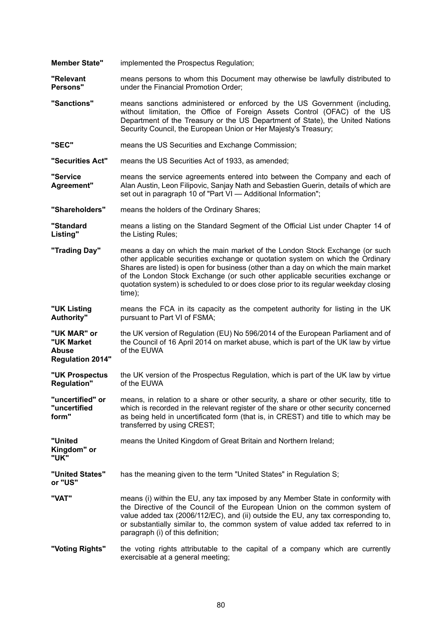**Member State"** implemented the Prospectus Regulation;

**"Relevant Persons"** means persons to whom this Document may otherwise be lawfully distributed to under the Financial Promotion Order;

- **"Sanctions"** means sanctions administered or enforced by the US Government (including, without limitation, the Office of Foreign Assets Control (OFAC) of the US Department of the Treasury or the US Department of State), the United Nations Security Council, the European Union or Her Majesty's Treasury;
- **"SEC"** means the US Securities and Exchange Commission;

**"Securities Act"** means the US Securities Act of 1933, as amended;

**"Service Agreement"** means the service agreements entered into between the Company and each of Alan Austin, Leon Filipovic, Sanjay Nath and Sebastien Guerin, details of which are set out in paragraph 10 of "Part VI - Additional Information";

**"Shareholders"** means the holders of the Ordinary Shares;

**"Standard Listing"** means a listing on the Standard Segment of the Official List under Chapter 14 of the Listing Rules;

- **"Trading Day"** means a day on which the main market of the London Stock Exchange (or such other applicable securities exchange or quotation system on which the Ordinary Shares are listed) is open for business (other than a day on which the main market of the London Stock Exchange (or such other applicable securities exchange or quotation system) is scheduled to or does close prior to its regular weekday closing time);
- **"UK Listing Authority"** means the FCA in its capacity as the competent authority for listing in the UK pursuant to Part VI of FSMA;

**"UK MAR" or "UK Market Abuse Regulation 2014"** the UK version of Regulation (EU) No 596/2014 of the European Parliament and of the Council of 16 April 2014 on market abuse, which is part of the UK law by virtue of the EUWA

- **"UK Prospectus Regulation"** the UK version of the Prospectus Regulation, which is part of the UK law by virtue of the EUWA
- **"uncertified" or "uncertified form"** means, in relation to a share or other security, a share or other security, title to which is recorded in the relevant register of the share or other security concerned as being held in uncertificated form (that is, in CREST) and title to which may be transferred by using CREST;

**"United** means the United Kingdom of Great Britain and Northern Ireland;

**Kingdom" or "UK"**

- **"United States" or "US"** has the meaning given to the term "United States" in Regulation S;
- **"VAT"** means (i) within the EU, any tax imposed by any Member State in conformity with the Directive of the Council of the European Union on the common system of value added tax (2006/112/EC), and (ii) outside the EU, any tax corresponding to, or substantially similar to, the common system of value added tax referred to in paragraph (i) of this definition;
- **"Voting Rights"** the voting rights attributable to the capital of a company which are currently exercisable at a general meeting;